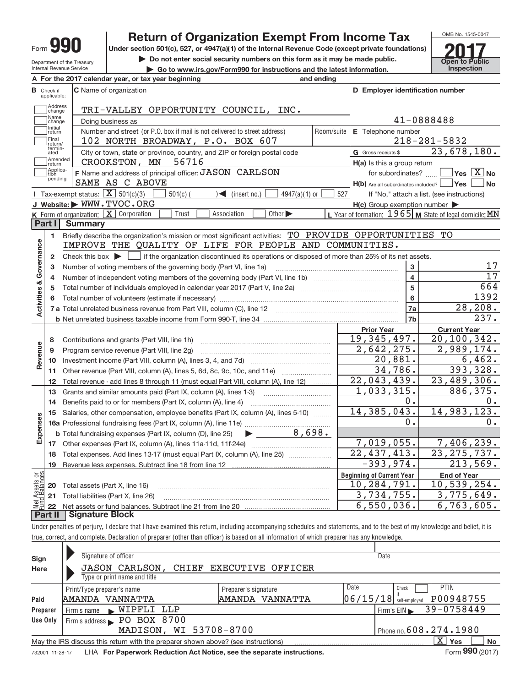| T<br>٦.<br>Form<br>υ. |
|-----------------------|
|-----------------------|

**15**



14,983,123.

14,385,043.

OMB No. 1545‐0047

| <b>Return of Organization Exempt From Income Tax</b><br>Form $99$                              |                    |                                                                 |                                                                                                                                        |            | OMB No. 1545-0047                                         |  |                                                                  |         |
|------------------------------------------------------------------------------------------------|--------------------|-----------------------------------------------------------------|----------------------------------------------------------------------------------------------------------------------------------------|------------|-----------------------------------------------------------|--|------------------------------------------------------------------|---------|
|                                                                                                |                    |                                                                 | Under section 501(c), 527, or 4947(a)(1) of the Internal Revenue Code (except private foundations)                                     |            |                                                           |  |                                                                  |         |
|                                                                                                |                    | Department of the Treasury                                      | Do not enter social security numbers on this form as it may be made public.                                                            |            |                                                           |  | <b>Open to Public</b>                                            |         |
|                                                                                                |                    | <b>Internal Revenue Service</b>                                 | Go to www.irs.gov/Form990 for instructions and the latest information.                                                                 |            |                                                           |  | <b>Inspection</b>                                                |         |
|                                                                                                |                    |                                                                 | A For the 2017 calendar year, or tax year beginning                                                                                    | and ending |                                                           |  |                                                                  |         |
| <b>B</b> Check if<br>C Name of organization<br>D Employer identification number<br>applicable: |                    |                                                                 |                                                                                                                                        |            |                                                           |  |                                                                  |         |
|                                                                                                | Address<br> change |                                                                 | TRI-VALLEY OPPORTUNITY COUNCIL, INC.                                                                                                   |            |                                                           |  |                                                                  |         |
|                                                                                                | Name<br>change     |                                                                 | Doing business as                                                                                                                      |            | 41-0888488                                                |  |                                                                  |         |
|                                                                                                | Initial<br>return  |                                                                 | Number and street (or P.O. box if mail is not delivered to street address)                                                             | Room/suite | E Telephone number                                        |  |                                                                  |         |
|                                                                                                | Final<br>return/   |                                                                 | 102 NORTH BROADWAY, P.O. BOX 607                                                                                                       |            |                                                           |  | $218 - 281 - 5832$                                               |         |
|                                                                                                | termin-<br>ated    |                                                                 | City or town, state or province, country, and ZIP or foreign postal code                                                               |            | G Gross receipts \$                                       |  | 23,678,180.                                                      |         |
|                                                                                                | Amended<br>return  |                                                                 | CROOKSTON, MN<br>56716                                                                                                                 |            | H(a) Is this a group return                               |  |                                                                  |         |
|                                                                                                | Applica-<br>tion   |                                                                 | F Name and address of principal officer: JASON CARLSON                                                                                 |            | for subordinates?                                         |  | $ {\mathsf Y}{\mathsf e}{\mathsf s} \ \overline{{\mathsf X}}$ No |         |
|                                                                                                | pending            |                                                                 | SAME AS C ABOVE                                                                                                                        |            | $H(b)$ Are all subordinates included? $\Box$ Yes          |  |                                                                  | No      |
|                                                                                                |                    | <b>I</b> Tax-exempt status: $\boxed{\mathbf{X}}$ 501(c)(3)      | $501(c)$ (<br>$\sqrt{\phantom{a}}$ (insert no.)<br>$4947(a)(1)$ or                                                                     | 527        | If "No," attach a list. (see instructions)                |  |                                                                  |         |
|                                                                                                |                    |                                                                 | J Website: WWW.TVOC.ORG                                                                                                                |            | $H(c)$ Group exemption number $\blacktriangleright$       |  |                                                                  |         |
|                                                                                                |                    | <b>K</b> Form of organization: $\boxed{\mathbf{X}}$ Corporation | Other $\blacktriangleright$<br>Trust<br>Association                                                                                    |            | L Year of formation: $1965$ M State of legal domicile: MN |  |                                                                  |         |
|                                                                                                | Part I             | <b>Summary</b>                                                  |                                                                                                                                        |            |                                                           |  |                                                                  |         |
|                                                                                                | 1                  |                                                                 | Briefly describe the organization's mission or most significant activities: TO PROVIDE OPPORTUNITIES TO                                |            |                                                           |  |                                                                  |         |
| Activities & Governance                                                                        |                    |                                                                 | IMPROVE THE QUALITY OF LIFE FOR PEOPLE AND COMMUNITIES.                                                                                |            |                                                           |  |                                                                  |         |
|                                                                                                | 2                  |                                                                 | Check this box $\blacktriangleright$   if the organization discontinued its operations or disposed of more than 25% of its net assets. |            |                                                           |  |                                                                  |         |
|                                                                                                | з                  |                                                                 | Number of voting members of the governing body (Part VI, line 1a)                                                                      |            | 3                                                         |  |                                                                  | 17      |
|                                                                                                | 4                  |                                                                 |                                                                                                                                        |            | 4                                                         |  |                                                                  | 17      |
|                                                                                                | 5                  |                                                                 |                                                                                                                                        |            | 5                                                         |  |                                                                  | 664     |
|                                                                                                | 6                  |                                                                 |                                                                                                                                        |            | 6                                                         |  |                                                                  | 1392    |
|                                                                                                |                    |                                                                 |                                                                                                                                        |            | 7a                                                        |  |                                                                  | 28,208. |
|                                                                                                |                    |                                                                 |                                                                                                                                        |            | 7b                                                        |  |                                                                  | 237.    |
|                                                                                                |                    |                                                                 |                                                                                                                                        |            | <b>Prior Year</b>                                         |  | <b>Current Year</b>                                              |         |
|                                                                                                | 8                  |                                                                 | Contributions and grants (Part VIII, line 1h)                                                                                          |            | 19,345,497.                                               |  | 20,100,342.                                                      |         |
|                                                                                                | 9                  |                                                                 | Program service revenue (Part VIII, line 2g)                                                                                           |            | 2,642,275.                                                |  | 2,989,174.                                                       |         |
| Revenue                                                                                        | 10                 |                                                                 |                                                                                                                                        |            | 20,881.                                                   |  |                                                                  | 6,462.  |
|                                                                                                | 11                 |                                                                 | Other revenue (Part VIII, column (A), lines 5, 6d, 8c, 9c, 10c, and 11e)                                                               |            | 34,786.                                                   |  | 393,328.                                                         |         |
|                                                                                                | 12                 |                                                                 | Total revenue - add lines 8 through 11 (must equal Part VIII, column (A), line 12)                                                     |            | 22,043,439.                                               |  | 23,489,306.                                                      |         |
|                                                                                                | 13                 |                                                                 | Grants and similar amounts paid (Part IX, column (A), lines 1-3)                                                                       |            | 1,033,315.                                                |  | 886,375.                                                         |         |
|                                                                                                | 14                 |                                                                 | Benefits paid to or for members (Part IX, column (A), line 4)                                                                          |            | 0.                                                        |  |                                                                  | $0$ .   |

**Beginning of Current Year 16 a** Professional fundraising fees (Part IX, column (A), line 11e) ~~~~~~~~~~~~~~ **17 18 19 b** Total fundraising expenses (Part IX, column (D), line 25) **Expenses End of Year 20 21** Total liabilities (Part X, line 26) **22**  $\blacktriangleright$ **Net Assets or<br>und Balances** Salaries, other compensation, employee benefits (Part IX, column (A), lines 5-10) www. Other expenses (Part IX, column (A), lines 11a‐11d, 11f‐24e) ~~~~~~~~~~~~~ Total expenses. Add lines 13-17 (must equal Part IX, column (A), line 25) www.www.... Revenue less expenses. Subtract line 18 from line 12 Total assets (Part X, line 16) Net assets or fund balances. Subtract line 21 from line 20 ~~~~~~~~~~~~~~~~~~~~~~~~~~~~ ~~~~~~~~~~~~~~~~~~~~~~~~~~~ **Part II Signature Block** 0. 8,698. 7,406,239. 22,437,413. 23,275,737.  $-393,974.$  213,569. 10,284,791. 10,539,254. 3,734,755. 3,775,649. 6,550,036. 6,763,605. 0. 7,019,055.

Under penalties of perjury, I declare that I have examined this return, including accompanying schedules and statements, and to the best of my knowledge and belief, it is true, correct, and complete. Declaration of preparer (other than officer) is based on all information of which preparer has any knowledge.

| Sign            | Signature of officer                                                                                        |                          | Date                                  |  |  |  |  |  |
|-----------------|-------------------------------------------------------------------------------------------------------------|--------------------------|---------------------------------------|--|--|--|--|--|
| Here            | <b>JASON CARLSON,</b><br>CHIEF                                                                              | <b>EXECUTIVE OFFICER</b> |                                       |  |  |  |  |  |
|                 | Type or print name and title                                                                                |                          |                                       |  |  |  |  |  |
|                 | Print/Type preparer's name                                                                                  | Preparer's signature     | Date<br><b>PTIN</b><br>Check          |  |  |  |  |  |
| Paid            | AMANDA VANNATTA                                                                                             | AMANDA VANNATTA          | P00948755<br>$06/15/18$ self-employed |  |  |  |  |  |
| Preparer        | WIPFLI LLP<br>Firm's name<br>$\mathbf{K}$ .                                                                 |                          | 39-0758449<br>Firm's EIN              |  |  |  |  |  |
| Use Only        | Firm's address PO BOX 8700                                                                                  |                          |                                       |  |  |  |  |  |
|                 | MADISON, WI 53708-8700                                                                                      |                          | Phone no. 608.274.1980                |  |  |  |  |  |
|                 | X.<br><b>No</b><br>Yes<br>May the IRS discuss this return with the preparer shown above? (see instructions) |                          |                                       |  |  |  |  |  |
| 732001 11-28-17 | LHA For Paperwork Reduction Act Notice, see the separate instructions.                                      |                          | Form 990 (2017)                       |  |  |  |  |  |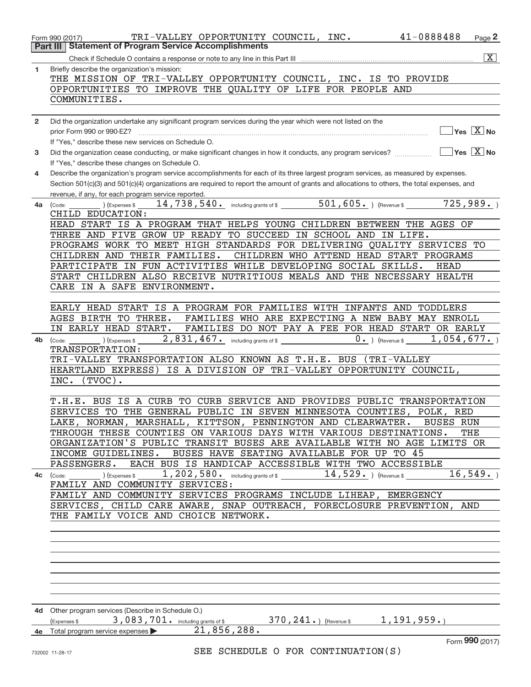|              | 41-0888488<br>TRI-VALLEY OPPORTUNITY COUNCIL, INC.<br>Page 2<br>Form 990 (2017)                                                                     |
|--------------|-----------------------------------------------------------------------------------------------------------------------------------------------------|
| Part III     | <b>Statement of Program Service Accomplishments</b>                                                                                                 |
|              | $\overline{X}$<br>Check if Schedule O contains a response or note to any line in this Part III                                                      |
| $\mathbf{1}$ | Briefly describe the organization's mission:<br>THE MISSION OF TRI-VALLEY OPPORTUNITY COUNCIL, INC. IS TO PROVIDE                                   |
|              | OPPORTUNITIES TO IMPROVE THE QUALITY OF LIFE FOR PEOPLE AND                                                                                         |
|              | COMMUNITIES.                                                                                                                                        |
|              |                                                                                                                                                     |
| $\mathbf{2}$ | Did the organization undertake any significant program services during the year which were not listed on the                                        |
|              | $\Box$ Yes $[\overline{\mathrm{X}}]$ No<br>prior Form 990 or 990-EZ?                                                                                |
|              | If "Yes," describe these new services on Schedule O.                                                                                                |
| 3            | If "Yes," describe these changes on Schedule O.                                                                                                     |
| 4            | Describe the organization's program service accomplishments for each of its three largest program services, as measured by expenses.                |
|              | Section 501(c)(3) and 501(c)(4) organizations are required to report the amount of grants and allocations to others, the total expenses, and        |
|              | revenue, if any, for each program service reported.                                                                                                 |
| 4a           | 14,738,540. including grants of \$ 501,605. (Revenue \$ 725,989.)<br>(Expenses \$<br>(Code:                                                         |
|              | CHILD EDUCATION:                                                                                                                                    |
|              | HEAD START IS A PROGRAM THAT HELPS YOUNG CHILDREN BETWEEN THE AGES OF<br>THREE AND FIVE GROW UP READY TO SUCCEED IN SCHOOL AND IN LIFE.             |
|              | PROGRAMS WORK TO MEET HIGH STANDARDS FOR DELIVERING QUALITY SERVICES TO                                                                             |
|              | CHILDREN AND THEIR FAMILIES.<br>CHILDREN WHO ATTEND HEAD START PROGRAMS                                                                             |
|              | PARTICIPATE IN FUN ACTIVITIES WHILE DEVELOPING SOCIAL SKILLS.<br>HEAD                                                                               |
|              | START CHILDREN ALSO RECEIVE NUTRITIOUS MEALS AND THE NECESSARY HEALTH                                                                               |
|              | CARE IN A SAFE ENVIRONMENT.                                                                                                                         |
|              | EARLY HEAD START IS A PROGRAM FOR FAMILIES WITH INFANTS AND<br>TODDLERS                                                                             |
|              | FAMILIES WHO ARE EXPECTING A NEW BABY MAY ENROLL<br>AGES BIRTH TO THREE.                                                                            |
|              | IN EARLY HEAD START. FAMILIES DO NOT PAY A FEE FOR HEAD START OR EARLY                                                                              |
| 4b           | $2$ , $831$ , $467$ $\cdot$ including grants of \$<br>$0.$ ) (Revenue \$ 1,054,677.)<br>(Expenses \$<br>(Code:                                      |
|              | TRANSPORTATION:                                                                                                                                     |
|              | TRI-VALLEY TRANSPORTATION ALSO KNOWN AS T.H.E. BUS (TRI-VALLEY                                                                                      |
|              | HEARTLAND EXPRESS) IS A DIVISION OF TRI-VALLEY OPPORTUNITY COUNCIL,<br>INC. (TVOC).                                                                 |
|              |                                                                                                                                                     |
|              | T.H.E. BUS IS A CURB TO CURB SERVICE AND PROVIDES PUBLIC TRANSPORTATION                                                                             |
|              | SERVICES TO THE GENERAL PUBLIC IN SEVEN MINNESOTA COUNTIES, POLK, RED                                                                               |
|              | LAKE, NORMAN, MARSHALL, KITTSON, PENNINGTON AND CLEARWATER. BUSES RUN                                                                               |
|              | THROUGH THESE COUNTIES ON VARIOUS DAYS WITH VARIOUS DESTINATIONS.<br>THE<br>ORGANIZATION'S PUBLIC TRANSIT BUSES ARE AVAILABLE WITH NO AGE LIMITS OR |
|              | INCOME GUIDELINES. BUSES HAVE SEATING AVAILABLE FOR UP TO 45                                                                                        |
|              | PASSENGERS. EACH BUS IS HANDICAP ACCESSIBLE WITH TWO ACCESSIBLE                                                                                     |
|              | 16, 549.<br>4c (Code: _________) (Expenses \$ $1$ , $202$ , $580$ . $\qquad$ including grants of \$ $14$ , $529$ . $\qquad$ ) (Revenue \$ $\qquad$  |
|              | FAMILY AND COMMUNITY SERVICES:                                                                                                                      |
|              | FAMILY AND COMMUNITY SERVICES PROGRAMS INCLUDE LIHEAP, EMERGENCY                                                                                    |
|              | SERVICES, CHILD CARE AWARE, SNAP OUTREACH, FORECLOSURE PREVENTION, AND<br>THE FAMILY VOICE AND CHOICE NETWORK.                                      |
|              |                                                                                                                                                     |
|              |                                                                                                                                                     |
|              |                                                                                                                                                     |
|              |                                                                                                                                                     |
|              |                                                                                                                                                     |
|              |                                                                                                                                                     |
|              |                                                                                                                                                     |
|              | 4d Other program services (Describe in Schedule O.)                                                                                                 |
|              | 3,083,701. including grants of \$ 370, 241. ) (Revenue \$ 1, 191, 959. )<br>(Expenses \$                                                            |
|              | 21,856,288.<br>4e Total program service expenses                                                                                                    |
|              | Form 990 (2017)                                                                                                                                     |
|              | SEE SCHEDULE O FOR CONTINUATION(S)<br>732002 11-28-17                                                                                               |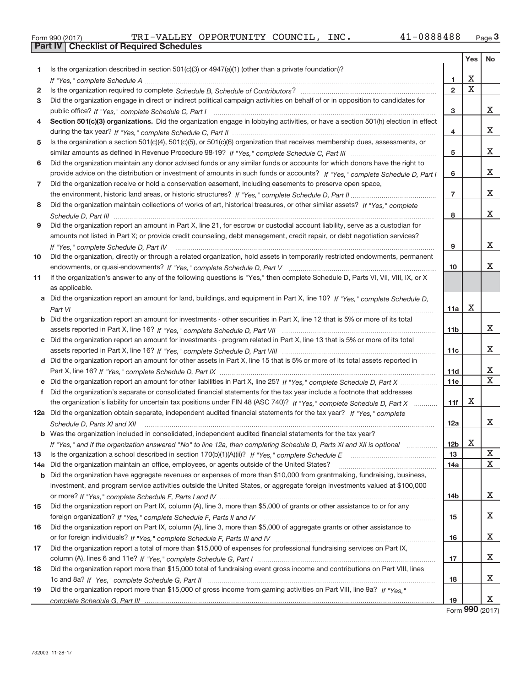|  | Form 990 (2017) |  |
|--|-----------------|--|

| Is the organization described in section $501(c)(3)$ or $4947(a)(1)$ (other than a private foundation)?<br>1.<br>X<br>1<br>X<br>$\overline{2}$<br>2<br>Did the organization engage in direct or indirect political campaign activities on behalf of or in opposition to candidates for<br>3<br>х<br>3<br>Section 501(c)(3) organizations. Did the organization engage in lobbying activities, or have a section 501(h) election in effect<br>4<br>х<br>4<br>Is the organization a section 501(c)(4), 501(c)(5), or 501(c)(6) organization that receives membership dues, assessments, or<br>5<br>х<br>5<br>Did the organization maintain any donor advised funds or any similar funds or accounts for which donors have the right to<br>6<br>х<br>provide advice on the distribution or investment of amounts in such funds or accounts? If "Yes," complete Schedule D, Part I<br>6<br>Did the organization receive or hold a conservation easement, including easements to preserve open space,<br>7<br>х<br>$\overline{7}$<br>Did the organization maintain collections of works of art, historical treasures, or other similar assets? If "Yes," complete<br>8<br>х<br>8<br>Did the organization report an amount in Part X, line 21, for escrow or custodial account liability, serve as a custodian for<br>9<br>amounts not listed in Part X; or provide credit counseling, debt management, credit repair, or debt negotiation services?<br>х<br>9<br>If "Yes," complete Schedule D, Part IV<br>Did the organization, directly or through a related organization, hold assets in temporarily restricted endowments, permanent<br>10<br>x<br>10<br>If the organization's answer to any of the following questions is "Yes," then complete Schedule D, Parts VI, VII, VIII, IX, or X<br>11<br>as applicable.<br>a Did the organization report an amount for land, buildings, and equipment in Part X, line 10? If "Yes," complete Schedule D,<br>Х<br>11a<br><b>b</b> Did the organization report an amount for investments - other securities in Part X, line 12 that is 5% or more of its total<br>х<br>11 <sub>b</sub><br>c Did the organization report an amount for investments - program related in Part X, line 13 that is 5% or more of its total<br>x<br>11c<br>d Did the organization report an amount for other assets in Part X, line 15 that is 5% or more of its total assets reported in<br>х<br>11d<br>$\mathbf X$<br>e Did the organization report an amount for other liabilities in Part X, line 25? If "Yes," complete Schedule D, Part X<br>11e<br>f Did the organization's separate or consolidated financial statements for the tax year include a footnote that addresses<br>X<br>the organization's liability for uncertain tax positions under FIN 48 (ASC 740)? If "Yes," complete Schedule D, Part X<br>11f<br>12a Did the organization obtain separate, independent audited financial statements for the tax year? If "Yes," complete<br>х<br>12a<br>Schedule D, Parts XI and XII<br><b>b</b> Was the organization included in consolidated, independent audited financial statements for the tax year?<br>x<br>12b<br>If "Yes," and if the organization answered "No" to line 12a, then completing Schedule D, Parts XI and XII is optional<br>X<br>13<br>13<br>$\mathbf X$<br>Did the organization maintain an office, employees, or agents outside of the United States?<br>14a<br>14a<br>b Did the organization have aggregate revenues or expenses of more than \$10,000 from grantmaking, fundraising, business,<br>investment, and program service activities outside the United States, or aggregate foreign investments valued at \$100,000<br>Х<br>14b<br>Did the organization report on Part IX, column (A), line 3, more than \$5,000 of grants or other assistance to or for any<br>15<br>Х<br>15<br>Did the organization report on Part IX, column (A), line 3, more than \$5,000 of aggregate grants or other assistance to<br>16<br>х<br>16<br>Did the organization report a total of more than \$15,000 of expenses for professional fundraising services on Part IX,<br>17<br>Х<br>17<br>Did the organization report more than \$15,000 total of fundraising event gross income and contributions on Part VIII, lines<br>18<br>х<br>18<br>Did the organization report more than \$15,000 of gross income from gaming activities on Part VIII, line 9a? If "Yes."<br>19<br>X<br>19 |  | Yes | No |
|--------------------------------------------------------------------------------------------------------------------------------------------------------------------------------------------------------------------------------------------------------------------------------------------------------------------------------------------------------------------------------------------------------------------------------------------------------------------------------------------------------------------------------------------------------------------------------------------------------------------------------------------------------------------------------------------------------------------------------------------------------------------------------------------------------------------------------------------------------------------------------------------------------------------------------------------------------------------------------------------------------------------------------------------------------------------------------------------------------------------------------------------------------------------------------------------------------------------------------------------------------------------------------------------------------------------------------------------------------------------------------------------------------------------------------------------------------------------------------------------------------------------------------------------------------------------------------------------------------------------------------------------------------------------------------------------------------------------------------------------------------------------------------------------------------------------------------------------------------------------------------------------------------------------------------------------------------------------------------------------------------------------------------------------------------------------------------------------------------------------------------------------------------------------------------------------------------------------------------------------------------------------------------------------------------------------------------------------------------------------------------------------------------------------------------------------------------------------------------------------------------------------------------------------------------------------------------------------------------------------------------------------------------------------------------------------------------------------------------------------------------------------------------------------------------------------------------------------------------------------------------------------------------------------------------------------------------------------------------------------------------------------------------------------------------------------------------------------------------------------------------------------------------------------------------------------------------------------------------------------------------------------------------------------------------------------------------------------------------------------------------------------------------------------------------------------------------------------------------------------------------------------------------------------------------------------------------------------------------------------------------------------------------------------------------------------------------------------------------------------------------------------------------------------------------------------------------------------------------------------------------------------------------------------------------------------------------------------------------------------------------------------------------------------------------------------------------------------------------------------------------------------------------------------------------------------------------------------------------------------------------------------------------------------------------------------------------------------------------------------------------------------------------------------------------------|--|-----|----|
|                                                                                                                                                                                                                                                                                                                                                                                                                                                                                                                                                                                                                                                                                                                                                                                                                                                                                                                                                                                                                                                                                                                                                                                                                                                                                                                                                                                                                                                                                                                                                                                                                                                                                                                                                                                                                                                                                                                                                                                                                                                                                                                                                                                                                                                                                                                                                                                                                                                                                                                                                                                                                                                                                                                                                                                                                                                                                                                                                                                                                                                                                                                                                                                                                                                                                                                                                                                                                                                                                                                                                                                                                                                                                                                                                                                                                                                                                                                                                                                                                                                                                                                                                                                                                                                                                                                                                                                                                                      |  |     |    |
|                                                                                                                                                                                                                                                                                                                                                                                                                                                                                                                                                                                                                                                                                                                                                                                                                                                                                                                                                                                                                                                                                                                                                                                                                                                                                                                                                                                                                                                                                                                                                                                                                                                                                                                                                                                                                                                                                                                                                                                                                                                                                                                                                                                                                                                                                                                                                                                                                                                                                                                                                                                                                                                                                                                                                                                                                                                                                                                                                                                                                                                                                                                                                                                                                                                                                                                                                                                                                                                                                                                                                                                                                                                                                                                                                                                                                                                                                                                                                                                                                                                                                                                                                                                                                                                                                                                                                                                                                                      |  |     |    |
|                                                                                                                                                                                                                                                                                                                                                                                                                                                                                                                                                                                                                                                                                                                                                                                                                                                                                                                                                                                                                                                                                                                                                                                                                                                                                                                                                                                                                                                                                                                                                                                                                                                                                                                                                                                                                                                                                                                                                                                                                                                                                                                                                                                                                                                                                                                                                                                                                                                                                                                                                                                                                                                                                                                                                                                                                                                                                                                                                                                                                                                                                                                                                                                                                                                                                                                                                                                                                                                                                                                                                                                                                                                                                                                                                                                                                                                                                                                                                                                                                                                                                                                                                                                                                                                                                                                                                                                                                                      |  |     |    |
|                                                                                                                                                                                                                                                                                                                                                                                                                                                                                                                                                                                                                                                                                                                                                                                                                                                                                                                                                                                                                                                                                                                                                                                                                                                                                                                                                                                                                                                                                                                                                                                                                                                                                                                                                                                                                                                                                                                                                                                                                                                                                                                                                                                                                                                                                                                                                                                                                                                                                                                                                                                                                                                                                                                                                                                                                                                                                                                                                                                                                                                                                                                                                                                                                                                                                                                                                                                                                                                                                                                                                                                                                                                                                                                                                                                                                                                                                                                                                                                                                                                                                                                                                                                                                                                                                                                                                                                                                                      |  |     |    |
|                                                                                                                                                                                                                                                                                                                                                                                                                                                                                                                                                                                                                                                                                                                                                                                                                                                                                                                                                                                                                                                                                                                                                                                                                                                                                                                                                                                                                                                                                                                                                                                                                                                                                                                                                                                                                                                                                                                                                                                                                                                                                                                                                                                                                                                                                                                                                                                                                                                                                                                                                                                                                                                                                                                                                                                                                                                                                                                                                                                                                                                                                                                                                                                                                                                                                                                                                                                                                                                                                                                                                                                                                                                                                                                                                                                                                                                                                                                                                                                                                                                                                                                                                                                                                                                                                                                                                                                                                                      |  |     |    |
|                                                                                                                                                                                                                                                                                                                                                                                                                                                                                                                                                                                                                                                                                                                                                                                                                                                                                                                                                                                                                                                                                                                                                                                                                                                                                                                                                                                                                                                                                                                                                                                                                                                                                                                                                                                                                                                                                                                                                                                                                                                                                                                                                                                                                                                                                                                                                                                                                                                                                                                                                                                                                                                                                                                                                                                                                                                                                                                                                                                                                                                                                                                                                                                                                                                                                                                                                                                                                                                                                                                                                                                                                                                                                                                                                                                                                                                                                                                                                                                                                                                                                                                                                                                                                                                                                                                                                                                                                                      |  |     |    |
|                                                                                                                                                                                                                                                                                                                                                                                                                                                                                                                                                                                                                                                                                                                                                                                                                                                                                                                                                                                                                                                                                                                                                                                                                                                                                                                                                                                                                                                                                                                                                                                                                                                                                                                                                                                                                                                                                                                                                                                                                                                                                                                                                                                                                                                                                                                                                                                                                                                                                                                                                                                                                                                                                                                                                                                                                                                                                                                                                                                                                                                                                                                                                                                                                                                                                                                                                                                                                                                                                                                                                                                                                                                                                                                                                                                                                                                                                                                                                                                                                                                                                                                                                                                                                                                                                                                                                                                                                                      |  |     |    |
|                                                                                                                                                                                                                                                                                                                                                                                                                                                                                                                                                                                                                                                                                                                                                                                                                                                                                                                                                                                                                                                                                                                                                                                                                                                                                                                                                                                                                                                                                                                                                                                                                                                                                                                                                                                                                                                                                                                                                                                                                                                                                                                                                                                                                                                                                                                                                                                                                                                                                                                                                                                                                                                                                                                                                                                                                                                                                                                                                                                                                                                                                                                                                                                                                                                                                                                                                                                                                                                                                                                                                                                                                                                                                                                                                                                                                                                                                                                                                                                                                                                                                                                                                                                                                                                                                                                                                                                                                                      |  |     |    |
|                                                                                                                                                                                                                                                                                                                                                                                                                                                                                                                                                                                                                                                                                                                                                                                                                                                                                                                                                                                                                                                                                                                                                                                                                                                                                                                                                                                                                                                                                                                                                                                                                                                                                                                                                                                                                                                                                                                                                                                                                                                                                                                                                                                                                                                                                                                                                                                                                                                                                                                                                                                                                                                                                                                                                                                                                                                                                                                                                                                                                                                                                                                                                                                                                                                                                                                                                                                                                                                                                                                                                                                                                                                                                                                                                                                                                                                                                                                                                                                                                                                                                                                                                                                                                                                                                                                                                                                                                                      |  |     |    |
|                                                                                                                                                                                                                                                                                                                                                                                                                                                                                                                                                                                                                                                                                                                                                                                                                                                                                                                                                                                                                                                                                                                                                                                                                                                                                                                                                                                                                                                                                                                                                                                                                                                                                                                                                                                                                                                                                                                                                                                                                                                                                                                                                                                                                                                                                                                                                                                                                                                                                                                                                                                                                                                                                                                                                                                                                                                                                                                                                                                                                                                                                                                                                                                                                                                                                                                                                                                                                                                                                                                                                                                                                                                                                                                                                                                                                                                                                                                                                                                                                                                                                                                                                                                                                                                                                                                                                                                                                                      |  |     |    |
|                                                                                                                                                                                                                                                                                                                                                                                                                                                                                                                                                                                                                                                                                                                                                                                                                                                                                                                                                                                                                                                                                                                                                                                                                                                                                                                                                                                                                                                                                                                                                                                                                                                                                                                                                                                                                                                                                                                                                                                                                                                                                                                                                                                                                                                                                                                                                                                                                                                                                                                                                                                                                                                                                                                                                                                                                                                                                                                                                                                                                                                                                                                                                                                                                                                                                                                                                                                                                                                                                                                                                                                                                                                                                                                                                                                                                                                                                                                                                                                                                                                                                                                                                                                                                                                                                                                                                                                                                                      |  |     |    |
|                                                                                                                                                                                                                                                                                                                                                                                                                                                                                                                                                                                                                                                                                                                                                                                                                                                                                                                                                                                                                                                                                                                                                                                                                                                                                                                                                                                                                                                                                                                                                                                                                                                                                                                                                                                                                                                                                                                                                                                                                                                                                                                                                                                                                                                                                                                                                                                                                                                                                                                                                                                                                                                                                                                                                                                                                                                                                                                                                                                                                                                                                                                                                                                                                                                                                                                                                                                                                                                                                                                                                                                                                                                                                                                                                                                                                                                                                                                                                                                                                                                                                                                                                                                                                                                                                                                                                                                                                                      |  |     |    |
|                                                                                                                                                                                                                                                                                                                                                                                                                                                                                                                                                                                                                                                                                                                                                                                                                                                                                                                                                                                                                                                                                                                                                                                                                                                                                                                                                                                                                                                                                                                                                                                                                                                                                                                                                                                                                                                                                                                                                                                                                                                                                                                                                                                                                                                                                                                                                                                                                                                                                                                                                                                                                                                                                                                                                                                                                                                                                                                                                                                                                                                                                                                                                                                                                                                                                                                                                                                                                                                                                                                                                                                                                                                                                                                                                                                                                                                                                                                                                                                                                                                                                                                                                                                                                                                                                                                                                                                                                                      |  |     |    |
|                                                                                                                                                                                                                                                                                                                                                                                                                                                                                                                                                                                                                                                                                                                                                                                                                                                                                                                                                                                                                                                                                                                                                                                                                                                                                                                                                                                                                                                                                                                                                                                                                                                                                                                                                                                                                                                                                                                                                                                                                                                                                                                                                                                                                                                                                                                                                                                                                                                                                                                                                                                                                                                                                                                                                                                                                                                                                                                                                                                                                                                                                                                                                                                                                                                                                                                                                                                                                                                                                                                                                                                                                                                                                                                                                                                                                                                                                                                                                                                                                                                                                                                                                                                                                                                                                                                                                                                                                                      |  |     |    |
|                                                                                                                                                                                                                                                                                                                                                                                                                                                                                                                                                                                                                                                                                                                                                                                                                                                                                                                                                                                                                                                                                                                                                                                                                                                                                                                                                                                                                                                                                                                                                                                                                                                                                                                                                                                                                                                                                                                                                                                                                                                                                                                                                                                                                                                                                                                                                                                                                                                                                                                                                                                                                                                                                                                                                                                                                                                                                                                                                                                                                                                                                                                                                                                                                                                                                                                                                                                                                                                                                                                                                                                                                                                                                                                                                                                                                                                                                                                                                                                                                                                                                                                                                                                                                                                                                                                                                                                                                                      |  |     |    |
|                                                                                                                                                                                                                                                                                                                                                                                                                                                                                                                                                                                                                                                                                                                                                                                                                                                                                                                                                                                                                                                                                                                                                                                                                                                                                                                                                                                                                                                                                                                                                                                                                                                                                                                                                                                                                                                                                                                                                                                                                                                                                                                                                                                                                                                                                                                                                                                                                                                                                                                                                                                                                                                                                                                                                                                                                                                                                                                                                                                                                                                                                                                                                                                                                                                                                                                                                                                                                                                                                                                                                                                                                                                                                                                                                                                                                                                                                                                                                                                                                                                                                                                                                                                                                                                                                                                                                                                                                                      |  |     |    |
|                                                                                                                                                                                                                                                                                                                                                                                                                                                                                                                                                                                                                                                                                                                                                                                                                                                                                                                                                                                                                                                                                                                                                                                                                                                                                                                                                                                                                                                                                                                                                                                                                                                                                                                                                                                                                                                                                                                                                                                                                                                                                                                                                                                                                                                                                                                                                                                                                                                                                                                                                                                                                                                                                                                                                                                                                                                                                                                                                                                                                                                                                                                                                                                                                                                                                                                                                                                                                                                                                                                                                                                                                                                                                                                                                                                                                                                                                                                                                                                                                                                                                                                                                                                                                                                                                                                                                                                                                                      |  |     |    |
|                                                                                                                                                                                                                                                                                                                                                                                                                                                                                                                                                                                                                                                                                                                                                                                                                                                                                                                                                                                                                                                                                                                                                                                                                                                                                                                                                                                                                                                                                                                                                                                                                                                                                                                                                                                                                                                                                                                                                                                                                                                                                                                                                                                                                                                                                                                                                                                                                                                                                                                                                                                                                                                                                                                                                                                                                                                                                                                                                                                                                                                                                                                                                                                                                                                                                                                                                                                                                                                                                                                                                                                                                                                                                                                                                                                                                                                                                                                                                                                                                                                                                                                                                                                                                                                                                                                                                                                                                                      |  |     |    |
|                                                                                                                                                                                                                                                                                                                                                                                                                                                                                                                                                                                                                                                                                                                                                                                                                                                                                                                                                                                                                                                                                                                                                                                                                                                                                                                                                                                                                                                                                                                                                                                                                                                                                                                                                                                                                                                                                                                                                                                                                                                                                                                                                                                                                                                                                                                                                                                                                                                                                                                                                                                                                                                                                                                                                                                                                                                                                                                                                                                                                                                                                                                                                                                                                                                                                                                                                                                                                                                                                                                                                                                                                                                                                                                                                                                                                                                                                                                                                                                                                                                                                                                                                                                                                                                                                                                                                                                                                                      |  |     |    |
|                                                                                                                                                                                                                                                                                                                                                                                                                                                                                                                                                                                                                                                                                                                                                                                                                                                                                                                                                                                                                                                                                                                                                                                                                                                                                                                                                                                                                                                                                                                                                                                                                                                                                                                                                                                                                                                                                                                                                                                                                                                                                                                                                                                                                                                                                                                                                                                                                                                                                                                                                                                                                                                                                                                                                                                                                                                                                                                                                                                                                                                                                                                                                                                                                                                                                                                                                                                                                                                                                                                                                                                                                                                                                                                                                                                                                                                                                                                                                                                                                                                                                                                                                                                                                                                                                                                                                                                                                                      |  |     |    |
|                                                                                                                                                                                                                                                                                                                                                                                                                                                                                                                                                                                                                                                                                                                                                                                                                                                                                                                                                                                                                                                                                                                                                                                                                                                                                                                                                                                                                                                                                                                                                                                                                                                                                                                                                                                                                                                                                                                                                                                                                                                                                                                                                                                                                                                                                                                                                                                                                                                                                                                                                                                                                                                                                                                                                                                                                                                                                                                                                                                                                                                                                                                                                                                                                                                                                                                                                                                                                                                                                                                                                                                                                                                                                                                                                                                                                                                                                                                                                                                                                                                                                                                                                                                                                                                                                                                                                                                                                                      |  |     |    |
|                                                                                                                                                                                                                                                                                                                                                                                                                                                                                                                                                                                                                                                                                                                                                                                                                                                                                                                                                                                                                                                                                                                                                                                                                                                                                                                                                                                                                                                                                                                                                                                                                                                                                                                                                                                                                                                                                                                                                                                                                                                                                                                                                                                                                                                                                                                                                                                                                                                                                                                                                                                                                                                                                                                                                                                                                                                                                                                                                                                                                                                                                                                                                                                                                                                                                                                                                                                                                                                                                                                                                                                                                                                                                                                                                                                                                                                                                                                                                                                                                                                                                                                                                                                                                                                                                                                                                                                                                                      |  |     |    |
|                                                                                                                                                                                                                                                                                                                                                                                                                                                                                                                                                                                                                                                                                                                                                                                                                                                                                                                                                                                                                                                                                                                                                                                                                                                                                                                                                                                                                                                                                                                                                                                                                                                                                                                                                                                                                                                                                                                                                                                                                                                                                                                                                                                                                                                                                                                                                                                                                                                                                                                                                                                                                                                                                                                                                                                                                                                                                                                                                                                                                                                                                                                                                                                                                                                                                                                                                                                                                                                                                                                                                                                                                                                                                                                                                                                                                                                                                                                                                                                                                                                                                                                                                                                                                                                                                                                                                                                                                                      |  |     |    |
|                                                                                                                                                                                                                                                                                                                                                                                                                                                                                                                                                                                                                                                                                                                                                                                                                                                                                                                                                                                                                                                                                                                                                                                                                                                                                                                                                                                                                                                                                                                                                                                                                                                                                                                                                                                                                                                                                                                                                                                                                                                                                                                                                                                                                                                                                                                                                                                                                                                                                                                                                                                                                                                                                                                                                                                                                                                                                                                                                                                                                                                                                                                                                                                                                                                                                                                                                                                                                                                                                                                                                                                                                                                                                                                                                                                                                                                                                                                                                                                                                                                                                                                                                                                                                                                                                                                                                                                                                                      |  |     |    |
|                                                                                                                                                                                                                                                                                                                                                                                                                                                                                                                                                                                                                                                                                                                                                                                                                                                                                                                                                                                                                                                                                                                                                                                                                                                                                                                                                                                                                                                                                                                                                                                                                                                                                                                                                                                                                                                                                                                                                                                                                                                                                                                                                                                                                                                                                                                                                                                                                                                                                                                                                                                                                                                                                                                                                                                                                                                                                                                                                                                                                                                                                                                                                                                                                                                                                                                                                                                                                                                                                                                                                                                                                                                                                                                                                                                                                                                                                                                                                                                                                                                                                                                                                                                                                                                                                                                                                                                                                                      |  |     |    |
|                                                                                                                                                                                                                                                                                                                                                                                                                                                                                                                                                                                                                                                                                                                                                                                                                                                                                                                                                                                                                                                                                                                                                                                                                                                                                                                                                                                                                                                                                                                                                                                                                                                                                                                                                                                                                                                                                                                                                                                                                                                                                                                                                                                                                                                                                                                                                                                                                                                                                                                                                                                                                                                                                                                                                                                                                                                                                                                                                                                                                                                                                                                                                                                                                                                                                                                                                                                                                                                                                                                                                                                                                                                                                                                                                                                                                                                                                                                                                                                                                                                                                                                                                                                                                                                                                                                                                                                                                                      |  |     |    |
|                                                                                                                                                                                                                                                                                                                                                                                                                                                                                                                                                                                                                                                                                                                                                                                                                                                                                                                                                                                                                                                                                                                                                                                                                                                                                                                                                                                                                                                                                                                                                                                                                                                                                                                                                                                                                                                                                                                                                                                                                                                                                                                                                                                                                                                                                                                                                                                                                                                                                                                                                                                                                                                                                                                                                                                                                                                                                                                                                                                                                                                                                                                                                                                                                                                                                                                                                                                                                                                                                                                                                                                                                                                                                                                                                                                                                                                                                                                                                                                                                                                                                                                                                                                                                                                                                                                                                                                                                                      |  |     |    |
|                                                                                                                                                                                                                                                                                                                                                                                                                                                                                                                                                                                                                                                                                                                                                                                                                                                                                                                                                                                                                                                                                                                                                                                                                                                                                                                                                                                                                                                                                                                                                                                                                                                                                                                                                                                                                                                                                                                                                                                                                                                                                                                                                                                                                                                                                                                                                                                                                                                                                                                                                                                                                                                                                                                                                                                                                                                                                                                                                                                                                                                                                                                                                                                                                                                                                                                                                                                                                                                                                                                                                                                                                                                                                                                                                                                                                                                                                                                                                                                                                                                                                                                                                                                                                                                                                                                                                                                                                                      |  |     |    |
|                                                                                                                                                                                                                                                                                                                                                                                                                                                                                                                                                                                                                                                                                                                                                                                                                                                                                                                                                                                                                                                                                                                                                                                                                                                                                                                                                                                                                                                                                                                                                                                                                                                                                                                                                                                                                                                                                                                                                                                                                                                                                                                                                                                                                                                                                                                                                                                                                                                                                                                                                                                                                                                                                                                                                                                                                                                                                                                                                                                                                                                                                                                                                                                                                                                                                                                                                                                                                                                                                                                                                                                                                                                                                                                                                                                                                                                                                                                                                                                                                                                                                                                                                                                                                                                                                                                                                                                                                                      |  |     |    |
|                                                                                                                                                                                                                                                                                                                                                                                                                                                                                                                                                                                                                                                                                                                                                                                                                                                                                                                                                                                                                                                                                                                                                                                                                                                                                                                                                                                                                                                                                                                                                                                                                                                                                                                                                                                                                                                                                                                                                                                                                                                                                                                                                                                                                                                                                                                                                                                                                                                                                                                                                                                                                                                                                                                                                                                                                                                                                                                                                                                                                                                                                                                                                                                                                                                                                                                                                                                                                                                                                                                                                                                                                                                                                                                                                                                                                                                                                                                                                                                                                                                                                                                                                                                                                                                                                                                                                                                                                                      |  |     |    |
|                                                                                                                                                                                                                                                                                                                                                                                                                                                                                                                                                                                                                                                                                                                                                                                                                                                                                                                                                                                                                                                                                                                                                                                                                                                                                                                                                                                                                                                                                                                                                                                                                                                                                                                                                                                                                                                                                                                                                                                                                                                                                                                                                                                                                                                                                                                                                                                                                                                                                                                                                                                                                                                                                                                                                                                                                                                                                                                                                                                                                                                                                                                                                                                                                                                                                                                                                                                                                                                                                                                                                                                                                                                                                                                                                                                                                                                                                                                                                                                                                                                                                                                                                                                                                                                                                                                                                                                                                                      |  |     |    |
|                                                                                                                                                                                                                                                                                                                                                                                                                                                                                                                                                                                                                                                                                                                                                                                                                                                                                                                                                                                                                                                                                                                                                                                                                                                                                                                                                                                                                                                                                                                                                                                                                                                                                                                                                                                                                                                                                                                                                                                                                                                                                                                                                                                                                                                                                                                                                                                                                                                                                                                                                                                                                                                                                                                                                                                                                                                                                                                                                                                                                                                                                                                                                                                                                                                                                                                                                                                                                                                                                                                                                                                                                                                                                                                                                                                                                                                                                                                                                                                                                                                                                                                                                                                                                                                                                                                                                                                                                                      |  |     |    |
|                                                                                                                                                                                                                                                                                                                                                                                                                                                                                                                                                                                                                                                                                                                                                                                                                                                                                                                                                                                                                                                                                                                                                                                                                                                                                                                                                                                                                                                                                                                                                                                                                                                                                                                                                                                                                                                                                                                                                                                                                                                                                                                                                                                                                                                                                                                                                                                                                                                                                                                                                                                                                                                                                                                                                                                                                                                                                                                                                                                                                                                                                                                                                                                                                                                                                                                                                                                                                                                                                                                                                                                                                                                                                                                                                                                                                                                                                                                                                                                                                                                                                                                                                                                                                                                                                                                                                                                                                                      |  |     |    |
|                                                                                                                                                                                                                                                                                                                                                                                                                                                                                                                                                                                                                                                                                                                                                                                                                                                                                                                                                                                                                                                                                                                                                                                                                                                                                                                                                                                                                                                                                                                                                                                                                                                                                                                                                                                                                                                                                                                                                                                                                                                                                                                                                                                                                                                                                                                                                                                                                                                                                                                                                                                                                                                                                                                                                                                                                                                                                                                                                                                                                                                                                                                                                                                                                                                                                                                                                                                                                                                                                                                                                                                                                                                                                                                                                                                                                                                                                                                                                                                                                                                                                                                                                                                                                                                                                                                                                                                                                                      |  |     |    |
|                                                                                                                                                                                                                                                                                                                                                                                                                                                                                                                                                                                                                                                                                                                                                                                                                                                                                                                                                                                                                                                                                                                                                                                                                                                                                                                                                                                                                                                                                                                                                                                                                                                                                                                                                                                                                                                                                                                                                                                                                                                                                                                                                                                                                                                                                                                                                                                                                                                                                                                                                                                                                                                                                                                                                                                                                                                                                                                                                                                                                                                                                                                                                                                                                                                                                                                                                                                                                                                                                                                                                                                                                                                                                                                                                                                                                                                                                                                                                                                                                                                                                                                                                                                                                                                                                                                                                                                                                                      |  |     |    |
|                                                                                                                                                                                                                                                                                                                                                                                                                                                                                                                                                                                                                                                                                                                                                                                                                                                                                                                                                                                                                                                                                                                                                                                                                                                                                                                                                                                                                                                                                                                                                                                                                                                                                                                                                                                                                                                                                                                                                                                                                                                                                                                                                                                                                                                                                                                                                                                                                                                                                                                                                                                                                                                                                                                                                                                                                                                                                                                                                                                                                                                                                                                                                                                                                                                                                                                                                                                                                                                                                                                                                                                                                                                                                                                                                                                                                                                                                                                                                                                                                                                                                                                                                                                                                                                                                                                                                                                                                                      |  |     |    |
|                                                                                                                                                                                                                                                                                                                                                                                                                                                                                                                                                                                                                                                                                                                                                                                                                                                                                                                                                                                                                                                                                                                                                                                                                                                                                                                                                                                                                                                                                                                                                                                                                                                                                                                                                                                                                                                                                                                                                                                                                                                                                                                                                                                                                                                                                                                                                                                                                                                                                                                                                                                                                                                                                                                                                                                                                                                                                                                                                                                                                                                                                                                                                                                                                                                                                                                                                                                                                                                                                                                                                                                                                                                                                                                                                                                                                                                                                                                                                                                                                                                                                                                                                                                                                                                                                                                                                                                                                                      |  |     |    |
|                                                                                                                                                                                                                                                                                                                                                                                                                                                                                                                                                                                                                                                                                                                                                                                                                                                                                                                                                                                                                                                                                                                                                                                                                                                                                                                                                                                                                                                                                                                                                                                                                                                                                                                                                                                                                                                                                                                                                                                                                                                                                                                                                                                                                                                                                                                                                                                                                                                                                                                                                                                                                                                                                                                                                                                                                                                                                                                                                                                                                                                                                                                                                                                                                                                                                                                                                                                                                                                                                                                                                                                                                                                                                                                                                                                                                                                                                                                                                                                                                                                                                                                                                                                                                                                                                                                                                                                                                                      |  |     |    |
|                                                                                                                                                                                                                                                                                                                                                                                                                                                                                                                                                                                                                                                                                                                                                                                                                                                                                                                                                                                                                                                                                                                                                                                                                                                                                                                                                                                                                                                                                                                                                                                                                                                                                                                                                                                                                                                                                                                                                                                                                                                                                                                                                                                                                                                                                                                                                                                                                                                                                                                                                                                                                                                                                                                                                                                                                                                                                                                                                                                                                                                                                                                                                                                                                                                                                                                                                                                                                                                                                                                                                                                                                                                                                                                                                                                                                                                                                                                                                                                                                                                                                                                                                                                                                                                                                                                                                                                                                                      |  |     |    |
|                                                                                                                                                                                                                                                                                                                                                                                                                                                                                                                                                                                                                                                                                                                                                                                                                                                                                                                                                                                                                                                                                                                                                                                                                                                                                                                                                                                                                                                                                                                                                                                                                                                                                                                                                                                                                                                                                                                                                                                                                                                                                                                                                                                                                                                                                                                                                                                                                                                                                                                                                                                                                                                                                                                                                                                                                                                                                                                                                                                                                                                                                                                                                                                                                                                                                                                                                                                                                                                                                                                                                                                                                                                                                                                                                                                                                                                                                                                                                                                                                                                                                                                                                                                                                                                                                                                                                                                                                                      |  |     |    |
|                                                                                                                                                                                                                                                                                                                                                                                                                                                                                                                                                                                                                                                                                                                                                                                                                                                                                                                                                                                                                                                                                                                                                                                                                                                                                                                                                                                                                                                                                                                                                                                                                                                                                                                                                                                                                                                                                                                                                                                                                                                                                                                                                                                                                                                                                                                                                                                                                                                                                                                                                                                                                                                                                                                                                                                                                                                                                                                                                                                                                                                                                                                                                                                                                                                                                                                                                                                                                                                                                                                                                                                                                                                                                                                                                                                                                                                                                                                                                                                                                                                                                                                                                                                                                                                                                                                                                                                                                                      |  |     |    |
|                                                                                                                                                                                                                                                                                                                                                                                                                                                                                                                                                                                                                                                                                                                                                                                                                                                                                                                                                                                                                                                                                                                                                                                                                                                                                                                                                                                                                                                                                                                                                                                                                                                                                                                                                                                                                                                                                                                                                                                                                                                                                                                                                                                                                                                                                                                                                                                                                                                                                                                                                                                                                                                                                                                                                                                                                                                                                                                                                                                                                                                                                                                                                                                                                                                                                                                                                                                                                                                                                                                                                                                                                                                                                                                                                                                                                                                                                                                                                                                                                                                                                                                                                                                                                                                                                                                                                                                                                                      |  |     |    |
|                                                                                                                                                                                                                                                                                                                                                                                                                                                                                                                                                                                                                                                                                                                                                                                                                                                                                                                                                                                                                                                                                                                                                                                                                                                                                                                                                                                                                                                                                                                                                                                                                                                                                                                                                                                                                                                                                                                                                                                                                                                                                                                                                                                                                                                                                                                                                                                                                                                                                                                                                                                                                                                                                                                                                                                                                                                                                                                                                                                                                                                                                                                                                                                                                                                                                                                                                                                                                                                                                                                                                                                                                                                                                                                                                                                                                                                                                                                                                                                                                                                                                                                                                                                                                                                                                                                                                                                                                                      |  |     |    |
|                                                                                                                                                                                                                                                                                                                                                                                                                                                                                                                                                                                                                                                                                                                                                                                                                                                                                                                                                                                                                                                                                                                                                                                                                                                                                                                                                                                                                                                                                                                                                                                                                                                                                                                                                                                                                                                                                                                                                                                                                                                                                                                                                                                                                                                                                                                                                                                                                                                                                                                                                                                                                                                                                                                                                                                                                                                                                                                                                                                                                                                                                                                                                                                                                                                                                                                                                                                                                                                                                                                                                                                                                                                                                                                                                                                                                                                                                                                                                                                                                                                                                                                                                                                                                                                                                                                                                                                                                                      |  |     |    |
|                                                                                                                                                                                                                                                                                                                                                                                                                                                                                                                                                                                                                                                                                                                                                                                                                                                                                                                                                                                                                                                                                                                                                                                                                                                                                                                                                                                                                                                                                                                                                                                                                                                                                                                                                                                                                                                                                                                                                                                                                                                                                                                                                                                                                                                                                                                                                                                                                                                                                                                                                                                                                                                                                                                                                                                                                                                                                                                                                                                                                                                                                                                                                                                                                                                                                                                                                                                                                                                                                                                                                                                                                                                                                                                                                                                                                                                                                                                                                                                                                                                                                                                                                                                                                                                                                                                                                                                                                                      |  |     |    |
|                                                                                                                                                                                                                                                                                                                                                                                                                                                                                                                                                                                                                                                                                                                                                                                                                                                                                                                                                                                                                                                                                                                                                                                                                                                                                                                                                                                                                                                                                                                                                                                                                                                                                                                                                                                                                                                                                                                                                                                                                                                                                                                                                                                                                                                                                                                                                                                                                                                                                                                                                                                                                                                                                                                                                                                                                                                                                                                                                                                                                                                                                                                                                                                                                                                                                                                                                                                                                                                                                                                                                                                                                                                                                                                                                                                                                                                                                                                                                                                                                                                                                                                                                                                                                                                                                                                                                                                                                                      |  |     |    |
|                                                                                                                                                                                                                                                                                                                                                                                                                                                                                                                                                                                                                                                                                                                                                                                                                                                                                                                                                                                                                                                                                                                                                                                                                                                                                                                                                                                                                                                                                                                                                                                                                                                                                                                                                                                                                                                                                                                                                                                                                                                                                                                                                                                                                                                                                                                                                                                                                                                                                                                                                                                                                                                                                                                                                                                                                                                                                                                                                                                                                                                                                                                                                                                                                                                                                                                                                                                                                                                                                                                                                                                                                                                                                                                                                                                                                                                                                                                                                                                                                                                                                                                                                                                                                                                                                                                                                                                                                                      |  |     |    |
|                                                                                                                                                                                                                                                                                                                                                                                                                                                                                                                                                                                                                                                                                                                                                                                                                                                                                                                                                                                                                                                                                                                                                                                                                                                                                                                                                                                                                                                                                                                                                                                                                                                                                                                                                                                                                                                                                                                                                                                                                                                                                                                                                                                                                                                                                                                                                                                                                                                                                                                                                                                                                                                                                                                                                                                                                                                                                                                                                                                                                                                                                                                                                                                                                                                                                                                                                                                                                                                                                                                                                                                                                                                                                                                                                                                                                                                                                                                                                                                                                                                                                                                                                                                                                                                                                                                                                                                                                                      |  |     |    |
|                                                                                                                                                                                                                                                                                                                                                                                                                                                                                                                                                                                                                                                                                                                                                                                                                                                                                                                                                                                                                                                                                                                                                                                                                                                                                                                                                                                                                                                                                                                                                                                                                                                                                                                                                                                                                                                                                                                                                                                                                                                                                                                                                                                                                                                                                                                                                                                                                                                                                                                                                                                                                                                                                                                                                                                                                                                                                                                                                                                                                                                                                                                                                                                                                                                                                                                                                                                                                                                                                                                                                                                                                                                                                                                                                                                                                                                                                                                                                                                                                                                                                                                                                                                                                                                                                                                                                                                                                                      |  |     |    |
|                                                                                                                                                                                                                                                                                                                                                                                                                                                                                                                                                                                                                                                                                                                                                                                                                                                                                                                                                                                                                                                                                                                                                                                                                                                                                                                                                                                                                                                                                                                                                                                                                                                                                                                                                                                                                                                                                                                                                                                                                                                                                                                                                                                                                                                                                                                                                                                                                                                                                                                                                                                                                                                                                                                                                                                                                                                                                                                                                                                                                                                                                                                                                                                                                                                                                                                                                                                                                                                                                                                                                                                                                                                                                                                                                                                                                                                                                                                                                                                                                                                                                                                                                                                                                                                                                                                                                                                                                                      |  |     |    |
|                                                                                                                                                                                                                                                                                                                                                                                                                                                                                                                                                                                                                                                                                                                                                                                                                                                                                                                                                                                                                                                                                                                                                                                                                                                                                                                                                                                                                                                                                                                                                                                                                                                                                                                                                                                                                                                                                                                                                                                                                                                                                                                                                                                                                                                                                                                                                                                                                                                                                                                                                                                                                                                                                                                                                                                                                                                                                                                                                                                                                                                                                                                                                                                                                                                                                                                                                                                                                                                                                                                                                                                                                                                                                                                                                                                                                                                                                                                                                                                                                                                                                                                                                                                                                                                                                                                                                                                                                                      |  |     |    |

Form **990** (2017)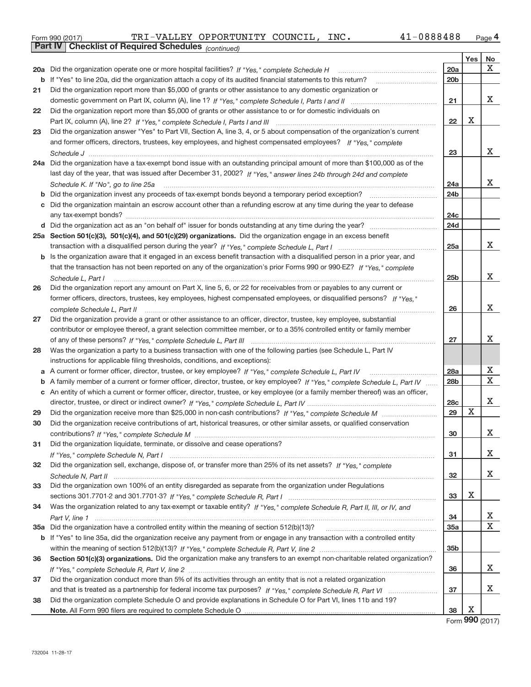| Form 990 (2017) |  | TRI-VALLEY OPPORTUNITY COUNCIL, |  | INC. | 41-0888488 | Page |
|-----------------|--|---------------------------------|--|------|------------|------|
|-----------------|--|---------------------------------|--|------|------------|------|

|    | <b>Part IV</b> Checklist of Required Schedules (continued)                                                                        |                 |     |    |
|----|-----------------------------------------------------------------------------------------------------------------------------------|-----------------|-----|----|
|    |                                                                                                                                   |                 | Yes | No |
|    | 20a Did the organization operate one or more hospital facilities? If "Yes," complete Schedule H                                   | 20a             |     | х  |
| b  | If "Yes" to line 20a, did the organization attach a copy of its audited financial statements to this return?                      | 20 <sub>b</sub> |     |    |
| 21 | Did the organization report more than \$5,000 of grants or other assistance to any domestic organization or                       |                 |     |    |
|    |                                                                                                                                   | 21              |     | х  |
| 22 | Did the organization report more than \$5,000 of grants or other assistance to or for domestic individuals on                     |                 |     |    |
|    |                                                                                                                                   | 22              | X   |    |
| 23 | Did the organization answer "Yes" to Part VII, Section A, line 3, 4, or 5 about compensation of the organization's current        |                 |     |    |
|    | and former officers, directors, trustees, key employees, and highest compensated employees? If "Yes," complete                    |                 |     |    |
|    |                                                                                                                                   | 23              |     | x  |
|    | 24a Did the organization have a tax-exempt bond issue with an outstanding principal amount of more than \$100,000 as of the       |                 |     |    |
|    | last day of the year, that was issued after December 31, 2002? If "Yes," answer lines 24b through 24d and complete                |                 |     |    |
|    |                                                                                                                                   | 24a             |     | x  |
|    |                                                                                                                                   | 24 <sub>b</sub> |     |    |
| с  | Did the organization maintain an escrow account other than a refunding escrow at any time during the year to defease              |                 |     |    |
|    |                                                                                                                                   | 24 <sub>c</sub> |     |    |
|    |                                                                                                                                   | 24d             |     |    |
|    | 25a Section 501(c)(3), 501(c)(4), and 501(c)(29) organizations. Did the organization engage in an excess benefit                  |                 |     |    |
|    |                                                                                                                                   | 25a             |     | x  |
| b  | Is the organization aware that it engaged in an excess benefit transaction with a disqualified person in a prior year, and        |                 |     |    |
|    | that the transaction has not been reported on any of the organization's prior Forms 990 or 990-EZ? If "Yes," complete             |                 |     |    |
|    | Schedule L, Part I                                                                                                                | 25 <sub>b</sub> |     | X  |
| 26 | Did the organization report any amount on Part X, line 5, 6, or 22 for receivables from or payables to any current or             |                 |     |    |
|    | former officers, directors, trustees, key employees, highest compensated employees, or disqualified persons? If "Yes."            |                 |     |    |
|    | complete Schedule L, Part II                                                                                                      | 26              |     | x  |
| 27 | Did the organization provide a grant or other assistance to an officer, director, trustee, key employee, substantial              |                 |     |    |
|    | contributor or employee thereof, a grant selection committee member, or to a 35% controlled entity or family member               |                 |     |    |
|    |                                                                                                                                   | 27              |     | X. |
| 28 | Was the organization a party to a business transaction with one of the following parties (see Schedule L, Part IV                 |                 |     |    |
|    | instructions for applicable filing thresholds, conditions, and exceptions):                                                       |                 |     |    |
| а  |                                                                                                                                   | 28a             |     | х  |
| b  | A family member of a current or former officer, director, trustee, or key employee? If "Yes," complete Schedule L, Part IV        | 28 <sub>b</sub> |     | X  |
|    | c An entity of which a current or former officer, director, trustee, or key employee (or a family member thereof) was an officer, |                 |     |    |
|    |                                                                                                                                   | 28 <sub>c</sub> |     | x  |
| 29 |                                                                                                                                   | 29              | Χ   |    |
| 30 | Did the organization receive contributions of art, historical treasures, or other similar assets, or qualified conservation       |                 |     |    |
|    |                                                                                                                                   | 30              |     | Χ  |
| 31 | Did the organization liquidate, terminate, or dissolve and cease operations?                                                      |                 |     |    |
|    |                                                                                                                                   | 31              |     | X  |
| 32 | Did the organization sell, exchange, dispose of, or transfer more than 25% of its net assets? If "Yes," complete                  |                 |     |    |
|    |                                                                                                                                   | 32              |     | X  |
| 33 | Did the organization own 100% of an entity disregarded as separate from the organization under Regulations                        |                 |     |    |
|    |                                                                                                                                   | 33              | х   |    |
| 34 | Was the organization related to any tax-exempt or taxable entity? If "Yes," complete Schedule R, Part II, III, or IV, and         |                 |     |    |
|    |                                                                                                                                   | 34              |     | х  |
|    |                                                                                                                                   | 35a             |     | Χ  |
|    | b If "Yes" to line 35a, did the organization receive any payment from or engage in any transaction with a controlled entity       |                 |     |    |
|    |                                                                                                                                   | 35 <sub>b</sub> |     |    |
| 36 | Section 501(c)(3) organizations. Did the organization make any transfers to an exempt non-charitable related organization?        |                 |     |    |
|    |                                                                                                                                   | 36              |     | X. |
| 37 | Did the organization conduct more than 5% of its activities through an entity that is not a related organization                  |                 |     |    |
|    |                                                                                                                                   | 37              |     | x  |
| 38 | Did the organization complete Schedule O and provide explanations in Schedule O for Part VI, lines 11b and 19?                    |                 |     |    |
|    |                                                                                                                                   | 38              | х   |    |

Form **990** (2017)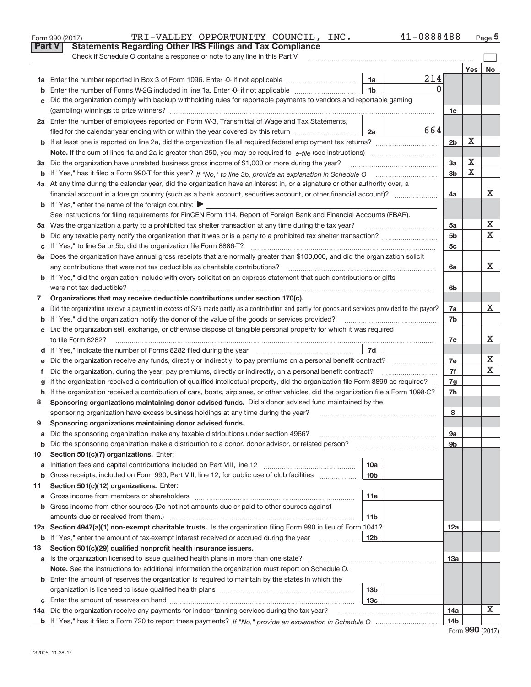|         | <b>Part V</b><br><b>Statements Regarding Other IRS Filings and Tax Compliance</b>                                                                                                                                                          |                                    |              |                 |             |        |
|---------|--------------------------------------------------------------------------------------------------------------------------------------------------------------------------------------------------------------------------------------------|------------------------------------|--------------|-----------------|-------------|--------|
|         | Check if Schedule O contains a response or note to any line in this Part V                                                                                                                                                                 |                                    |              |                 |             |        |
|         |                                                                                                                                                                                                                                            |                                    |              |                 | Yes         | No     |
|         |                                                                                                                                                                                                                                            | 1a                                 | 214          |                 |             |        |
|         | Enter the number of Forms W-2G included in line 1a. Enter -0- if not applicable                                                                                                                                                            | 1 <sub>b</sub>                     | <sup>0</sup> |                 |             |        |
|         | Did the organization comply with backup withholding rules for reportable payments to vendors and reportable gaming                                                                                                                         |                                    |              |                 |             |        |
|         |                                                                                                                                                                                                                                            |                                    |              | 1c              |             |        |
|         | 2a Enter the number of employees reported on Form W-3, Transmittal of Wage and Tax Statements,                                                                                                                                             |                                    |              |                 |             |        |
|         | filed for the calendar year ending with or within the year covered by this return                                                                                                                                                          | 2a                                 | 664          |                 |             |        |
|         |                                                                                                                                                                                                                                            |                                    |              | 2 <sub>b</sub>  | X           |        |
|         |                                                                                                                                                                                                                                            |                                    |              |                 | Х           |        |
|         | 3a Did the organization have unrelated business gross income of \$1,000 or more during the year?                                                                                                                                           |                                    |              | 3a              | $\mathbf X$ |        |
|         |                                                                                                                                                                                                                                            |                                    |              | 3 <sub>b</sub>  |             |        |
|         | 4a At any time during the calendar year, did the organization have an interest in, or a signature or other authority over, a                                                                                                               |                                    |              | 4a              |             | x      |
|         | financial account in a foreign country (such as a bank account, securities account, or other financial account)?<br><b>b</b> If "Yes," enter the name of the foreign country: $\blacktriangleright$                                        |                                    |              |                 |             |        |
|         | See instructions for filing requirements for FinCEN Form 114, Report of Foreign Bank and Financial Accounts (FBAR).                                                                                                                        |                                    |              |                 |             |        |
|         |                                                                                                                                                                                                                                            |                                    |              | 5a              |             | х      |
| b       |                                                                                                                                                                                                                                            |                                    |              | 5 <sub>b</sub>  |             | X      |
|         |                                                                                                                                                                                                                                            |                                    |              | 5c              |             |        |
|         | 6a Does the organization have annual gross receipts that are normally greater than \$100,000, and did the organization solicit                                                                                                             |                                    |              |                 |             |        |
|         | any contributions that were not tax deductible as charitable contributions?                                                                                                                                                                |                                    |              | 6a              |             | x      |
|         | <b>b</b> If "Yes," did the organization include with every solicitation an express statement that such contributions or gifts                                                                                                              |                                    |              |                 |             |        |
|         | were not tax deductible?                                                                                                                                                                                                                   |                                    |              | 6b              |             |        |
| 7       | Organizations that may receive deductible contributions under section 170(c).                                                                                                                                                              |                                    |              |                 |             |        |
| а       | Did the organization receive a payment in excess of \$75 made partly as a contribution and partly for goods and services provided to the payor?                                                                                            |                                    |              | 7a              |             | x      |
|         | If "Yes," did the organization notify the donor of the value of the goods or services provided?                                                                                                                                            |                                    |              | 7b              |             |        |
|         | c Did the organization sell, exchange, or otherwise dispose of tangible personal property for which it was required                                                                                                                        |                                    |              |                 |             |        |
|         |                                                                                                                                                                                                                                            |                                    |              | 7c              |             | х      |
|         | d If "Yes," indicate the number of Forms 8282 filed during the year manufactured in the set of the set of the summan summan summan summan summan summan summan summan summan summan summan summan summan summan summan summan              | 7d                                 |              |                 |             |        |
|         | Did the organization receive any funds, directly or indirectly, to pay premiums on a personal benefit contract?                                                                                                                            |                                    |              | 7e              |             | Х<br>X |
| f       | Did the organization, during the year, pay premiums, directly or indirectly, on a personal benefit contract?                                                                                                                               |                                    |              | 7f              |             |        |
|         | If the organization received a contribution of qualified intellectual property, did the organization file Form 8899 as required?                                                                                                           |                                    |              | 7g<br>7h        |             |        |
| h.<br>8 | If the organization received a contribution of cars, boats, airplanes, or other vehicles, did the organization file a Form 1098-C?<br>Sponsoring organizations maintaining donor advised funds. Did a donor advised fund maintained by the |                                    |              |                 |             |        |
|         | sponsoring organization have excess business holdings at any time during the year?                                                                                                                                                         |                                    |              | 8               |             |        |
| 9       | Sponsoring organizations maintaining donor advised funds.                                                                                                                                                                                  |                                    |              |                 |             |        |
| а       | Did the sponsoring organization make any taxable distributions under section 4966?                                                                                                                                                         |                                    |              | 9а              |             |        |
| b       | Did the sponsoring organization make a distribution to a donor, donor advisor, or related person?                                                                                                                                          |                                    |              | 9b              |             |        |
| 10      | Section 501(c)(7) organizations. Enter:                                                                                                                                                                                                    |                                    |              |                 |             |        |
| a       |                                                                                                                                                                                                                                            | 10a                                |              |                 |             |        |
| b       | Gross receipts, included on Form 990, Part VIII, line 12, for public use of club facilities                                                                                                                                                | 10 <sub>b</sub>                    |              |                 |             |        |
| 11      | Section 501(c)(12) organizations. Enter:                                                                                                                                                                                                   |                                    |              |                 |             |        |
| а       | Gross income from members or shareholders                                                                                                                                                                                                  | 11a                                |              |                 |             |        |
| b       | Gross income from other sources (Do not net amounts due or paid to other sources against                                                                                                                                                   |                                    |              |                 |             |        |
|         | amounts due or received from them.)                                                                                                                                                                                                        | 11 <sub>b</sub>                    |              |                 |             |        |
|         | 12a Section 4947(a)(1) non-exempt charitable trusts. Is the organization filing Form 990 in lieu of Form 1041?                                                                                                                             |                                    |              | 12a             |             |        |
| b       | If "Yes," enter the amount of tax-exempt interest received or accrued during the year                                                                                                                                                      | 12 <sub>b</sub>                    |              |                 |             |        |
| 13      | Section 501(c)(29) qualified nonprofit health insurance issuers.                                                                                                                                                                           |                                    |              |                 |             |        |
|         | a Is the organization licensed to issue qualified health plans in more than one state?                                                                                                                                                     |                                    |              | 13а             |             |        |
|         | Note. See the instructions for additional information the organization must report on Schedule O.                                                                                                                                          |                                    |              |                 |             |        |
|         | <b>b</b> Enter the amount of reserves the organization is required to maintain by the states in which the                                                                                                                                  |                                    |              |                 |             |        |
|         |                                                                                                                                                                                                                                            | 13 <sub>b</sub><br>13 <sub>c</sub> |              |                 |             |        |
|         | 14a Did the organization receive any payments for indoor tanning services during the tax year?                                                                                                                                             |                                    |              | 14a             |             | х      |
|         |                                                                                                                                                                                                                                            |                                    |              | 14 <sub>b</sub> |             |        |
|         |                                                                                                                                                                                                                                            |                                    |              |                 |             |        |

 $_{\rm Form\ 990\ (2017)}$  Page TRI–VALLEY OPPORTUNITY COUNCIL, INC.  $41$ –0888488  $_{\rm Page}$ 

| Form 990 (2017) |  |
|-----------------|--|
|-----------------|--|

**5**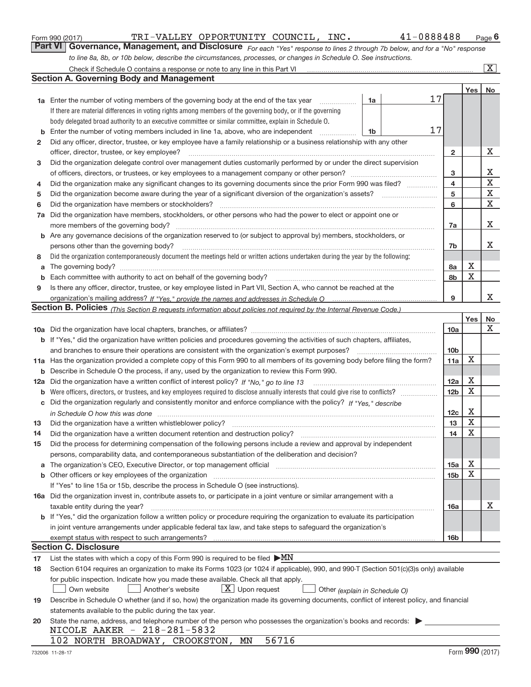|  | Form 990 (2017) |
|--|-----------------|
|  |                 |

*For each "Yes" response to lines 2 through 7b below, and for a "No" response to line 8a, 8b, or 10b below, describe the circumstances, processes, or changes in Schedule O. See instructions.* **Part VI Governance, Management, and Disclosure** 

|     | Check if Schedule O contains a response or note to any line in this Part VI                                                                                                   |                               |    |                 |            | X           |
|-----|-------------------------------------------------------------------------------------------------------------------------------------------------------------------------------|-------------------------------|----|-----------------|------------|-------------|
|     | <b>Section A. Governing Body and Management</b>                                                                                                                               |                               |    |                 |            |             |
|     |                                                                                                                                                                               |                               |    |                 | <b>Yes</b> | No          |
|     | 1a Enter the number of voting members of the governing body at the end of the tax year                                                                                        | 1a                            | 17 |                 |            |             |
|     | If there are material differences in voting rights among members of the governing body, or if the governing                                                                   |                               |    |                 |            |             |
|     | body delegated broad authority to an executive committee or similar committee, explain in Schedule O.                                                                         |                               |    |                 |            |             |
| b   | Enter the number of voting members included in line 1a, above, who are independent                                                                                            | 1b                            | 17 |                 |            |             |
| 2   | Did any officer, director, trustee, or key employee have a family relationship or a business relationship with any other                                                      |                               |    |                 |            |             |
|     | officer, director, trustee, or key employee?                                                                                                                                  |                               | .  | $\mathbf{2}$    |            | х           |
| 3   | Did the organization delegate control over management duties customarily performed by or under the direct supervision                                                         |                               |    |                 |            |             |
|     |                                                                                                                                                                               |                               |    | з               |            | х           |
| 4   | Did the organization make any significant changes to its governing documents since the prior Form 990 was filed?                                                              |                               |    | 4               |            | $\mathbf X$ |
| 5   |                                                                                                                                                                               |                               |    | 5               |            | $\mathbf X$ |
| 6   | Did the organization have members or stockholders?                                                                                                                            |                               |    | 6               |            | Χ           |
| 7a  | Did the organization have members, stockholders, or other persons who had the power to elect or appoint one or                                                                |                               |    |                 |            |             |
|     | more members of the governing body?                                                                                                                                           |                               |    | 7a              |            | х           |
| b   | Are any governance decisions of the organization reserved to (or subject to approval by) members, stockholders, or                                                            |                               |    |                 |            |             |
|     | persons other than the governing body?                                                                                                                                        |                               |    | 7b              |            | x           |
| 8   | Did the organization contemporaneously document the meetings held or written actions undertaken during the year by the following:                                             |                               |    |                 |            |             |
| a   |                                                                                                                                                                               |                               |    | 8а              | Х          |             |
| b   |                                                                                                                                                                               |                               |    | 8b              | X          |             |
| 9   | Is there any officer, director, trustee, or key employee listed in Part VII, Section A, who cannot be reached at the                                                          |                               |    |                 |            |             |
|     |                                                                                                                                                                               |                               |    | 9               |            | X.          |
|     | <b>Section B. Policies</b> (This Section B requests information about policies not required by the Internal Revenue Code.)                                                    |                               |    |                 |            |             |
|     |                                                                                                                                                                               |                               |    |                 | Yes        | No          |
|     |                                                                                                                                                                               |                               |    | 10a             |            | Χ           |
|     | <b>b</b> If "Yes," did the organization have written policies and procedures governing the activities of such chapters, affiliates,                                           |                               |    |                 |            |             |
|     | and branches to ensure their operations are consistent with the organization's exempt purposes?                                                                               |                               |    | 10 <sub>b</sub> |            |             |
|     | 11a Has the organization provided a complete copy of this Form 990 to all members of its governing body before filing the form?                                               |                               |    | 11a             | X          |             |
| b   | Describe in Schedule O the process, if any, used by the organization to review this Form 990.                                                                                 |                               |    |                 |            |             |
| 12a | Did the organization have a written conflict of interest policy? If "No," go to line 13                                                                                       |                               |    | 12a             | Х          |             |
| b   |                                                                                                                                                                               |                               |    | 12 <sub>b</sub> | X          |             |
| С   | Did the organization regularly and consistently monitor and enforce compliance with the policy? If "Yes," describe                                                            |                               |    |                 |            |             |
|     | in Schedule O how this was done encourance and the control of the state of the state of the state of the state o                                                              |                               |    | 12c             | Х          |             |
| 13  | Did the organization have a written whistleblower policy?                                                                                                                     |                               |    | 13              | Х          |             |
| 14  | Did the organization have a written document retention and destruction policy?                                                                                                |                               |    | 14              | X          |             |
| 15  | Did the process for determining compensation of the following persons include a review and approval by independent                                                            |                               |    |                 |            |             |
|     | persons, comparability data, and contemporaneous substantiation of the deliberation and decision?                                                                             |                               |    |                 |            |             |
| a   | The organization's CEO, Executive Director, or top management official manufactured content content of the organization's CEO, Executive Director, or top management official |                               |    | 15a             | Х          |             |
| b   |                                                                                                                                                                               |                               |    | 15b             | х          |             |
|     | If "Yes" to line 15a or 15b, describe the process in Schedule O (see instructions).                                                                                           |                               |    |                 |            |             |
|     | 16a Did the organization invest in, contribute assets to, or participate in a joint venture or similar arrangement with a                                                     |                               |    |                 |            |             |
|     | taxable entity during the year?                                                                                                                                               |                               |    | 16a             |            | х           |
|     | b If "Yes," did the organization follow a written policy or procedure requiring the organization to evaluate its participation                                                |                               |    |                 |            |             |
|     | in joint venture arrangements under applicable federal tax law, and take steps to safequard the organization's                                                                |                               |    |                 |            |             |
|     | exempt status with respect to such arrangements?                                                                                                                              |                               |    | 16 <sub>b</sub> |            |             |
|     | <b>Section C. Disclosure</b>                                                                                                                                                  |                               |    |                 |            |             |
| 17  | List the states with which a copy of this Form 990 is required to be filed $\triangleright$ MN                                                                                |                               |    |                 |            |             |
| 18  | Section 6104 requires an organization to make its Forms 1023 (or 1024 if applicable), 990, and 990-T (Section 501(c)(3)s only) available                                      |                               |    |                 |            |             |
|     | for public inspection. Indicate how you made these available. Check all that apply.                                                                                           |                               |    |                 |            |             |
|     | $X$ Upon request<br>Another's website<br>Own website                                                                                                                          | Other (explain in Schedule O) |    |                 |            |             |
| 19  | Describe in Schedule O whether (and if so, how) the organization made its governing documents, conflict of interest policy, and financial                                     |                               |    |                 |            |             |
|     | statements available to the public during the tax year.                                                                                                                       |                               |    |                 |            |             |
| 20  | State the name, address, and telephone number of the person who possesses the organization's books and records:                                                               |                               |    |                 |            |             |
|     | NICOLE AAKER - 218-281-5832                                                                                                                                                   |                               |    |                 |            |             |
|     | 56716<br>102 NORTH BROADWAY, CROOKSTON, MN                                                                                                                                    |                               |    |                 |            |             |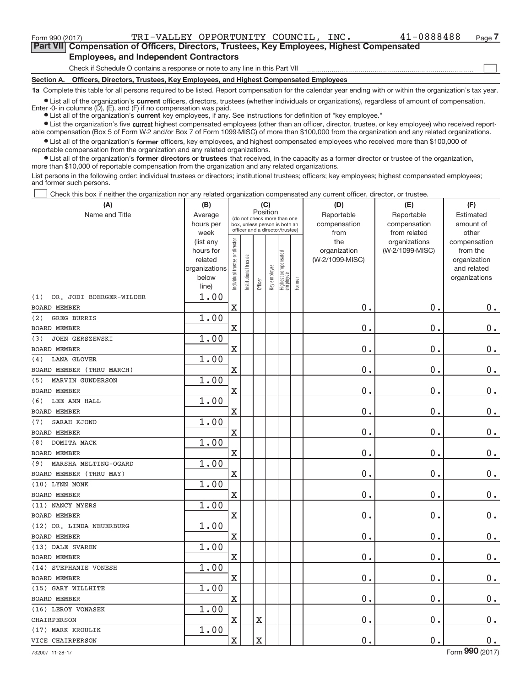Form 990 (2017) Page TRI‐VALLEY OPPORTUNITY COUNCIL, INC. 41‐0888488

 $\boxed{\phantom{1}}$ 

**Part VII Compensation of Officers, Directors, Trustees, Key Employees, Highest Compensated Employees, and Independent Contractors**

Check if Schedule O contains a response or note to any line in this Part VII

**Section A. Officers, Directors, Trustees, Key Employees, and Highest Compensated Employees**

**1a**  Complete this table for all persons required to be listed. Report compensation for the calendar year ending with or within the organization's tax year.

 $\bullet$  List all of the organization's current officers, directors, trustees (whether individuals or organizations), regardless of amount of compensation. Enter  $-0$ - in columns  $(D)$ ,  $(E)$ , and  $(F)$  if no compensation was paid.

**•** List all of the organization's current key employees, if any. See instructions for definition of "key employee."

● List the organization's five current highest compensated employees (other than an officer, director, trustee, or key employee) who received reportable compensation (Box 5 of Form W‐2 and/or Box 7 of Form 1099‐MISC) of more than \$100,000 from the organization and any related organizations.

 $\bullet$  List all of the organization's former officers, key employees, and highest compensated employees who received more than \$100,000 of reportable compensation from the organization and any related organizations.

**•** List all of the organization's former directors or trustees that received, in the capacity as a former director or trustee of the organization, more than \$10,000 of reportable compensation from the organization and any related organizations.

List persons in the following order: individual trustees or directors; institutional trustees; officers; key employees; highest compensated employees; and former such persons.

Check this box if neither the organization nor any related organization compensated any current officer, director, or trustee.  $\Box$ 

| (A)                            | (B)                    |                                |                                                                  | (C)      |              |                                 |        | (D)                 | (E)                              | (F)                      |
|--------------------------------|------------------------|--------------------------------|------------------------------------------------------------------|----------|--------------|---------------------------------|--------|---------------------|----------------------------------|--------------------------|
| Name and Title                 | Average                |                                | (do not check more than one                                      | Position |              |                                 |        | Reportable          | Reportable                       | Estimated                |
|                                | hours per              |                                | box, unless person is both an<br>officer and a director/trustee) |          |              |                                 |        | compensation        | compensation                     | amount of                |
|                                | week                   |                                |                                                                  |          |              |                                 |        | from                | from related                     | other                    |
|                                | (list any<br>hours for |                                |                                                                  |          |              |                                 |        | the<br>organization | organizations<br>(W-2/1099-MISC) | compensation<br>from the |
|                                | related                |                                |                                                                  |          |              |                                 |        | (W-2/1099-MISC)     |                                  | organization             |
|                                | organizations          |                                |                                                                  |          |              |                                 |        |                     |                                  | and related              |
|                                | below                  | Individual trustee or director | Institutional trustee                                            |          | Key employee | Highest compensated<br>employee |        |                     |                                  | organizations            |
|                                | line)                  |                                |                                                                  | Officer  |              |                                 | Former |                     |                                  |                          |
| DR. JODI BOERGER-WILDER<br>(1) | 1.00                   |                                |                                                                  |          |              |                                 |        |                     |                                  |                          |
| <b>BOARD MEMBER</b>            |                        | $\overline{\text{X}}$          |                                                                  |          |              |                                 |        | 0.                  | 0.                               | $0 \cdot$                |
| GREG BURRIS<br>(2)             | 1.00                   |                                |                                                                  |          |              |                                 |        |                     |                                  |                          |
| <b>BOARD MEMBER</b>            |                        | $\mathbf X$                    |                                                                  |          |              |                                 |        | $0$ .               | $\mathbf 0$ .                    | $0$ .                    |
| JOHN GERSZEWSKI<br>(3)         | 1.00                   |                                |                                                                  |          |              |                                 |        |                     |                                  |                          |
| <b>BOARD MEMBER</b>            |                        | $\mathbf X$                    |                                                                  |          |              |                                 |        | $\mathbf 0$ .       | 0.                               | $\mathbf 0$ .            |
| <b>LANA GLOVER</b><br>(4)      | 1.00                   |                                |                                                                  |          |              |                                 |        |                     |                                  |                          |
| BOARD MEMBER (THRU MARCH)      |                        | $\overline{\text{X}}$          |                                                                  |          |              |                                 |        | $\mathbf 0$ .       | 0.                               | $\mathbf 0$ .            |
| MARVIN GUNDERSON<br>(5)        | 1.00                   |                                |                                                                  |          |              |                                 |        |                     |                                  |                          |
| <b>BOARD MEMBER</b>            |                        | $\overline{\text{X}}$          |                                                                  |          |              |                                 |        | 0.                  | 0.                               | $0$ .                    |
| LEE ANN HALL<br>(6)            | 1.00                   |                                |                                                                  |          |              |                                 |        |                     |                                  |                          |
| <b>BOARD MEMBER</b>            |                        | $\overline{\text{X}}$          |                                                                  |          |              |                                 |        | $\mathbf 0$ .       | 0.                               | $0$ .                    |
| SARAH KJONO<br>(7)             | 1.00                   |                                |                                                                  |          |              |                                 |        |                     |                                  |                          |
| <b>BOARD MEMBER</b>            |                        | $\overline{\text{X}}$          |                                                                  |          |              |                                 |        | $\mathbf 0$ .       | 0.                               | $0$ .                    |
| DOMITA MACK<br>(8)             | 1.00                   |                                |                                                                  |          |              |                                 |        |                     |                                  |                          |
| <b>BOARD MEMBER</b>            |                        | $\mathbf X$                    |                                                                  |          |              |                                 |        | 0.                  | 0.                               | $0$ .                    |
| MARSHA MELTING-OGARD<br>(9)    | 1.00                   |                                |                                                                  |          |              |                                 |        |                     |                                  |                          |
| BOARD MEMBER (THRU MAY)        |                        | $\mathbf X$                    |                                                                  |          |              |                                 |        | $0$ .               | 0.                               | $0 \cdot$                |
| (10) LYNN MONK                 | 1.00                   |                                |                                                                  |          |              |                                 |        |                     |                                  |                          |
| <b>BOARD MEMBER</b>            |                        | $\mathbf X$                    |                                                                  |          |              |                                 |        | $\mathbf 0$ .       | $\mathbf 0$ .                    | $0$ .                    |
| (11) NANCY MYERS               | 1.00                   |                                |                                                                  |          |              |                                 |        |                     |                                  |                          |
| <b>BOARD MEMBER</b>            |                        | $\mathbf X$                    |                                                                  |          |              |                                 |        | $\mathbf 0$ .       | 0.                               | $0 \cdot$                |
| (12) DR. LINDA NEUERBURG       | 1.00                   |                                |                                                                  |          |              |                                 |        |                     |                                  |                          |
| <b>BOARD MEMBER</b>            |                        | $\mathbf X$                    |                                                                  |          |              |                                 |        | $0$ .               | 0.                               | $0$ .                    |
| (13) DALE SVAREN               | 1.00                   |                                |                                                                  |          |              |                                 |        |                     |                                  |                          |
| <b>BOARD MEMBER</b>            |                        | $\mathbf X$                    |                                                                  |          |              |                                 |        | 0.                  | 0.                               | $0$ .                    |
| (14) STEPHANIE VONESH          | 1.00                   |                                |                                                                  |          |              |                                 |        |                     |                                  |                          |
| <b>BOARD MEMBER</b>            |                        | $\mathbf X$                    |                                                                  |          |              |                                 |        | 0.                  | 0.                               | $0$ .                    |
| (15) GARY WILLHITE             | 1.00                   |                                |                                                                  |          |              |                                 |        |                     |                                  |                          |
| <b>BOARD MEMBER</b>            |                        | $\mathbf X$                    |                                                                  |          |              |                                 |        | $0$ .               | 0.                               | $0$ .                    |
| (16) LEROY VONASEK             | 1.00                   |                                |                                                                  |          |              |                                 |        |                     |                                  |                          |
| CHAIRPERSON                    |                        | $\mathbf X$                    |                                                                  | X        |              |                                 |        | 0.                  | 0.                               | $0$ .                    |
| (17) MARK KROULIK              | 1.00                   |                                |                                                                  |          |              |                                 |        |                     |                                  |                          |
| <b>VICE CHAIRPERSON</b>        |                        | $\mathbf X$                    |                                                                  | X        |              |                                 |        | 0.                  | 0.                               | $0$ .                    |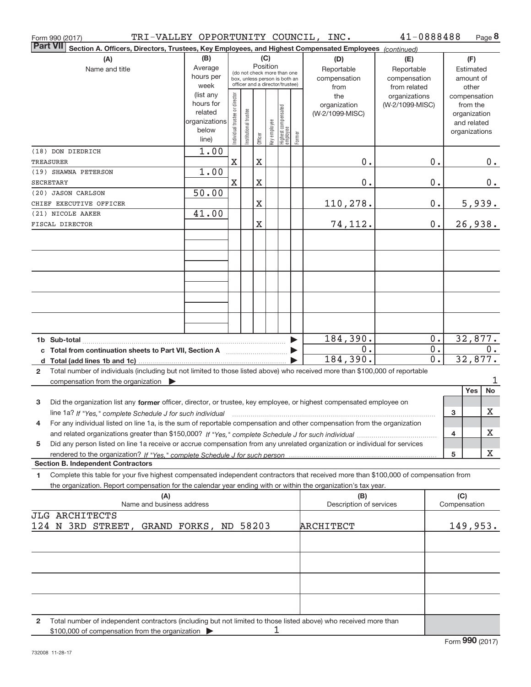| TRI-VALLEY OPPORTUNITY COUNCIL, INC.<br>Form 990 (2017)                                                                                         |               |                                |                       |                       |              |                                                              |                       |                                | 41-0888488      |       |                     | Page 8           |
|-------------------------------------------------------------------------------------------------------------------------------------------------|---------------|--------------------------------|-----------------------|-----------------------|--------------|--------------------------------------------------------------|-----------------------|--------------------------------|-----------------|-------|---------------------|------------------|
| <b>Part VII</b><br>Section A. Officers, Directors, Trustees, Key Employees, and Highest Compensated Employees (continued)                       |               |                                |                       |                       |              |                                                              |                       |                                |                 |       |                     |                  |
| (A)                                                                                                                                             | (B)           |                                |                       |                       | (C)          |                                                              |                       | (D)                            | (E)             |       |                     | (F)              |
| Name and title                                                                                                                                  | Average       |                                |                       |                       | Position     |                                                              |                       | Reportable                     | Reportable      |       |                     | Estimated        |
|                                                                                                                                                 | hours per     |                                |                       |                       |              | (do not check more than one<br>box, unless person is both an |                       | compensation                   | compensation    |       |                     | amount of        |
|                                                                                                                                                 | week          |                                |                       |                       |              | officer and a director/trustee)                              |                       | from                           | from related    |       |                     | other            |
|                                                                                                                                                 | (list any     |                                |                       |                       |              |                                                              |                       | the                            | organizations   |       |                     | compensation     |
|                                                                                                                                                 | hours for     |                                |                       |                       |              |                                                              |                       | organization                   | (W-2/1099-MISC) |       |                     | from the         |
|                                                                                                                                                 | related       |                                |                       |                       |              |                                                              |                       | (W-2/1099-MISC)                |                 |       |                     | organization     |
|                                                                                                                                                 | organizations |                                |                       |                       |              |                                                              |                       |                                |                 |       |                     | and related      |
|                                                                                                                                                 | below         | Individual trustee or director | Institutional trustee |                       | Key employee | Highest compensated<br>employee                              |                       |                                |                 |       |                     | organizations    |
|                                                                                                                                                 | line)         |                                |                       | Officer               |              |                                                              | Former                |                                |                 |       |                     |                  |
| (18) DON DIEDRICH                                                                                                                               | 1.00          |                                |                       |                       |              |                                                              |                       |                                |                 |       |                     |                  |
| <b>TREASURER</b>                                                                                                                                |               | $\mathbf X$                    |                       | $\mathbf X$           |              |                                                              |                       | 0.                             |                 | 0.    |                     | 0.               |
| (19) SHAWNA PETERSON                                                                                                                            | 1.00          |                                |                       |                       |              |                                                              |                       |                                |                 |       |                     |                  |
| <b>SECRETARY</b>                                                                                                                                |               | $\mathbf X$                    |                       | X                     |              |                                                              |                       | 0.                             |                 | 0.    |                     | 0.               |
| (20) JASON CARLSON                                                                                                                              | 50.00         |                                |                       |                       |              |                                                              |                       |                                |                 |       |                     |                  |
| CHIEF EXECUTIVE OFFICER                                                                                                                         |               |                                |                       | $\overline{\text{X}}$ |              |                                                              |                       | 110,278.                       |                 | $0$ . |                     | 5,939.           |
| (21) NICOLE AAKER                                                                                                                               | 41.00         |                                |                       |                       |              |                                                              |                       |                                |                 |       |                     |                  |
| FISCAL DIRECTOR                                                                                                                                 |               |                                |                       | X                     |              |                                                              |                       | 74,112.                        |                 |       |                     | 26,938.          |
|                                                                                                                                                 |               |                                |                       |                       |              |                                                              |                       |                                |                 | 0.    |                     |                  |
|                                                                                                                                                 |               |                                |                       |                       |              |                                                              |                       |                                |                 |       |                     |                  |
|                                                                                                                                                 |               |                                |                       |                       |              |                                                              |                       |                                |                 |       |                     |                  |
|                                                                                                                                                 |               |                                |                       |                       |              |                                                              |                       |                                |                 |       |                     |                  |
|                                                                                                                                                 |               |                                |                       |                       |              |                                                              |                       |                                |                 |       |                     |                  |
|                                                                                                                                                 |               |                                |                       |                       |              |                                                              |                       |                                |                 |       |                     |                  |
|                                                                                                                                                 |               |                                |                       |                       |              |                                                              |                       |                                |                 |       |                     |                  |
|                                                                                                                                                 |               |                                |                       |                       |              |                                                              |                       |                                |                 |       |                     |                  |
|                                                                                                                                                 |               |                                |                       |                       |              |                                                              |                       |                                |                 |       |                     |                  |
|                                                                                                                                                 |               |                                |                       |                       |              |                                                              |                       |                                |                 |       |                     |                  |
|                                                                                                                                                 |               |                                |                       |                       |              |                                                              |                       |                                |                 |       |                     |                  |
|                                                                                                                                                 |               |                                |                       |                       |              |                                                              | $\blacktriangleright$ | 184,390.                       |                 | 0.    |                     | 32,877.          |
|                                                                                                                                                 |               |                                |                       |                       |              |                                                              |                       | 0.                             |                 | 0.    |                     | $\overline{0}$ . |
|                                                                                                                                                 |               |                                |                       |                       |              |                                                              | ▶                     | 184,390.                       |                 | 0.    |                     | 32,877.          |
| d                                                                                                                                               |               |                                |                       |                       |              |                                                              |                       |                                |                 |       |                     |                  |
| Total number of individuals (including but not limited to those listed above) who received more than \$100,000 of reportable<br>$\mathbf{2}$    |               |                                |                       |                       |              |                                                              |                       |                                |                 |       |                     |                  |
| compensation from the organization $\blacktriangleright$                                                                                        |               |                                |                       |                       |              |                                                              |                       |                                |                 |       |                     | ı                |
|                                                                                                                                                 |               |                                |                       |                       |              |                                                              |                       |                                |                 |       |                     | Yes<br>No        |
| 3<br>Did the organization list any former officer, director, or trustee, key employee, or highest compensated employee on                       |               |                                |                       |                       |              |                                                              |                       |                                |                 |       |                     |                  |
| line 1a? If "Yes," complete Schedule J for such individual manufactured contained and the 1a? If "Yes," complete Schedule J for such individual |               |                                |                       |                       |              |                                                              |                       |                                |                 |       | з                   | X                |
| For any individual listed on line 1a, is the sum of reportable compensation and other compensation from the organization                        |               |                                |                       |                       |              |                                                              |                       |                                |                 |       |                     |                  |
|                                                                                                                                                 |               |                                |                       |                       |              |                                                              |                       |                                |                 |       | 4                   | х                |
| Did any person listed on line 1a receive or accrue compensation from any unrelated organization or individual for services<br>5                 |               |                                |                       |                       |              |                                                              |                       |                                |                 |       |                     |                  |
|                                                                                                                                                 |               |                                |                       |                       |              |                                                              |                       |                                |                 |       | 5                   | х                |
| <b>Section B. Independent Contractors</b>                                                                                                       |               |                                |                       |                       |              |                                                              |                       |                                |                 |       |                     |                  |
| Complete this table for your five highest compensated independent contractors that received more than \$100,000 of compensation from<br>1.      |               |                                |                       |                       |              |                                                              |                       |                                |                 |       |                     |                  |
| the organization. Report compensation for the calendar year ending with or within the organization's tax year.                                  |               |                                |                       |                       |              |                                                              |                       |                                |                 |       |                     |                  |
|                                                                                                                                                 |               |                                |                       |                       |              |                                                              |                       |                                |                 |       |                     |                  |
| (A)<br>Name and business address                                                                                                                |               |                                |                       |                       |              |                                                              |                       | (B)<br>Description of services |                 |       | (C)<br>Compensation |                  |
|                                                                                                                                                 |               |                                |                       |                       |              |                                                              |                       |                                |                 |       |                     |                  |
| JLG ARCHITECTS                                                                                                                                  |               |                                |                       |                       |              |                                                              |                       |                                |                 |       |                     |                  |
| 124 N 3RD STREET, GRAND FORKS, ND 58203                                                                                                         |               |                                |                       |                       |              |                                                              |                       | ARCHITECT                      |                 |       |                     | 149,953.         |
|                                                                                                                                                 |               |                                |                       |                       |              |                                                              |                       |                                |                 |       |                     |                  |
|                                                                                                                                                 |               |                                |                       |                       |              |                                                              |                       |                                |                 |       |                     |                  |
|                                                                                                                                                 |               |                                |                       |                       |              |                                                              |                       |                                |                 |       |                     |                  |
|                                                                                                                                                 |               |                                |                       |                       |              |                                                              |                       |                                |                 |       |                     |                  |
|                                                                                                                                                 |               |                                |                       |                       |              |                                                              |                       |                                |                 |       |                     |                  |
|                                                                                                                                                 |               |                                |                       |                       |              |                                                              |                       |                                |                 |       |                     |                  |
|                                                                                                                                                 |               |                                |                       |                       |              |                                                              |                       |                                |                 |       |                     |                  |
|                                                                                                                                                 |               |                                |                       |                       |              |                                                              |                       |                                |                 |       |                     |                  |
|                                                                                                                                                 |               |                                |                       |                       |              |                                                              |                       |                                |                 |       |                     |                  |
| Total number of independent contractors (including but not limited to those listed above) who received more than<br>2                           |               |                                |                       |                       | 1            |                                                              |                       |                                |                 |       |                     |                  |
| \$100,000 of compensation from the organization                                                                                                 |               |                                |                       |                       |              |                                                              |                       |                                |                 |       |                     |                  |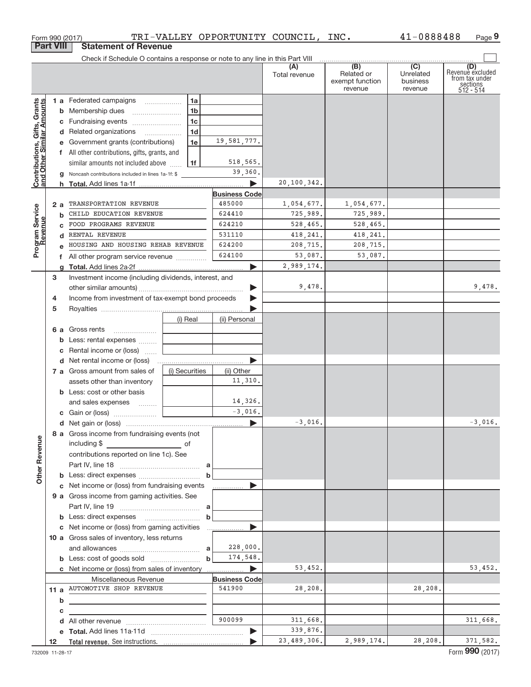|                                                           | Form 990 (2017)  |                                                                               |                |                      | TRI-VALLEY OPPORTUNITY COUNCIL, INC. |                                                                       | 41-0888488                                           | Page 9                                                             |
|-----------------------------------------------------------|------------------|-------------------------------------------------------------------------------|----------------|----------------------|--------------------------------------|-----------------------------------------------------------------------|------------------------------------------------------|--------------------------------------------------------------------|
|                                                           | <b>Part VIII</b> | <b>Statement of Revenue</b>                                                   |                |                      |                                      |                                                                       |                                                      |                                                                    |
|                                                           |                  | Check if Schedule O contains a response or note to any line in this Part VIII |                |                      |                                      |                                                                       |                                                      |                                                                    |
|                                                           |                  |                                                                               |                |                      | (A)<br>Total revenue                 | $\overline{(\mathsf{B})}$<br>Related or<br>exempt function<br>revenue | $\overline{(C)}$<br>Unrelated<br>business<br>revenue | (D)<br>Revenue excluded<br>from tax under<br>sections<br>512 - 514 |
|                                                           |                  | 1 a Federated campaigns                                                       | 1a             |                      |                                      |                                                                       |                                                      |                                                                    |
| Contributions, Gifts, Grants<br>and Other Similar Amounts |                  | <b>b</b> Membership dues                                                      | 1b             |                      |                                      |                                                                       |                                                      |                                                                    |
|                                                           |                  |                                                                               | 1 <sub>c</sub> |                      |                                      |                                                                       |                                                      |                                                                    |
|                                                           |                  | d Related organizations                                                       | 1 <sub>d</sub> |                      |                                      |                                                                       |                                                      |                                                                    |
|                                                           |                  | e Government grants (contributions)                                           | 1e             | 19,581,777.          |                                      |                                                                       |                                                      |                                                                    |
|                                                           |                  |                                                                               |                |                      |                                      |                                                                       |                                                      |                                                                    |
|                                                           |                  | f All other contributions, gifts, grants, and                                 |                | 518,565.             |                                      |                                                                       |                                                      |                                                                    |
|                                                           |                  | similar amounts not included above                                            | 1f             |                      |                                      |                                                                       |                                                      |                                                                    |
|                                                           |                  | Noncash contributions included in lines 1a-1f: \$                             |                | 39,360.              |                                      |                                                                       |                                                      |                                                                    |
|                                                           |                  |                                                                               |                | ь                    | 20,100,342.                          |                                                                       |                                                      |                                                                    |
|                                                           |                  |                                                                               |                | <b>Business Code</b> |                                      |                                                                       |                                                      |                                                                    |
|                                                           | 2a               | TRANSPORTATION REVENUE                                                        |                | 485000               | 1,054,677.                           | 1,054,677.                                                            |                                                      |                                                                    |
|                                                           | b                | CHILD EDUCATION REVENUE                                                       |                | 624410               | 725,989.                             | 725,989.                                                              |                                                      |                                                                    |
|                                                           | <sub>c</sub>     | FOOD PROGRAMS REVENUE                                                         |                | 624210               | 528, 465.                            | 528,465.                                                              |                                                      |                                                                    |
|                                                           | d                | RENTAL REVENUE                                                                |                | 531110               | 418,241.                             | 418,241.                                                              |                                                      |                                                                    |
| Program Service<br>Revenue                                |                  | HOUSING AND HOUSING REHAB REVENUE                                             |                | 624200               | 208,715.                             | 208,715.                                                              |                                                      |                                                                    |
|                                                           | f                | All other program service revenue                                             |                | 624100               | 53,087.                              | 53,087.                                                               |                                                      |                                                                    |
|                                                           |                  |                                                                               |                | ь                    | 2,989,174.                           |                                                                       |                                                      |                                                                    |
|                                                           | 3                | Investment income (including dividends, interest, and                         |                |                      |                                      |                                                                       |                                                      |                                                                    |
|                                                           |                  |                                                                               |                | ▶                    | 9,478.                               |                                                                       |                                                      | 9,478.                                                             |
|                                                           | 4                | Income from investment of tax-exempt bond proceeds                            |                |                      |                                      |                                                                       |                                                      |                                                                    |
|                                                           | 5                |                                                                               |                |                      |                                      |                                                                       |                                                      |                                                                    |
|                                                           |                  |                                                                               | (i) Real       | (ii) Personal        |                                      |                                                                       |                                                      |                                                                    |
|                                                           |                  | <b>6 a</b> Gross rents                                                        |                |                      |                                      |                                                                       |                                                      |                                                                    |
|                                                           | b                | Less: rental expenses  [                                                      |                |                      |                                      |                                                                       |                                                      |                                                                    |
|                                                           | c                | Rental income or (loss)                                                       |                |                      |                                      |                                                                       |                                                      |                                                                    |
|                                                           |                  |                                                                               |                | ь                    |                                      |                                                                       |                                                      |                                                                    |
|                                                           |                  | 7 a Gross amount from sales of                                                | (i) Securities | (ii) Other           |                                      |                                                                       |                                                      |                                                                    |
|                                                           |                  | assets other than inventory                                                   |                | 11,310.              |                                      |                                                                       |                                                      |                                                                    |
|                                                           |                  | <b>b</b> Less: cost or other basis                                            |                |                      |                                      |                                                                       |                                                      |                                                                    |
|                                                           |                  | and sales expenses                                                            |                | 14,326.              |                                      |                                                                       |                                                      |                                                                    |
|                                                           |                  |                                                                               |                | $-3,016.$            |                                      |                                                                       |                                                      |                                                                    |
|                                                           |                  |                                                                               |                |                      | $-3,016.$                            |                                                                       |                                                      | 3,016.                                                             |
|                                                           |                  | 8 a Gross income from fundraising events (not                                 |                |                      |                                      |                                                                       |                                                      |                                                                    |
|                                                           |                  | including \$                                                                  |                |                      |                                      |                                                                       |                                                      |                                                                    |
|                                                           |                  | $\overline{\phantom{a}}$ of                                                   |                |                      |                                      |                                                                       |                                                      |                                                                    |
|                                                           |                  | contributions reported on line 1c). See                                       |                |                      |                                      |                                                                       |                                                      |                                                                    |
| <b>Other Revenue</b>                                      |                  |                                                                               |                |                      |                                      |                                                                       |                                                      |                                                                    |
|                                                           |                  |                                                                               | b              |                      |                                      |                                                                       |                                                      |                                                                    |
|                                                           |                  | c Net income or (loss) from fundraising events                                |                | ▶<br>.               |                                      |                                                                       |                                                      |                                                                    |
|                                                           |                  | 9 a Gross income from gaming activities. See                                  |                |                      |                                      |                                                                       |                                                      |                                                                    |
|                                                           |                  |                                                                               |                |                      |                                      |                                                                       |                                                      |                                                                    |
|                                                           |                  |                                                                               | b              |                      |                                      |                                                                       |                                                      |                                                                    |
|                                                           |                  | c Net income or (loss) from gaming activities                                 |                | ▶                    |                                      |                                                                       |                                                      |                                                                    |
|                                                           |                  | 10 a Gross sales of inventory, less returns                                   |                |                      |                                      |                                                                       |                                                      |                                                                    |
|                                                           |                  |                                                                               |                | 228,000.             |                                      |                                                                       |                                                      |                                                                    |
|                                                           |                  |                                                                               | $\mathbf b$    | 174,548.             |                                      |                                                                       |                                                      |                                                                    |
|                                                           |                  |                                                                               |                |                      | 53,452.                              |                                                                       |                                                      | 53,452.                                                            |
|                                                           |                  | Miscellaneous Revenue                                                         |                | <b>Business Code</b> |                                      |                                                                       |                                                      |                                                                    |
|                                                           |                  | 11 a AUTOMOTIVE SHOP REVENUE                                                  |                | 541900               | 28,208.                              |                                                                       | 28,208.                                              |                                                                    |
|                                                           | b                | <u> 1989 - Andrea Andrew Maria (h. 1989).</u>                                 |                |                      |                                      |                                                                       |                                                      |                                                                    |
|                                                           | c                |                                                                               |                |                      |                                      |                                                                       |                                                      |                                                                    |
|                                                           | d                |                                                                               |                | 900099               | 311,668.                             |                                                                       |                                                      | 311,668.                                                           |
|                                                           |                  |                                                                               |                | ▶                    | 339,876.                             |                                                                       |                                                      |                                                                    |
|                                                           | 12               |                                                                               |                |                      | 23,489,306.                          | 2,989,174.                                                            | 28, 208.                                             | 371,582.                                                           |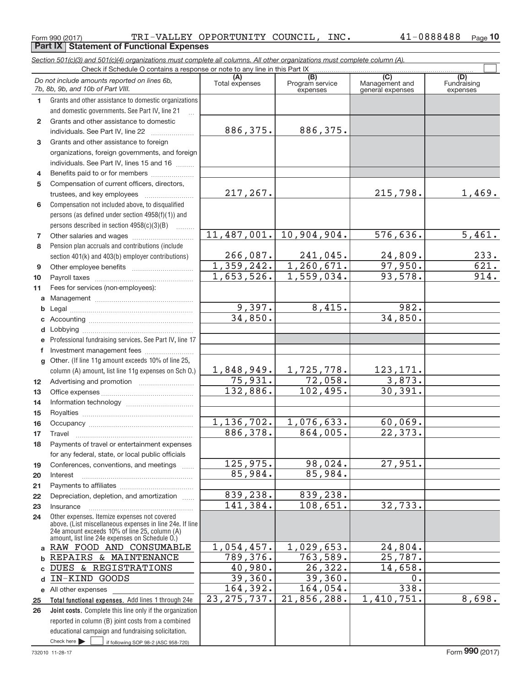#### Form 990 (2017) Page **Part IX Statement of Functional Expenses** TRI‐VALLEY OPPORTUNITY COUNCIL, INC. 41‐0888488

*Section 501(c)(3) and 501(c)(4) organizations must complete all columns. All other organizations must complete column (A).*

41-0888488 Page 10

|                 | Do not include amounts reported on lines 6b,<br>7b, 8b, 9b, and 10b of Part VIII.                                                                         | (A)<br>Total expenses | (B)<br>Program service<br>expenses | $\overline{C}$<br>Management and<br>general expenses | (D)<br>Fundraising<br>expenses |
|-----------------|-----------------------------------------------------------------------------------------------------------------------------------------------------------|-----------------------|------------------------------------|------------------------------------------------------|--------------------------------|
| 1.              | Grants and other assistance to domestic organizations                                                                                                     |                       |                                    |                                                      |                                |
|                 | and domestic governments. See Part IV, line 21                                                                                                            |                       |                                    |                                                      |                                |
| $\mathbf{2}$    | Grants and other assistance to domestic                                                                                                                   |                       |                                    |                                                      |                                |
|                 | individuals. See Part IV, line 22                                                                                                                         | 886,375.              | 886,375.                           |                                                      |                                |
| 3               | Grants and other assistance to foreign                                                                                                                    |                       |                                    |                                                      |                                |
|                 | organizations, foreign governments, and foreign                                                                                                           |                       |                                    |                                                      |                                |
|                 | individuals. See Part IV, lines 15 and 16                                                                                                                 |                       |                                    |                                                      |                                |
| 4               | Benefits paid to or for members                                                                                                                           |                       |                                    |                                                      |                                |
| 5               | Compensation of current officers, directors,                                                                                                              |                       |                                    |                                                      |                                |
|                 |                                                                                                                                                           | 217,267.              |                                    | 215,798.                                             | 1,469.                         |
| 6               | Compensation not included above, to disqualified                                                                                                          |                       |                                    |                                                      |                                |
|                 | persons (as defined under section 4958(f)(1)) and                                                                                                         |                       |                                    |                                                      |                                |
|                 | persons described in section 4958(c)(3)(B)<br>1.1.1.1.1.1.1                                                                                               |                       |                                    |                                                      |                                |
| 7               |                                                                                                                                                           |                       | 11,487,001. 10,904,904.            | 576,636.                                             | 5,461.                         |
| 8               | Pension plan accruals and contributions (include                                                                                                          |                       |                                    |                                                      |                                |
|                 | section 401(k) and 403(b) employer contributions)                                                                                                         | 266,087.              | $241,045$ .                        | 24,809.                                              | 233.                           |
| 9               |                                                                                                                                                           | 1,359,242.            | 1, 260, 671.                       | 97,950.                                              | 621.                           |
| 10              |                                                                                                                                                           | 1,653,526.            | 1,559,034.                         | 93,578.                                              | 914.                           |
| 11              | Fees for services (non-employees):                                                                                                                        |                       |                                    |                                                      |                                |
| a               |                                                                                                                                                           |                       |                                    |                                                      |                                |
| b               |                                                                                                                                                           | 9,397.                | 8,415.                             | 982.                                                 |                                |
| С               |                                                                                                                                                           | 34,850.               |                                    | 34,850.                                              |                                |
| d               |                                                                                                                                                           |                       |                                    |                                                      |                                |
| е               | Professional fundraising services. See Part IV, line 17                                                                                                   |                       |                                    |                                                      |                                |
| f               | Investment management fees                                                                                                                                |                       |                                    |                                                      |                                |
| $\mathbf{q}$    | Other. (If line 11g amount exceeds 10% of line 25,                                                                                                        | 1,848,949.            | 1,725,778.                         | 123, 171.                                            |                                |
|                 | column (A) amount, list line 11g expenses on Sch O.)                                                                                                      | 75,931.               | 72,058.                            | 3,873.                                               |                                |
| 12 <sup>2</sup> |                                                                                                                                                           | 132,886.              | 102,495.                           | 30, 391.                                             |                                |
| 13<br>14        |                                                                                                                                                           |                       |                                    |                                                      |                                |
| 15              |                                                                                                                                                           |                       |                                    |                                                      |                                |
| 16              |                                                                                                                                                           | 1,136,702.            | 1,076,633.                         | 60,069.                                              |                                |
| 17              | Travel                                                                                                                                                    | 886, 378.             | 864,005.                           | 22,373.                                              |                                |
| 18              | Payments of travel or entertainment expenses                                                                                                              |                       |                                    |                                                      |                                |
|                 | for any federal, state, or local public officials                                                                                                         |                       |                                    |                                                      |                                |
| 19              | Conferences, conventions, and meetings                                                                                                                    | 125,975.              | 98,024.                            | 27,951.                                              |                                |
| 20              | Interest                                                                                                                                                  | 85,984.               | 85,984.                            |                                                      |                                |
| 21              |                                                                                                                                                           |                       |                                    |                                                      |                                |
| 22              | Depreciation, depletion, and amortization                                                                                                                 | 839,238.              | 839,238.                           |                                                      |                                |
| 23              | Insurance                                                                                                                                                 | 141,384.              | 108,651.                           | 32,733.                                              |                                |
| 24              | Other expenses. Itemize expenses not covered<br>above. (List miscellaneous expenses in line 24e. If line<br>24e amount exceeds 10% of line 25, column (A) |                       |                                    |                                                      |                                |
|                 | amount, list line 24e expenses on Schedule O.)                                                                                                            |                       |                                    |                                                      |                                |
|                 | a RAW FOOD AND CONSUMABLE                                                                                                                                 | 1,054,457.            | 1,029,653.                         | 24,804.                                              |                                |
|                 | REPAIRS & MAINTENANCE<br>DUES & REGISTRATIONS                                                                                                             | 789,376.<br>40,980.   | 763,589.<br>26,322.                | 25,787.<br>14,658.                                   |                                |
|                 | IN-KIND GOODS                                                                                                                                             | 39,360.               | 39,360.                            | 0.                                                   |                                |
| d               | e All other expenses                                                                                                                                      | 164,392.              | 164,054.                           | 338.                                                 |                                |
|                 | Total functional expenses. Add lines 1 through 24e                                                                                                        | 23, 275, 737.         | 21,856,288.                        | 1,410,751.                                           | 8,698.                         |
| 25<br>26        | Joint costs. Complete this line only if the organization                                                                                                  |                       |                                    |                                                      |                                |
|                 | reported in column (B) joint costs from a combined                                                                                                        |                       |                                    |                                                      |                                |
|                 | educational campaign and fundraising solicitation.                                                                                                        |                       |                                    |                                                      |                                |
|                 | Check here<br>if following SOP 98-2 (ASC 958-720)                                                                                                         |                       |                                    |                                                      |                                |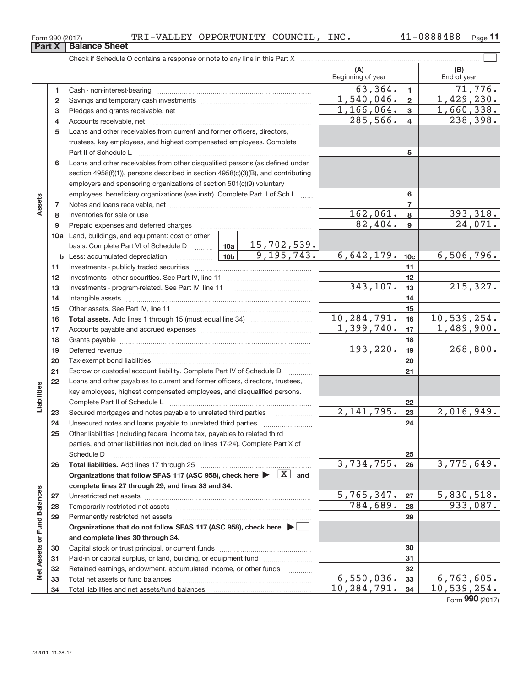**26**

**27 28 29**

**Net Assets or Fund Balances**

Net Assets or Fund Balances

| TRI-VALLEY OPPORTUNITY COUNCIL,<br>Form 990 (2017) | INC. | 41-0888488<br>Page |  |
|----------------------------------------------------|------|--------------------|--|
|----------------------------------------------------|------|--------------------|--|

**11**

|             | Part X   | <b>Balance Sheet</b>                                                              |            |                             |                         |                           |
|-------------|----------|-----------------------------------------------------------------------------------|------------|-----------------------------|-------------------------|---------------------------|
|             |          |                                                                                   |            |                             |                         |                           |
|             |          |                                                                                   |            | (A)<br>Beginning of year    |                         | (B)<br>End of year        |
|             | 1        |                                                                                   |            | 63,364.                     | $\mathbf{1}$            | 71,776.                   |
|             | 2        |                                                                                   |            | 1,540,046.                  | $\overline{2}$          | 1,429,230.                |
|             | 3        |                                                                                   | 1,166,064. | 3                           | 1,660,338.              |                           |
|             | 4        |                                                                                   |            | 285,566.                    | $\overline{\mathbf{4}}$ | 238,398.                  |
|             | 5        | Loans and other receivables from current and former officers, directors,          |            |                             |                         |                           |
|             |          | trustees, key employees, and highest compensated employees. Complete              |            |                             |                         |                           |
|             |          | Part II of Schedule L                                                             |            |                             | 5                       |                           |
|             | 6        | Loans and other receivables from other disqualified persons (as defined under     |            |                             |                         |                           |
|             |          | section 4958(f)(1)), persons described in section 4958(c)(3)(B), and contributing |            |                             |                         |                           |
|             |          | employers and sponsoring organizations of section 501(c)(9) voluntary             |            |                             |                         |                           |
|             |          | employees' beneficiary organizations (see instr). Complete Part II of Sch L       |            | 6                           |                         |                           |
| Assets      | 7        |                                                                                   |            |                             | $\overline{7}$          |                           |
|             | 8        |                                                                                   | 162,061.   | 8                           | 393, 318.               |                           |
|             | 9        | Prepaid expenses and deferred charges                                             |            | 82,404.                     | 9                       | $\overline{24,071}$ .     |
|             |          | 10a Land, buildings, and equipment: cost or other                                 |            |                             |                         |                           |
|             |          |                                                                                   |            |                             |                         |                           |
|             |          |                                                                                   |            | 6,642,179.                  | 10 <sub>c</sub>         | 6,506,796.                |
|             | 11       |                                                                                   |            |                             | 11                      |                           |
|             | 12       |                                                                                   |            |                             | 12                      |                           |
|             | 13       |                                                                                   |            | 343,107.                    | 13                      | 215, 327.                 |
|             | 14       |                                                                                   |            |                             | 14                      |                           |
|             | 15       |                                                                                   |            |                             | 15                      |                           |
|             | 16       |                                                                                   |            | 10, 284, 791.<br>1,399,740. | 16                      | 10,539,254.<br>1,489,900. |
|             | 17       |                                                                                   |            |                             | 17<br>18                |                           |
|             | 18<br>19 |                                                                                   |            | 193, 220.                   | 19                      | 268,800.                  |
|             | 20       |                                                                                   |            |                             | 20                      |                           |
|             | 21       | Escrow or custodial account liability. Complete Part IV of Schedule D             |            |                             | 21                      |                           |
|             | 22       | Loans and other payables to current and former officers, directors, trustees,     | .          |                             |                         |                           |
|             |          | key employees, highest compensated employees, and disqualified persons.           |            |                             |                         |                           |
| Liabilities |          |                                                                                   |            |                             | 22                      |                           |
|             | 23       | Secured mortgages and notes payable to unrelated third parties                    | .          | 2,141,795.                  | 23                      | 2,016,949.                |
|             | 24       | Unsecured notes and loans payable to unrelated third parties                      |            |                             | 24                      |                           |
|             | 25       | Other liabilities (including federal income tax, payables to related third        |            |                             |                         |                           |
|             |          | parties, and other liabilities not included on lines 17-24). Complete Part X of   |            |                             |                         |                           |

**Total liabilities.**  Add lines 17 through 25 Organizations that follow SFAS 117 (ASC 958), check here  $\blacktriangleright \;$   $\;$   $\boxed{\text{X}}$  and

Unrestricted net assets ~~~~~~~~~~~~~~~~~~~~~~~~~~~ Temporarily restricted net assets ~~~~~~~~~~~~~~~~~~~~~~ Permanently restricted net assets ~~~~~~~~~~~~~~~~~~~~~

Schedule D ~~~~~~~~~~~~~~~~~~~~~~~~~~~~~~~~

**Organizations that do not follow SFAS 117 (ASC 958), check here** |

Capital stock or trust principal, or current funds ~~~~~~~~~~~~~~~ Paid-in or capital surplus, or land, building, or equipment fund *willerthounder* Retained earnings, endowment, accumulated income, or other funds ~~~~ Total net assets or fund balances ~~~~~~~~~~~~~~~~~~~~~~

**complete lines 27 through 29, and lines 33 and 34.**

Total liabilities and net assets/fund balances

**and complete lines 30 through 34.**

Form (2017) **990**

**25 26**

3,734,755. 26 3,775,649.

 $5,765,347.$  27 | 5,830,518. 784,689. 933,087.

**27 28 29**

 $6,550,036.$  33 6,763,605. 10,284,791. 34 10,539,254.

|  | Form 990 (2017 |
|--|----------------|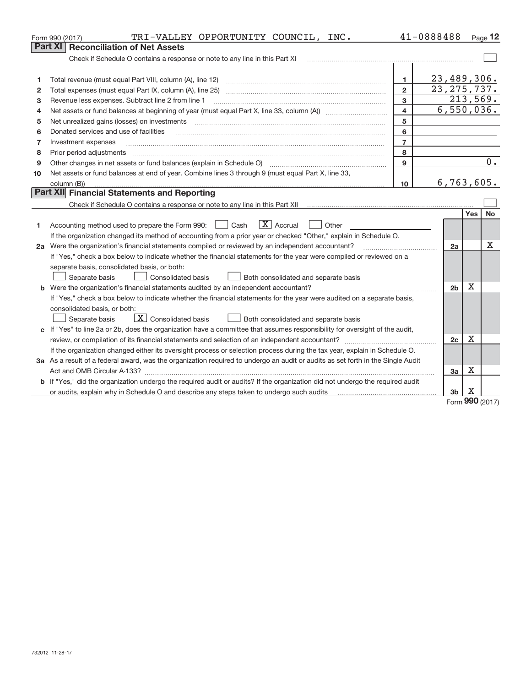|    | TRI-VALLEY OPPORTUNITY COUNCIL, INC.<br>Form 990 (2017)                                                                         |                         | 41-0888488     |             | Page 12    |
|----|---------------------------------------------------------------------------------------------------------------------------------|-------------------------|----------------|-------------|------------|
|    | Part XI<br><b>Reconciliation of Net Assets</b>                                                                                  |                         |                |             |            |
|    |                                                                                                                                 |                         |                |             |            |
|    |                                                                                                                                 |                         |                |             |            |
| 1  |                                                                                                                                 | 1                       | 23,489,306.    |             |            |
| 2  |                                                                                                                                 | $\overline{2}$          | 23, 275, 737.  |             |            |
| з  | Revenue less expenses. Subtract line 2 from line 1                                                                              | 3                       |                |             | 213,569.   |
| 4  |                                                                                                                                 | $\overline{\mathbf{4}}$ |                |             | 6,550,036. |
| 5  | Net unrealized gains (losses) on investments                                                                                    | 5                       |                |             |            |
| 6  | Donated services and use of facilities                                                                                          | 6                       |                |             |            |
| 7  | Investment expenses                                                                                                             | $\overline{7}$          |                |             |            |
| 8  | Prior period adjustments                                                                                                        | 8                       |                |             |            |
| 9  |                                                                                                                                 | 9                       |                |             | 0.         |
| 10 | Net assets or fund balances at end of year. Combine lines 3 through 9 (must equal Part X, line 33,                              |                         |                |             |            |
|    | column (B))                                                                                                                     | 10                      |                |             | 6,763,605. |
|    | Part XII Financial Statements and Reporting                                                                                     |                         |                |             |            |
|    |                                                                                                                                 |                         |                |             |            |
|    |                                                                                                                                 |                         |                | <b>Yes</b>  | <b>No</b>  |
| 1  | $\mathbf{X}$ Accrual<br>Accounting method used to prepare the Form 990: <u>June</u> Cash<br>Other<br>$\Box$                     |                         |                |             |            |
|    | If the organization changed its method of accounting from a prior year or checked "Other," explain in Schedule O.               |                         |                |             |            |
|    | 2a Were the organization's financial statements compiled or reviewed by an independent accountant?                              |                         | 2a             |             | Χ          |
|    | If "Yes," check a box below to indicate whether the financial statements for the year were compiled or reviewed on a            |                         |                |             |            |
|    | separate basis, consolidated basis, or both:                                                                                    |                         |                |             |            |
|    | Both consolidated and separate basis<br>Separate basis<br>Consolidated basis                                                    |                         |                |             |            |
|    | <b>b</b> Were the organization's financial statements audited by an independent accountant?                                     |                         | 2 <sub>b</sub> | $\mathbf X$ |            |
|    | If "Yes," check a box below to indicate whether the financial statements for the year were audited on a separate basis,         |                         |                |             |            |
|    | consolidated basis, or both:                                                                                                    |                         |                |             |            |
|    | $\mathbf{X}$ Consolidated basis<br>Both consolidated and separate basis<br>Separate basis                                       |                         |                |             |            |
|    | c If "Yes" to line 2a or 2b, does the organization have a committee that assumes responsibility for oversight of the audit,     |                         |                |             |            |
|    |                                                                                                                                 |                         | 2c             | x           |            |
|    | If the organization changed either its oversight process or selection process during the tax year, explain in Schedule O.       |                         |                |             |            |
|    | 3a As a result of a federal award, was the organization required to undergo an audit or audits as set forth in the Single Audit |                         |                |             |            |
|    |                                                                                                                                 |                         | 3a             | X           |            |
|    | b If "Yes," did the organization undergo the required audit or audits? If the organization did not undergo the required audit   |                         |                |             |            |
|    |                                                                                                                                 |                         | 3b             | х<br>nnn    |            |

Form (2017) **990**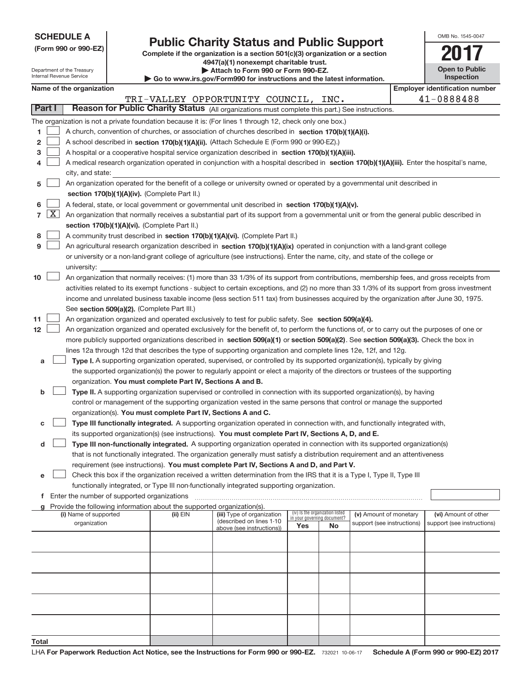| <b>SCHEDULE A</b> |  |
|-------------------|--|
|-------------------|--|

Department of the Treasury

# **Public Charity Status and Public Support**<br> **Public Support**<br> **2017**

**(Form 990 or 990‐EZ) Complete if the organization is a section 501(c)(3) organization or a section 4947(a)(1) nonexempt charitable trust. | Attach to Form 990 or Form 990‐EZ.** 

| www.irs.gov/Form990 for instructions and the latest information. |
|------------------------------------------------------------------|

| OMB No. 1545-0047                   |
|-------------------------------------|
|                                     |
| <b>Open to Public</b><br>Inenaction |

|    |                     | nternal Revenue Service                     |                                                                        | Go to www.irs.gov/Form990 for instructions and the latest information.                                                                        |     |                                                                |                            | Inspection                            |
|----|---------------------|---------------------------------------------|------------------------------------------------------------------------|-----------------------------------------------------------------------------------------------------------------------------------------------|-----|----------------------------------------------------------------|----------------------------|---------------------------------------|
|    |                     | Name of the organization                    |                                                                        |                                                                                                                                               |     |                                                                |                            | <b>Employer identification number</b> |
|    |                     |                                             |                                                                        | TRI-VALLEY OPPORTUNITY COUNCIL,                                                                                                               |     | INC.                                                           |                            | 41-0888488                            |
|    | Part I              |                                             |                                                                        | Reason for Public Charity Status (All organizations must complete this part.) See instructions.                                               |     |                                                                |                            |                                       |
|    |                     |                                             |                                                                        | The organization is not a private foundation because it is: (For lines 1 through 12, check only one box.)                                     |     |                                                                |                            |                                       |
| 1  |                     |                                             |                                                                        | A church, convention of churches, or association of churches described in section 170(b)(1)(A)(i).                                            |     |                                                                |                            |                                       |
| 2  |                     |                                             |                                                                        | A school described in section 170(b)(1)(A)(ii). (Attach Schedule E (Form 990 or 990-EZ).)                                                     |     |                                                                |                            |                                       |
| з  |                     |                                             |                                                                        | A hospital or a cooperative hospital service organization described in section 170(b)(1)(A)(iii).                                             |     |                                                                |                            |                                       |
|    |                     |                                             |                                                                        | A medical research organization operated in conjunction with a hospital described in section 170(b)(1)(A)(iii). Enter the hospital's name,    |     |                                                                |                            |                                       |
|    |                     | city, and state:                            |                                                                        |                                                                                                                                               |     |                                                                |                            |                                       |
| 5  |                     |                                             |                                                                        | An organization operated for the benefit of a college or university owned or operated by a governmental unit described in                     |     |                                                                |                            |                                       |
|    |                     |                                             | section 170(b)(1)(A)(iv). (Complete Part II.)                          |                                                                                                                                               |     |                                                                |                            |                                       |
| 6  |                     |                                             |                                                                        | A federal, state, or local government or governmental unit described in section 170(b)(1)(A)(v).                                              |     |                                                                |                            |                                       |
| 7  | $\lfloor x \rfloor$ |                                             |                                                                        | An organization that normally receives a substantial part of its support from a governmental unit or from the general public described in     |     |                                                                |                            |                                       |
|    |                     |                                             | section 170(b)(1)(A)(vi). (Complete Part II.)                          |                                                                                                                                               |     |                                                                |                            |                                       |
| 8  |                     |                                             |                                                                        | A community trust described in section 170(b)(1)(A)(vi). (Complete Part II.)                                                                  |     |                                                                |                            |                                       |
| 9  |                     |                                             |                                                                        | An agricultural research organization described in section 170(b)(1)(A)(ix) operated in conjunction with a land-grant college                 |     |                                                                |                            |                                       |
|    |                     |                                             |                                                                        | or university or a non-land-grant college of agriculture (see instructions). Enter the name, city, and state of the college or                |     |                                                                |                            |                                       |
|    |                     | university:                                 |                                                                        |                                                                                                                                               |     |                                                                |                            |                                       |
| 10 |                     |                                             |                                                                        | An organization that normally receives: (1) more than 33 1/3% of its support from contributions, membership fees, and gross receipts from     |     |                                                                |                            |                                       |
|    |                     |                                             |                                                                        | activities related to its exempt functions - subject to certain exceptions, and (2) no more than 33 1/3% of its support from gross investment |     |                                                                |                            |                                       |
|    |                     |                                             |                                                                        | income and unrelated business taxable income (less section 511 tax) from businesses acquired by the organization after June 30, 1975.         |     |                                                                |                            |                                       |
|    |                     |                                             | See section 509(a)(2). (Complete Part III.)                            |                                                                                                                                               |     |                                                                |                            |                                       |
| 11 |                     |                                             |                                                                        | An organization organized and operated exclusively to test for public safety. See section 509(a)(4).                                          |     |                                                                |                            |                                       |
| 12 |                     |                                             |                                                                        | An organization organized and operated exclusively for the benefit of, to perform the functions of, or to carry out the purposes of one or    |     |                                                                |                            |                                       |
|    |                     |                                             |                                                                        | more publicly supported organizations described in section 509(a)(1) or section 509(a)(2). See section 509(a)(3). Check the box in            |     |                                                                |                            |                                       |
|    |                     |                                             |                                                                        | lines 12a through 12d that describes the type of supporting organization and complete lines 12e, 12f, and 12g.                                |     |                                                                |                            |                                       |
| а  |                     |                                             |                                                                        | Type I. A supporting organization operated, supervised, or controlled by its supported organization(s), typically by giving                   |     |                                                                |                            |                                       |
|    |                     |                                             |                                                                        | the supported organization(s) the power to regularly appoint or elect a majority of the directors or trustees of the supporting               |     |                                                                |                            |                                       |
|    |                     |                                             | organization. You must complete Part IV, Sections A and B.             |                                                                                                                                               |     |                                                                |                            |                                       |
| b  |                     |                                             |                                                                        | Type II. A supporting organization supervised or controlled in connection with its supported organization(s), by having                       |     |                                                                |                            |                                       |
|    |                     |                                             |                                                                        | control or management of the supporting organization vested in the same persons that control or manage the supported                          |     |                                                                |                            |                                       |
|    |                     |                                             |                                                                        | organization(s). You must complete Part IV, Sections A and C.                                                                                 |     |                                                                |                            |                                       |
| с  |                     |                                             |                                                                        | Type III functionally integrated. A supporting organization operated in connection with, and functionally integrated with,                    |     |                                                                |                            |                                       |
|    |                     |                                             |                                                                        | its supported organization(s) (see instructions). You must complete Part IV, Sections A, D, and E.                                            |     |                                                                |                            |                                       |
| d  |                     |                                             |                                                                        | Type III non-functionally integrated. A supporting organization operated in connection with its supported organization(s)                     |     |                                                                |                            |                                       |
|    |                     |                                             |                                                                        | that is not functionally integrated. The organization generally must satisfy a distribution requirement and an attentiveness                  |     |                                                                |                            |                                       |
|    |                     |                                             |                                                                        | requirement (see instructions). You must complete Part IV, Sections A and D, and Part V.                                                      |     |                                                                |                            |                                       |
| е  |                     |                                             |                                                                        | Check this box if the organization received a written determination from the IRS that it is a Type I, Type II, Type III                       |     |                                                                |                            |                                       |
|    |                     |                                             |                                                                        | functionally integrated, or Type III non-functionally integrated supporting organization.                                                     |     |                                                                |                            |                                       |
| f. |                     | Enter the number of supported organizations | Provide the following information about the supported organization(s). |                                                                                                                                               |     |                                                                |                            |                                       |
|    |                     | (i) Name of supported                       | $(ii)$ $EIN$                                                           | (iii) Type of organization                                                                                                                    |     | (iv) Is the organization listed<br>in your governing document? | (v) Amount of monetary     | (vi) Amount of other                  |
|    |                     | organization                                |                                                                        | (described on lines 1-10<br>above (see instructions))                                                                                         | Yes | <b>No</b>                                                      | support (see instructions) | support (see instructions)            |
|    |                     |                                             |                                                                        |                                                                                                                                               |     |                                                                |                            |                                       |
|    |                     |                                             |                                                                        |                                                                                                                                               |     |                                                                |                            |                                       |
|    |                     |                                             |                                                                        |                                                                                                                                               |     |                                                                |                            |                                       |
|    |                     |                                             |                                                                        |                                                                                                                                               |     |                                                                |                            |                                       |
|    |                     |                                             |                                                                        |                                                                                                                                               |     |                                                                |                            |                                       |
|    |                     |                                             |                                                                        |                                                                                                                                               |     |                                                                |                            |                                       |
|    |                     |                                             |                                                                        |                                                                                                                                               |     |                                                                |                            |                                       |
|    |                     |                                             |                                                                        |                                                                                                                                               |     |                                                                |                            |                                       |
|    |                     |                                             |                                                                        |                                                                                                                                               |     |                                                                |                            |                                       |
|    |                     |                                             |                                                                        |                                                                                                                                               |     |                                                                |                            |                                       |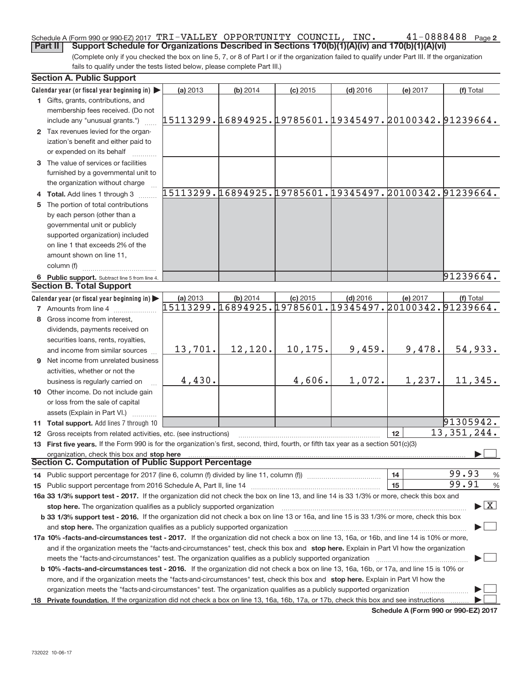#### 41-0888488 Page 2 Schedule A (Form 990 or 990-EZ) 2017  $\mathtt{TRI}-\mathtt{VALU}\mathtt{EY}$   $\mathtt{OPPORTUNITY}$   $\mathtt{COUNTL}$ ,  $\mathtt{INC.}$   $\mathtt{41-0888488}$   $_\mathtt{Page}$ **Part II** Support Schedule for Organizations Described in Sections 170(b)(1)(A)(iv) and 170(b)(1)(A)(vi)

(Complete only if you checked the box on line 5, 7, or 8 of Part I or if the organization failed to qualify under Part III. If the organization fails to qualify under the tests listed below, please complete Part III.)

|     | <b>Section A. Public Support</b>                                                                                                               |                                                                    |          |            |            |          |                                          |
|-----|------------------------------------------------------------------------------------------------------------------------------------------------|--------------------------------------------------------------------|----------|------------|------------|----------|------------------------------------------|
|     | Calendar year (or fiscal year beginning in)                                                                                                    | (a) 2013                                                           | (b) 2014 | $(c)$ 2015 | $(d)$ 2016 | (e) 2017 | (f) Total                                |
|     | 1 Gifts, grants, contributions, and                                                                                                            |                                                                    |          |            |            |          |                                          |
|     | membership fees received. (Do not                                                                                                              |                                                                    |          |            |            |          |                                          |
|     | include any "unusual grants.")                                                                                                                 | 15113299.16894925.19785601.19345497.20100342.91239664.             |          |            |            |          |                                          |
|     | 2 Tax revenues levied for the organ-                                                                                                           |                                                                    |          |            |            |          |                                          |
|     | ization's benefit and either paid to                                                                                                           |                                                                    |          |            |            |          |                                          |
|     | or expended on its behalf                                                                                                                      |                                                                    |          |            |            |          |                                          |
|     | 3 The value of services or facilities                                                                                                          |                                                                    |          |            |            |          |                                          |
|     | furnished by a governmental unit to                                                                                                            |                                                                    |          |            |            |          |                                          |
|     | the organization without charge                                                                                                                |                                                                    |          |            |            |          |                                          |
|     | 4 Total. Add lines 1 through 3                                                                                                                 | 15113299.16894925.19785601.19345497.20100342.91239664.             |          |            |            |          |                                          |
| 5   | The portion of total contributions                                                                                                             |                                                                    |          |            |            |          |                                          |
|     | by each person (other than a                                                                                                                   |                                                                    |          |            |            |          |                                          |
|     | governmental unit or publicly                                                                                                                  |                                                                    |          |            |            |          |                                          |
|     | supported organization) included                                                                                                               |                                                                    |          |            |            |          |                                          |
|     | on line 1 that exceeds 2% of the                                                                                                               |                                                                    |          |            |            |          |                                          |
|     | amount shown on line 11.                                                                                                                       |                                                                    |          |            |            |          |                                          |
|     | column (f)                                                                                                                                     |                                                                    |          |            |            |          |                                          |
|     |                                                                                                                                                |                                                                    |          |            |            |          | 91239664.                                |
|     | 6 Public support. Subtract line 5 from line 4.<br><b>Section B. Total Support</b>                                                              |                                                                    |          |            |            |          |                                          |
|     |                                                                                                                                                |                                                                    |          |            |            |          |                                          |
|     | Calendar year (or fiscal year beginning in)                                                                                                    | (a) 2013<br>15113299.16894925.19785601.19345497.20100342.91239664. | (b) 2014 | $(c)$ 2015 | $(d)$ 2016 | (e) 2017 | (f) Total                                |
|     | <b>7</b> Amounts from line 4                                                                                                                   |                                                                    |          |            |            |          |                                          |
| 8   | Gross income from interest,                                                                                                                    |                                                                    |          |            |            |          |                                          |
|     | dividends, payments received on                                                                                                                |                                                                    |          |            |            |          |                                          |
|     | securities loans, rents, royalties,                                                                                                            |                                                                    |          |            |            |          |                                          |
|     | and income from similar sources                                                                                                                | 13,701.                                                            | 12,120.  | 10,175.    | 9,459.     | 9,478.   | 54,933.                                  |
|     | <b>9</b> Net income from unrelated business                                                                                                    |                                                                    |          |            |            |          |                                          |
|     | activities, whether or not the                                                                                                                 |                                                                    |          |            |            |          |                                          |
|     | business is regularly carried on                                                                                                               | 4,430.                                                             |          | 4,606.     | 1,072.     | 1,237.   | 11,345.                                  |
|     | 10 Other income. Do not include gain                                                                                                           |                                                                    |          |            |            |          |                                          |
|     | or loss from the sale of capital                                                                                                               |                                                                    |          |            |            |          |                                          |
|     | assets (Explain in Part VI.)                                                                                                                   |                                                                    |          |            |            |          |                                          |
|     | 11 Total support. Add lines 7 through 10                                                                                                       |                                                                    |          |            |            |          | 91305942.                                |
|     | 12 Gross receipts from related activities, etc. (see instructions)                                                                             |                                                                    |          |            |            | 12       | 13, 351, 244.                            |
|     | 13 First five years. If the Form 990 is for the organization's first, second, third, fourth, or fifth tax year as a section 501(c)(3)          |                                                                    |          |            |            |          |                                          |
|     | organization, check this box and stop here                                                                                                     |                                                                    |          |            |            |          |                                          |
|     | <b>Section C. Computation of Public Support Percentage</b>                                                                                     |                                                                    |          |            |            |          |                                          |
|     | 14 Public support percentage for 2017 (line 6, column (f) divided by line 11, column (f) <i>manumanomanomanoma</i>                             |                                                                    |          |            |            | 14       | 99.93<br>%                               |
|     |                                                                                                                                                |                                                                    |          |            |            | 15       | 99.91<br>$\%$                            |
|     | 16a 33 1/3% support test - 2017. If the organization did not check the box on line 13, and line 14 is 33 1/3% or more, check this box and      |                                                                    |          |            |            |          |                                          |
|     | stop here. The organization qualifies as a publicly supported organization                                                                     |                                                                    |          |            |            |          | $\blacktriangleright$ $\boxed{\text{X}}$ |
|     | b 33 1/3% support test - 2016. If the organization did not check a box on line 13 or 16a, and line 15 is 33 1/3% or more, check this box       |                                                                    |          |            |            |          |                                          |
|     | and stop here. The organization qualifies as a publicly supported organization                                                                 |                                                                    |          |            |            |          |                                          |
|     | 17a 10% -facts-and-circumstances test - 2017. If the organization did not check a box on line 13, 16a, or 16b, and line 14 is 10% or more,     |                                                                    |          |            |            |          |                                          |
|     | and if the organization meets the "facts-and-circumstances" test, check this box and stop here. Explain in Part VI how the organization        |                                                                    |          |            |            |          |                                          |
|     | meets the "facts-and-circumstances" test. The organization qualifies as a publicly supported organization                                      |                                                                    |          |            |            |          |                                          |
|     | <b>b 10% -facts-and-circumstances test - 2016.</b> If the organization did not check a box on line 13, 16a, 16b, or 17a, and line 15 is 10% or |                                                                    |          |            |            |          |                                          |
|     | more, and if the organization meets the "facts-and-circumstances" test, check this box and stop here. Explain in Part VI how the               |                                                                    |          |            |            |          |                                          |
|     | organization meets the "facts-and-circumstances" test. The organization qualifies as a publicly supported organization                         |                                                                    |          |            |            |          | .                                        |
| 18. | Private foundation. If the organization did not check a box on line 13, 16a, 16b, 17a, or 17b, check this box and see instructions             |                                                                    |          |            |            |          |                                          |
|     |                                                                                                                                                |                                                                    |          |            |            |          |                                          |

**Schedule A (Form 990 or 990‐EZ) 2017**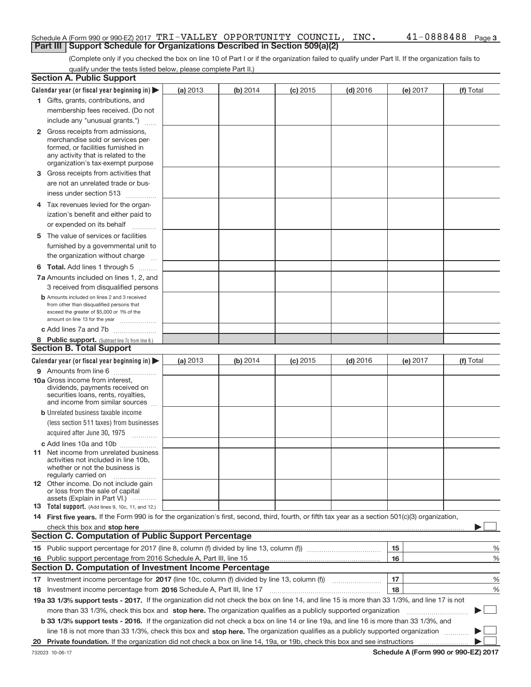#### Schedule A (Form 990 or 990-EZ) 2017  $\mathtt{TRI}-\mathtt{VALU}\mathtt{EY}$   $\mathtt{OPPORTUNITY}$   $\mathtt{COUNTL}$ ,  $\mathtt{INC.}$   $\mathtt{41-0888488}$   $_\mathtt{Page}$ **Part III | Support Schedule for Organizations Described in Section 509(a)(2)**

(Complete only if you checked the box on line 10 of Part I or if the organization failed to qualify under Part II. If the organization fails to qualify under the tests listed below, please complete Part II.)

|    | <b>Section A. Public Support</b>                                                                                                                                                                                                    |          |          |            |            |          |           |
|----|-------------------------------------------------------------------------------------------------------------------------------------------------------------------------------------------------------------------------------------|----------|----------|------------|------------|----------|-----------|
|    | Calendar year (or fiscal year beginning in) $\blacktriangleright$                                                                                                                                                                   | (a) 2013 | (b) 2014 | $(c)$ 2015 | $(d)$ 2016 | (e) 2017 | (f) Total |
|    | 1 Gifts, grants, contributions, and                                                                                                                                                                                                 |          |          |            |            |          |           |
|    | membership fees received. (Do not                                                                                                                                                                                                   |          |          |            |            |          |           |
|    | include any "unusual grants.")                                                                                                                                                                                                      |          |          |            |            |          |           |
|    | <b>2</b> Gross receipts from admissions,<br>merchandise sold or services per-<br>formed, or facilities furnished in<br>any activity that is related to the<br>organization's tax-exempt purpose                                     |          |          |            |            |          |           |
|    | 3 Gross receipts from activities that                                                                                                                                                                                               |          |          |            |            |          |           |
|    | are not an unrelated trade or bus-<br>iness under section 513                                                                                                                                                                       |          |          |            |            |          |           |
|    | 4 Tax revenues levied for the organ-                                                                                                                                                                                                |          |          |            |            |          |           |
|    | ization's benefit and either paid to<br>or expended on its behalf                                                                                                                                                                   |          |          |            |            |          |           |
|    | .                                                                                                                                                                                                                                   |          |          |            |            |          |           |
|    | 5 The value of services or facilities<br>furnished by a governmental unit to<br>the organization without charge                                                                                                                     |          |          |            |            |          |           |
|    | <b>6 Total.</b> Add lines 1 through 5                                                                                                                                                                                               |          |          |            |            |          |           |
|    | 7a Amounts included on lines 1, 2, and<br>3 received from disqualified persons                                                                                                                                                      |          |          |            |            |          |           |
|    | <b>b</b> Amounts included on lines 2 and 3 received<br>from other than disqualified persons that<br>exceed the greater of \$5,000 or 1% of the<br>amount on line 13 for the year                                                    |          |          |            |            |          |           |
|    | c Add lines 7a and 7b                                                                                                                                                                                                               |          |          |            |            |          |           |
|    | 8 Public support. (Subtract line 7c from line 6.)                                                                                                                                                                                   |          |          |            |            |          |           |
|    | <b>Section B. Total Support</b>                                                                                                                                                                                                     |          |          |            |            |          |           |
|    | Calendar year (or fiscal year beginning in)                                                                                                                                                                                         | (a) 2013 | (b) 2014 | $(c)$ 2015 | $(d)$ 2016 | (e) 2017 | (f) Total |
|    | 9 Amounts from line 6                                                                                                                                                                                                               |          |          |            |            |          |           |
|    | 10a Gross income from interest,<br>dividends, payments received on<br>securities loans, rents, royalties,<br>and income from similar sources                                                                                        |          |          |            |            |          |           |
|    | <b>b</b> Unrelated business taxable income                                                                                                                                                                                          |          |          |            |            |          |           |
|    | (less section 511 taxes) from businesses                                                                                                                                                                                            |          |          |            |            |          |           |
|    | acquired after June 30, 1975<br>$\overline{\phantom{a}}$                                                                                                                                                                            |          |          |            |            |          |           |
|    | c Add lines 10a and 10b                                                                                                                                                                                                             |          |          |            |            |          |           |
|    | <b>11</b> Net income from unrelated business<br>activities not included in line 10b,<br>whether or not the business is<br>regularly carried on                                                                                      |          |          |            |            |          |           |
|    | <b>12</b> Other income. Do not include gain<br>or loss from the sale of capital<br>assets (Explain in Part VI.)                                                                                                                     |          |          |            |            |          |           |
|    | <b>13</b> Total support. (Add lines 9, 10c, 11, and 12.)                                                                                                                                                                            |          |          |            |            |          |           |
|    | 14 First five years. If the Form 990 is for the organization's first, second, third, fourth, or fifth tax year as a section 501(c)(3) organization,                                                                                 |          |          |            |            |          |           |
|    | check this box and stop here <i>manufacture in the content of the state and stop here</i> and stop here and stop here and stop here and stop the state of the state of the state of the state of the state of the state of the stat |          |          |            |            |          |           |
|    | <b>Section C. Computation of Public Support Percentage</b>                                                                                                                                                                          |          |          |            |            |          |           |
|    |                                                                                                                                                                                                                                     |          |          |            |            | 15       | %         |
| 16 | Public support percentage from 2016 Schedule A, Part III, line 15                                                                                                                                                                   |          |          |            |            | 16       | %         |
|    | <b>Section D. Computation of Investment Income Percentage</b>                                                                                                                                                                       |          |          |            |            |          |           |
|    |                                                                                                                                                                                                                                     |          |          |            |            | 17       | %         |
|    | 18 Investment income percentage from 2016 Schedule A, Part III, line 17                                                                                                                                                             |          |          |            |            | 18       | %         |
|    | 19a 33 1/3% support tests - 2017. If the organization did not check the box on line 14, and line 15 is more than 33 1/3%, and line 17 is not                                                                                        |          |          |            |            |          |           |
|    | more than 33 1/3%, check this box and stop here. The organization qualifies as a publicly supported organization                                                                                                                    |          |          |            |            |          |           |
|    | b 33 1/3% support tests - 2016. If the organization did not check a box on line 14 or line 19a, and line 16 is more than 33 1/3%, and                                                                                               |          |          |            |            |          |           |
|    | line 18 is not more than 33 1/3%, check this box and stop here. The organization qualifies as a publicly supported organization                                                                                                     |          |          |            |            |          |           |
| 20 |                                                                                                                                                                                                                                     |          |          |            |            |          |           |

**Schedule A (Form 990 or 990‐EZ) 2017**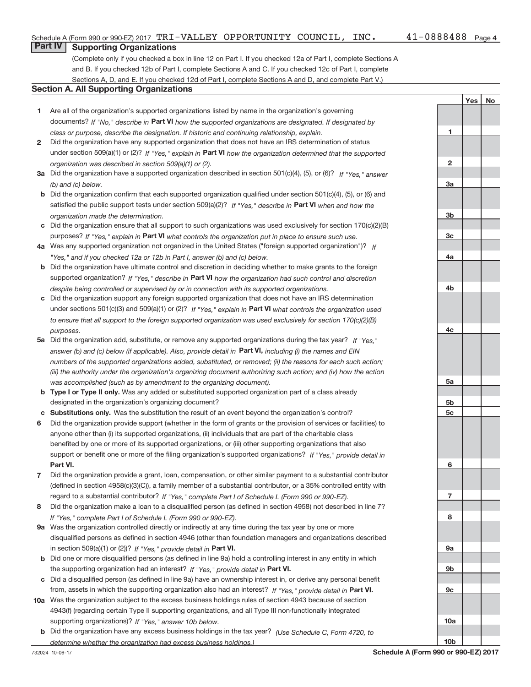**1**

**2**

**3a**

**3b**

**3c**

**4a**

**4b**

**4c**

**5a**

**5b 5c**

**6**

**7**

**8**

**9a**

**9b**

**9c**

**10a**

**10b**

Yes | No

### **Part IV Supporting Organizations**

(Complete only if you checked a box in line 12 on Part I. If you checked 12a of Part I, complete Sections A and B. If you checked 12b of Part I, complete Sections A and C. If you checked 12c of Part I, complete Sections A, D, and E. If you checked 12d of Part I, complete Sections A and D, and complete Part V.)

#### **Section A. All Supporting Organizations**

- **1** Are all of the organization's supported organizations listed by name in the organization's governing documents? If "No," describe in Part VI how the supported organizations are designated. If designated by *class or purpose, describe the designation. If historic and continuing relationship, explain.*
- **2** Did the organization have any supported organization that does not have an IRS determination of status under section 509(a)(1) or (2)? If "Yes," explain in Part VI how the organization determined that the supported *organization was described in section 509(a)(1) or (2).*
- **3a** Did the organization have a supported organization described in section 501(c)(4), (5), or (6)? If "Yes," answer *(b) and (c) below.*
- **b** Did the organization confirm that each supported organization qualified under section 501(c)(4), (5), or (6) and satisfied the public support tests under section 509(a)(2)? If "Yes," describe in Part VI when and how the *organization made the determination.*
- **c** Did the organization ensure that all support to such organizations was used exclusively for section 170(c)(2)(B) purposes? If "Yes," explain in Part VI what controls the organization put in place to ensure such use.
- **4 a** *If* Was any supported organization not organized in the United States ("foreign supported organization")? *"Yes," and if you checked 12a or 12b in Part I, answer (b) and (c) below.*
- **b** Did the organization have ultimate control and discretion in deciding whether to make grants to the foreign supported organization? If "Yes," describe in Part VI how the organization had such control and discretion *despite being controlled or supervised by or in connection with its supported organizations.*
- **c** Did the organization support any foreign supported organization that does not have an IRS determination under sections 501(c)(3) and 509(a)(1) or (2)? If "Yes," explain in Part VI what controls the organization used *to ensure that all support to the foreign supported organization was used exclusively for section 170(c)(2)(B) purposes.*
- **5a** Did the organization add, substitute, or remove any supported organizations during the tax year? If "Yes," answer (b) and (c) below (if applicable). Also, provide detail in **Part VI,** including (i) the names and EIN *numbers of the supported organizations added, substituted, or removed; (ii) the reasons for each such action; (iii) the authority under the organization's organizing document authorizing such action; and (iv) how the action was accomplished (such as by amendment to the organizing document).*
- **b** Type I or Type II only. Was any added or substituted supported organization part of a class already designated in the organization's organizing document?
- **c Substitutions only.**  Was the substitution the result of an event beyond the organization's control?
- **6** Did the organization provide support (whether in the form of grants or the provision of services or facilities) to **Part VI.** *If "Yes," provide detail in* support or benefit one or more of the filing organization's supported organizations? anyone other than (i) its supported organizations, (ii) individuals that are part of the charitable class benefited by one or more of its supported organizations, or (iii) other supporting organizations that also
- **7** Did the organization provide a grant, loan, compensation, or other similar payment to a substantial contributor regard to a substantial contributor? If "Yes," complete Part I of Schedule L (Form 990 or 990-EZ). (defined in section 4958(c)(3)(C)), a family member of a substantial contributor, or a 35% controlled entity with
- **8** Did the organization make a loan to a disqualified person (as defined in section 4958) not described in line 7? *If "Yes," complete Part I of Schedule L (Form 990 or 990-EZ).*
- **9 a** Was the organization controlled directly or indirectly at any time during the tax year by one or more in section 509(a)(1) or (2))? If "Yes," provide detail in Part VI. disqualified persons as defined in section 4946 (other than foundation managers and organizations described
- **b** Did one or more disqualified persons (as defined in line 9a) hold a controlling interest in any entity in which the supporting organization had an interest? If "Yes," provide detail in Part VI.
- **c** Did a disqualified person (as defined in line 9a) have an ownership interest in, or derive any personal benefit from, assets in which the supporting organization also had an interest? If "Yes," provide detail in Part VI.
- **10 a** Was the organization subject to the excess business holdings rules of section 4943 because of section supporting organizations)? If "Yes," answer 10b below. 4943(f) (regarding certain Type II supporting organizations, and all Type III non‐functionally integrated
	- **b** Did the organization have any excess business holdings in the tax year? (Use Schedule C, Form 4720, to *determine whether the organization had excess business holdings.)*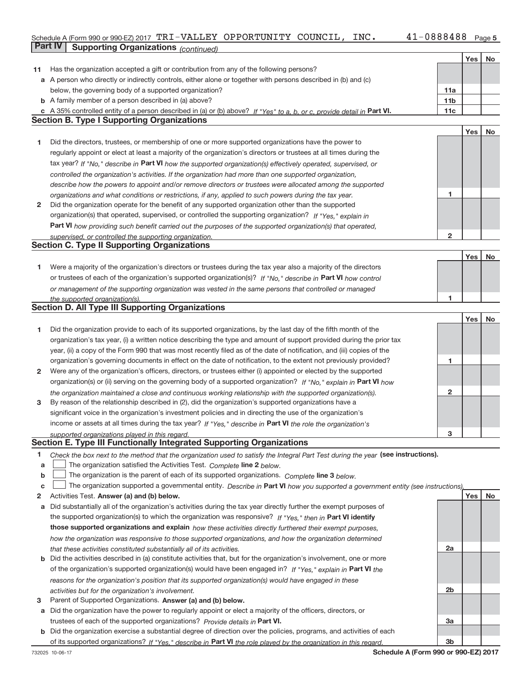### Schedule A (Form 990 or 990‐EZ) 2017  $\mathtt{TRI}-\mathtt{VALU}\mathtt{EY}$   $\mathtt{OPPORTUNITY}$   $\mathtt{COUNTL}$ ,  $\mathtt{INC.}$   $\mathtt{41-0888488}$   $_\mathtt{Page}$ **Part IV** Supporting Organizations (*continued*)

|    |                                                                                                                                   |                 | Yes | No |
|----|-----------------------------------------------------------------------------------------------------------------------------------|-----------------|-----|----|
| 11 | Has the organization accepted a gift or contribution from any of the following persons?                                           |                 |     |    |
|    | a A person who directly or indirectly controls, either alone or together with persons described in (b) and (c)                    |                 |     |    |
|    | below, the governing body of a supported organization?                                                                            | 11a             |     |    |
|    | <b>b</b> A family member of a person described in (a) above?                                                                      | 11 <sub>b</sub> |     |    |
|    | c A 35% controlled entity of a person described in (a) or (b) above? If "Yes" to a, b, or c, provide detail in Part VI.           | 11c             |     |    |
|    | <b>Section B. Type I Supporting Organizations</b>                                                                                 |                 |     |    |
|    |                                                                                                                                   |                 | Yes | No |
| 1  | Did the directors, trustees, or membership of one or more supported organizations have the power to                               |                 |     |    |
|    | regularly appoint or elect at least a majority of the organization's directors or trustees at all times during the                |                 |     |    |
|    | tax year? If "No," describe in Part VI how the supported organization(s) effectively operated, supervised, or                     |                 |     |    |
|    | controlled the organization's activities. If the organization had more than one supported organization,                           |                 |     |    |
|    | describe how the powers to appoint and/or remove directors or trustees were allocated among the supported                         |                 |     |    |
|    | organizations and what conditions or restrictions, if any, applied to such powers during the tax year.                            | 1               |     |    |
| 2  | Did the organization operate for the benefit of any supported organization other than the supported                               |                 |     |    |
|    | organization(s) that operated, supervised, or controlled the supporting organization? If "Yes," explain in                        |                 |     |    |
|    | Part VI how providing such benefit carried out the purposes of the supported organization(s) that operated,                       |                 |     |    |
|    | supervised, or controlled the supporting organization.                                                                            | $\overline{2}$  |     |    |
|    | <b>Section C. Type II Supporting Organizations</b>                                                                                |                 |     |    |
|    |                                                                                                                                   |                 | Yes | No |
| 1  | Were a majority of the organization's directors or trustees during the tax year also a majority of the directors                  |                 |     |    |
|    | or trustees of each of the organization's supported organization(s)? If "No," describe in Part VI how control                     |                 |     |    |
|    |                                                                                                                                   |                 |     |    |
|    | or management of the supporting organization was vested in the same persons that controlled or managed                            | $\mathbf{1}$    |     |    |
|    | the supported organization(s).<br><b>Section D. All Type III Supporting Organizations</b>                                         |                 |     |    |
|    |                                                                                                                                   |                 | Yes | No |
| 1  | Did the organization provide to each of its supported organizations, by the last day of the fifth month of the                    |                 |     |    |
|    | organization's tax year, (i) a written notice describing the type and amount of support provided during the prior tax             |                 |     |    |
|    | year, (ii) a copy of the Form 990 that was most recently filed as of the date of notification, and (iii) copies of the            |                 |     |    |
|    | organization's governing documents in effect on the date of notification, to the extent not previously provided?                  | 1               |     |    |
| 2  | Were any of the organization's officers, directors, or trustees either (i) appointed or elected by the supported                  |                 |     |    |
|    | organization(s) or (ii) serving on the governing body of a supported organization? If "No," explain in Part VI how                |                 |     |    |
|    |                                                                                                                                   | 2               |     |    |
| 3  | the organization maintained a close and continuous working relationship with the supported organization(s).                       |                 |     |    |
|    | By reason of the relationship described in (2), did the organization's supported organizations have a                             |                 |     |    |
|    | significant voice in the organization's investment policies and in directing the use of the organization's                        |                 |     |    |
|    | income or assets at all times during the tax year? If "Yes," describe in Part VI the role the organization's                      |                 |     |    |
|    | supported organizations played in this regard.<br>Section E. Type III Functionally Integrated Supporting Organizations            | 3               |     |    |
|    |                                                                                                                                   |                 |     |    |
| 1. | Check the box next to the method that the organization used to satisfy the Integral Part Test during the year (see instructions). |                 |     |    |
| a  | The organization satisfied the Activities Test. Complete line 2 below.                                                            |                 |     |    |
| b  | The organization is the parent of each of its supported organizations. Complete line 3 below.                                     |                 |     |    |
| C  | The organization supported a governmental entity. Describe in Part VI how you supported a government entity (see instructions).   |                 |     |    |
| 2  | Activities Test. Answer (a) and (b) below.                                                                                        |                 | Yes | No |
| a  | Did substantially all of the organization's activities during the tax year directly further the exempt purposes of                |                 |     |    |
|    | the supported organization(s) to which the organization was responsive? If "Yes," then in Part VI identify                        |                 |     |    |
|    | those supported organizations and explain how these activities directly furthered their exempt purposes,                          |                 |     |    |
|    | how the organization was responsive to those supported organizations, and how the organization determined                         |                 |     |    |
|    | that these activities constituted substantially all of its activities.                                                            | 2a              |     |    |
|    | <b>b</b> Did the activities described in (a) constitute activities that, but for the organization's involvement, one or more      |                 |     |    |
|    | of the organization's supported organization(s) would have been engaged in? If "Yes," explain in Part VI the                      |                 |     |    |
|    | reasons for the organization's position that its supported organization(s) would have engaged in these                            |                 |     |    |
|    | activities but for the organization's involvement.                                                                                | 2b              |     |    |
| 3  | Parent of Supported Organizations. Answer (a) and (b) below.                                                                      |                 |     |    |
|    | a Did the organization have the power to regularly appoint or elect a majority of the officers, directors, or                     |                 |     |    |
|    | trustees of each of the supported organizations? Provide details in Part VI.                                                      | За              |     |    |
|    | b Did the organization exercise a substantial degree of direction over the policies, programs, and activities of each             |                 |     |    |
|    | of its supported organizations? If "Yes," describe in Part VI the role played by the organization in this regard.                 | 3b              |     |    |

**Schedule A (Form 990 or 990‐EZ) 2017**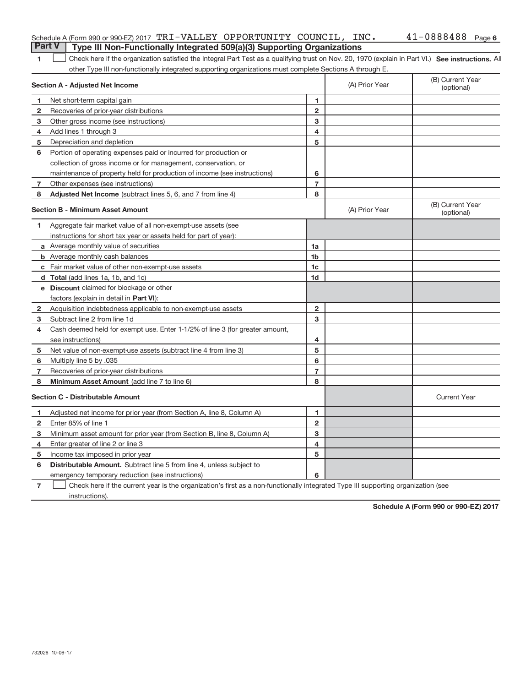|                | <b>Part V</b><br>Type III Non-Functionally Integrated 509(a)(3) Supporting Organizations                                                           |                         |                |                                |
|----------------|----------------------------------------------------------------------------------------------------------------------------------------------------|-------------------------|----------------|--------------------------------|
| 1              | Check here if the organization satisfied the Integral Part Test as a qualifying trust on Nov. 20, 1970 (explain in Part VI.) See instructions. All |                         |                |                                |
|                | other Type III non-functionally integrated supporting organizations must complete Sections A through E.                                            |                         |                |                                |
|                | Section A - Adjusted Net Income                                                                                                                    |                         | (A) Prior Year | (B) Current Year<br>(optional) |
| 1              | Net short-term capital gain                                                                                                                        | 1                       |                |                                |
| $\mathbf{2}$   | Recoveries of prior-year distributions                                                                                                             | $\overline{2}$          |                |                                |
| 3              | Other gross income (see instructions)                                                                                                              | 3                       |                |                                |
| 4              | Add lines 1 through 3                                                                                                                              | $\overline{\mathbf{4}}$ |                |                                |
| 5              | Depreciation and depletion                                                                                                                         | 5                       |                |                                |
| 6              | Portion of operating expenses paid or incurred for production or                                                                                   |                         |                |                                |
|                | collection of gross income or for management, conservation, or                                                                                     |                         |                |                                |
|                | maintenance of property held for production of income (see instructions)                                                                           | 6                       |                |                                |
| $\overline{7}$ | Other expenses (see instructions)                                                                                                                  | $\overline{7}$          |                |                                |
| 8              | Adjusted Net Income (subtract lines 5, 6, and 7 from line 4)                                                                                       | 8                       |                |                                |
|                | <b>Section B - Minimum Asset Amount</b>                                                                                                            |                         | (A) Prior Year | (B) Current Year<br>(optional) |
| 1              | Aggregate fair market value of all non-exempt-use assets (see                                                                                      |                         |                |                                |
|                | instructions for short tax year or assets held for part of year):                                                                                  |                         |                |                                |
|                | a Average monthly value of securities                                                                                                              | 1a                      |                |                                |
|                | <b>b</b> Average monthly cash balances                                                                                                             | 1 <sub>b</sub>          |                |                                |
|                | c Fair market value of other non-exempt-use assets                                                                                                 | 1c                      |                |                                |
|                | d Total (add lines 1a, 1b, and 1c)                                                                                                                 | 1 <sub>d</sub>          |                |                                |
|                | <b>e</b> Discount claimed for blockage or other                                                                                                    |                         |                |                                |
|                | factors (explain in detail in <b>Part VI</b> ):                                                                                                    |                         |                |                                |
| $\mathbf{2}$   | Acquisition indebtedness applicable to non-exempt-use assets                                                                                       | 2                       |                |                                |
| 3              | Subtract line 2 from line 1d                                                                                                                       | 3                       |                |                                |
| 4              | Cash deemed held for exempt use. Enter 1-1/2% of line 3 (for greater amount,                                                                       |                         |                |                                |
|                | see instructions)                                                                                                                                  | 4                       |                |                                |
| 5              | Net value of non-exempt-use assets (subtract line 4 from line 3)                                                                                   | 5                       |                |                                |
| 6              | Multiply line 5 by .035                                                                                                                            | 6                       |                |                                |
| 7              | Recoveries of prior-year distributions                                                                                                             | $\overline{7}$          |                |                                |
| 8              | Minimum Asset Amount (add line 7 to line 6)                                                                                                        | 8                       |                |                                |
|                | <b>Section C - Distributable Amount</b>                                                                                                            |                         |                | <b>Current Year</b>            |
| 1              | Adjusted net income for prior year (from Section A, line 8, Column A)                                                                              | 1                       |                |                                |
| $\overline{2}$ | Enter 85% of line 1                                                                                                                                | $\overline{2}$          |                |                                |
| 3              | Minimum asset amount for prior year (from Section B, line 8, Column A)                                                                             | 3                       |                |                                |
| 4              | Enter greater of line 2 or line 3                                                                                                                  | 4                       |                |                                |
| 5              | Income tax imposed in prior year                                                                                                                   | 5                       |                |                                |
| 6              | <b>Distributable Amount.</b> Subtract line 5 from line 4, unless subject to                                                                        |                         |                |                                |
|                | emergency temporary reduction (see instructions)                                                                                                   | 6                       |                |                                |
| $\overline{7}$ | Check here if the current year is the organization's first as a non-functionally integrated Type III supporting organization (see                  |                         |                |                                |

Schedule A (Form 990 or 990-EZ) 2017  $\mathtt{TRI}-\mathtt{VALU}\mathtt{EY}$   $\mathtt{OPPORTUNITY}$   $\mathtt{COUNTL}$ ,  $\mathtt{INC.}$   $\mathtt{41-0888488}$   $_\mathtt{Page}$ 

**Schedule A (Form 990 or 990‐EZ) 2017**

41-0888488 Page 6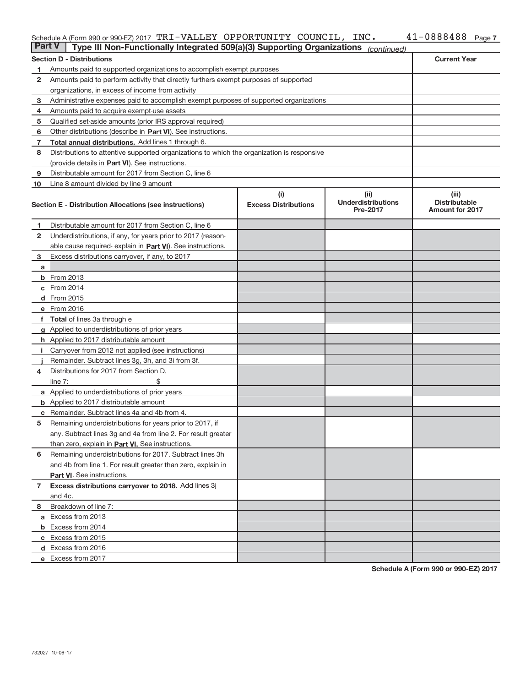#### Schedule A (Form 990 or 990‐EZ) 2017 「I'RエーVALLEY\_OPPORTUNITY\_COUNCILI, INC。\_\_\_\_\_\_4エーU888488 Page TRI‐VALLEY OPPORTUNITY COUNCIL, INC. 41‐0888488

| <b>Part V</b> | Type III Non-Functionally Integrated 509(a)(3) Supporting Organizations                    |                                    | (continued)                                           |                                                         |
|---------------|--------------------------------------------------------------------------------------------|------------------------------------|-------------------------------------------------------|---------------------------------------------------------|
|               | <b>Section D - Distributions</b>                                                           |                                    |                                                       | <b>Current Year</b>                                     |
| 1             | Amounts paid to supported organizations to accomplish exempt purposes                      |                                    |                                                       |                                                         |
| 2             | Amounts paid to perform activity that directly furthers exempt purposes of supported       |                                    |                                                       |                                                         |
|               | organizations, in excess of income from activity                                           |                                    |                                                       |                                                         |
| 3             | Administrative expenses paid to accomplish exempt purposes of supported organizations      |                                    |                                                       |                                                         |
| 4             | Amounts paid to acquire exempt-use assets                                                  |                                    |                                                       |                                                         |
| 5             | Qualified set-aside amounts (prior IRS approval required)                                  |                                    |                                                       |                                                         |
| 6             | Other distributions (describe in Part VI). See instructions.                               |                                    |                                                       |                                                         |
| 7             | <b>Total annual distributions.</b> Add lines 1 through 6.                                  |                                    |                                                       |                                                         |
| 8             | Distributions to attentive supported organizations to which the organization is responsive |                                    |                                                       |                                                         |
|               | (provide details in Part VI). See instructions.                                            |                                    |                                                       |                                                         |
| 9             | Distributable amount for 2017 from Section C, line 6                                       |                                    |                                                       |                                                         |
| 10            | Line 8 amount divided by line 9 amount                                                     |                                    |                                                       |                                                         |
|               | <b>Section E - Distribution Allocations (see instructions)</b>                             | (i)<br><b>Excess Distributions</b> | (iii)<br><b>Underdistributions</b><br><b>Pre-2017</b> | (iii)<br><b>Distributable</b><br><b>Amount for 2017</b> |
| 1.            | Distributable amount for 2017 from Section C, line 6                                       |                                    |                                                       |                                                         |
| 2             | Underdistributions, if any, for years prior to 2017 (reason-                               |                                    |                                                       |                                                         |
|               | able cause required- explain in <b>Part VI</b> ). See instructions.                        |                                    |                                                       |                                                         |
| 3             | Excess distributions carryover, if any, to 2017                                            |                                    |                                                       |                                                         |
| a             |                                                                                            |                                    |                                                       |                                                         |
|               | <b>b</b> From 2013                                                                         |                                    |                                                       |                                                         |
|               | $c$ From 2014                                                                              |                                    |                                                       |                                                         |
|               | <b>d</b> From 2015                                                                         |                                    |                                                       |                                                         |
|               | e From 2016                                                                                |                                    |                                                       |                                                         |
|               | f Total of lines 3a through e                                                              |                                    |                                                       |                                                         |
|               | <b>g</b> Applied to underdistributions of prior years                                      |                                    |                                                       |                                                         |
|               | <b>h</b> Applied to 2017 distributable amount                                              |                                    |                                                       |                                                         |
| Ť.            | Carryover from 2012 not applied (see instructions)                                         |                                    |                                                       |                                                         |
|               | Remainder. Subtract lines 3g, 3h, and 3i from 3f.                                          |                                    |                                                       |                                                         |
| 4             | Distributions for 2017 from Section D,                                                     |                                    |                                                       |                                                         |
|               | line $7:$                                                                                  |                                    |                                                       |                                                         |
|               | <b>a</b> Applied to underdistributions of prior years                                      |                                    |                                                       |                                                         |
|               | <b>b</b> Applied to 2017 distributable amount                                              |                                    |                                                       |                                                         |
| С             | Remainder. Subtract lines 4a and 4b from 4.                                                |                                    |                                                       |                                                         |
| 5             | Remaining underdistributions for years prior to 2017, if                                   |                                    |                                                       |                                                         |
|               | any. Subtract lines 3g and 4a from line 2. For result greater                              |                                    |                                                       |                                                         |
|               | than zero, explain in Part VI. See instructions.                                           |                                    |                                                       |                                                         |
| 6             | Remaining underdistributions for 2017. Subtract lines 3h                                   |                                    |                                                       |                                                         |
|               | and 4b from line 1. For result greater than zero, explain in                               |                                    |                                                       |                                                         |
|               | Part VI. See instructions.                                                                 |                                    |                                                       |                                                         |
| $\mathbf{7}$  | Excess distributions carryover to 2018. Add lines 3j                                       |                                    |                                                       |                                                         |
|               | and 4c.                                                                                    |                                    |                                                       |                                                         |
| 8             | Breakdown of line 7:                                                                       |                                    |                                                       |                                                         |
|               | a Excess from 2013                                                                         |                                    |                                                       |                                                         |
|               | <b>b</b> Excess from 2014                                                                  |                                    |                                                       |                                                         |
|               | c Excess from 2015                                                                         |                                    |                                                       |                                                         |
|               | d Excess from 2016                                                                         |                                    |                                                       |                                                         |
|               | e Excess from 2017                                                                         |                                    |                                                       |                                                         |

**Schedule A (Form 990 or 990‐EZ) 2017**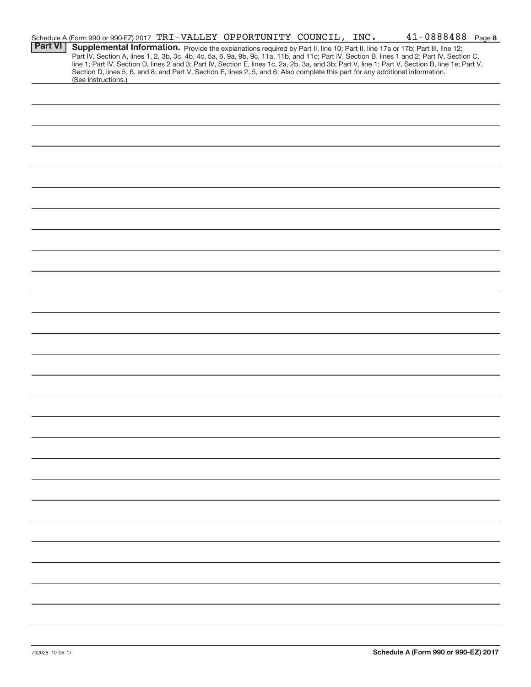|                | Schedule A (Form 990 or 990-EZ) 2017 TRI-VALLEY OPPORTUNITY COUNCIL, INC.                                                                                                                                                                                                                        |  |  | $41 - 0888488$ Page 8 |  |
|----------------|--------------------------------------------------------------------------------------------------------------------------------------------------------------------------------------------------------------------------------------------------------------------------------------------------|--|--|-----------------------|--|
| <b>Part VI</b> | Supplemental Information. Provide the explanations required by Part II, line 10; Part II, line 17a or 17b; Part III, line 12;                                                                                                                                                                    |  |  |                       |  |
|                | Part IV, Section A, lines 1, 2, 3b, 3c, 4b, 4c, 5a, 6, 9a, 9b, 9c, 11a, 11b, and 11c; Part IV, Section B, lines 1 and 2; Part IV, Section C,<br>line 1; Part IV, Section D, lines 2 and 3; Part IV, Section E, lines 1c, 2a, 2b, 3a, and 3b; Part V, line 1; Part V, Section B, line 1e; Part V, |  |  |                       |  |
|                | Section D, lines 5, 6, and 8; and Part V, Section E, lines 2, 5, and 6. Also complete this part for any additional information.                                                                                                                                                                  |  |  |                       |  |
|                | (See instructions.)                                                                                                                                                                                                                                                                              |  |  |                       |  |
|                |                                                                                                                                                                                                                                                                                                  |  |  |                       |  |
|                |                                                                                                                                                                                                                                                                                                  |  |  |                       |  |
|                |                                                                                                                                                                                                                                                                                                  |  |  |                       |  |
|                |                                                                                                                                                                                                                                                                                                  |  |  |                       |  |
|                |                                                                                                                                                                                                                                                                                                  |  |  |                       |  |
|                |                                                                                                                                                                                                                                                                                                  |  |  |                       |  |
|                |                                                                                                                                                                                                                                                                                                  |  |  |                       |  |
|                |                                                                                                                                                                                                                                                                                                  |  |  |                       |  |
|                |                                                                                                                                                                                                                                                                                                  |  |  |                       |  |
|                |                                                                                                                                                                                                                                                                                                  |  |  |                       |  |
|                |                                                                                                                                                                                                                                                                                                  |  |  |                       |  |
|                |                                                                                                                                                                                                                                                                                                  |  |  |                       |  |
|                |                                                                                                                                                                                                                                                                                                  |  |  |                       |  |
|                |                                                                                                                                                                                                                                                                                                  |  |  |                       |  |
|                |                                                                                                                                                                                                                                                                                                  |  |  |                       |  |
|                |                                                                                                                                                                                                                                                                                                  |  |  |                       |  |
|                |                                                                                                                                                                                                                                                                                                  |  |  |                       |  |
|                |                                                                                                                                                                                                                                                                                                  |  |  |                       |  |
|                |                                                                                                                                                                                                                                                                                                  |  |  |                       |  |
|                |                                                                                                                                                                                                                                                                                                  |  |  |                       |  |
|                |                                                                                                                                                                                                                                                                                                  |  |  |                       |  |
|                |                                                                                                                                                                                                                                                                                                  |  |  |                       |  |
|                |                                                                                                                                                                                                                                                                                                  |  |  |                       |  |
|                |                                                                                                                                                                                                                                                                                                  |  |  |                       |  |
|                |                                                                                                                                                                                                                                                                                                  |  |  |                       |  |
|                |                                                                                                                                                                                                                                                                                                  |  |  |                       |  |
|                |                                                                                                                                                                                                                                                                                                  |  |  |                       |  |
|                |                                                                                                                                                                                                                                                                                                  |  |  |                       |  |
|                |                                                                                                                                                                                                                                                                                                  |  |  |                       |  |
|                |                                                                                                                                                                                                                                                                                                  |  |  |                       |  |
|                |                                                                                                                                                                                                                                                                                                  |  |  |                       |  |
|                |                                                                                                                                                                                                                                                                                                  |  |  |                       |  |
|                |                                                                                                                                                                                                                                                                                                  |  |  |                       |  |
|                |                                                                                                                                                                                                                                                                                                  |  |  |                       |  |
|                |                                                                                                                                                                                                                                                                                                  |  |  |                       |  |
|                |                                                                                                                                                                                                                                                                                                  |  |  |                       |  |
|                |                                                                                                                                                                                                                                                                                                  |  |  |                       |  |
|                |                                                                                                                                                                                                                                                                                                  |  |  |                       |  |
|                |                                                                                                                                                                                                                                                                                                  |  |  |                       |  |
|                |                                                                                                                                                                                                                                                                                                  |  |  |                       |  |
|                |                                                                                                                                                                                                                                                                                                  |  |  |                       |  |
|                |                                                                                                                                                                                                                                                                                                  |  |  |                       |  |
|                |                                                                                                                                                                                                                                                                                                  |  |  |                       |  |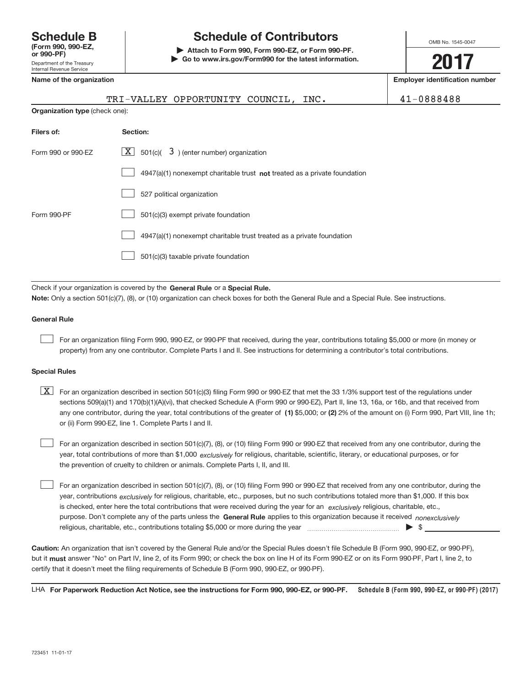# **(Form 990, 990‐EZ,**

#### Department of the Treasury Internal Revenue Service

**Schedule B Schedule of Contributors**

**or 990‐PF) | Attach to Form 990, Form 990‐EZ, or Form 990‐PF. | Go to www.irs.gov/Form990 for the latest information.** OMB No. 1545‐0047

**2017**

| internai Revenue Service |                                                                                                                                                                                                                                                                                                                                                                                                                                                                                                           |                                       |
|--------------------------|-----------------------------------------------------------------------------------------------------------------------------------------------------------------------------------------------------------------------------------------------------------------------------------------------------------------------------------------------------------------------------------------------------------------------------------------------------------------------------------------------------------|---------------------------------------|
|                          | Name of the organization                                                                                                                                                                                                                                                                                                                                                                                                                                                                                  | <b>Employer identification number</b> |
|                          | TRI-VALLEY OPPORTUNITY COUNCIL,<br>INC.                                                                                                                                                                                                                                                                                                                                                                                                                                                                   | 41-0888488                            |
|                          | Organization type (check one):                                                                                                                                                                                                                                                                                                                                                                                                                                                                            |                                       |
| Filers of:               | Section:                                                                                                                                                                                                                                                                                                                                                                                                                                                                                                  |                                       |
| Form 990 or 990-EZ       | $\overline{X}$ 501(c)( 3) (enter number) organization                                                                                                                                                                                                                                                                                                                                                                                                                                                     |                                       |
|                          | $4947(a)(1)$ nonexempt charitable trust <b>not</b> treated as a private foundation                                                                                                                                                                                                                                                                                                                                                                                                                        |                                       |
|                          | 527 political organization                                                                                                                                                                                                                                                                                                                                                                                                                                                                                |                                       |
| Form 990-PF              | 501(c)(3) exempt private foundation                                                                                                                                                                                                                                                                                                                                                                                                                                                                       |                                       |
|                          | 4947(a)(1) nonexempt charitable trust treated as a private foundation                                                                                                                                                                                                                                                                                                                                                                                                                                     |                                       |
|                          | 501(c)(3) taxable private foundation                                                                                                                                                                                                                                                                                                                                                                                                                                                                      |                                       |
|                          | Check if your organization is covered by the General Rule or a Special Rule.                                                                                                                                                                                                                                                                                                                                                                                                                              |                                       |
|                          | Note: Only a section 501(c)(7), (8), or (10) organization can check boxes for both the General Rule and a Special Rule. See instructions.                                                                                                                                                                                                                                                                                                                                                                 |                                       |
| <b>General Rule</b>      |                                                                                                                                                                                                                                                                                                                                                                                                                                                                                                           |                                       |
|                          | For an organization filing Form 990, 990-EZ, or 990-PF that received, during the year, contributions totaling \$5,000 or more (in money or<br>property) from any one contributor. Complete Parts I and II. See instructions for determining a contributor's total contributions.                                                                                                                                                                                                                          |                                       |
| <b>Special Rules</b>     |                                                                                                                                                                                                                                                                                                                                                                                                                                                                                                           |                                       |
| X                        | For an organization described in section 501(c)(3) filing Form 990 or 990-EZ that met the 33 1/3% support test of the regulations under<br>sections 509(a)(1) and 170(b)(1)(A)(vi), that checked Schedule A (Form 990 or 990-EZ), Part II, line 13, 16a, or 16b, and that received from<br>any one contributor, during the year, total contributions of the greater of (1) \$5,000; or (2) 2% of the amount on (i) Form 990, Part VIII, line 1h;<br>or (ii) Form 990-EZ, line 1, Complete Parts I and II. |                                       |

year, total contributions of more than \$1,000 *exclusively* for religious, charitable, scientific, literary, or educational purposes, or for For an organization described in section 501(c)(7), (8), or (10) filing Form 990 or 990‐EZ that received from any one contributor, during the the prevention of cruelty to children or animals. Complete Parts I, II, and III.

purpose. Don't complete any of the parts unless the General Rule applies to this organization because it received nonexclusively year, contributions <sub>exclusively</sub> for religious, charitable, etc., purposes, but no such contributions totaled more than \$1,000. If this box is checked, enter here the total contributions that were received during the year for an *exclusively* religious, charitable, etc., For an organization described in section 501(c)(7), (8), or (10) filing Form 990 or 990‐EZ that received from any one contributor, during the religious, charitable, etc., contributions totaling \$5,000 or more during the year  $\ldots$  $\ldots$  $\ldots$  $\ldots$  $\ldots$  $\ldots$ 

**Caution:**  An organization that isn't covered by the General Rule and/or the Special Rules doesn't file Schedule B (Form 990, 990‐EZ, or 990‐PF),  **must** but it answer "No" on Part IV, line 2, of its Form 990; or check the box on line H of its Form 990‐EZ or on its Form 990‐PF, Part I, line 2, to certify that it doesn't meet the filing requirements of Schedule B (Form 990, 990‐EZ, or 990‐PF).

**Schedule B (Form 990, 990‐EZ, or 990‐PF) (2017) For Paperwork Reduction Act Notice, see the instructions for Form 990, 990‐EZ, or 990‐PF.** LHA

 $\begin{array}{c} \hline \end{array}$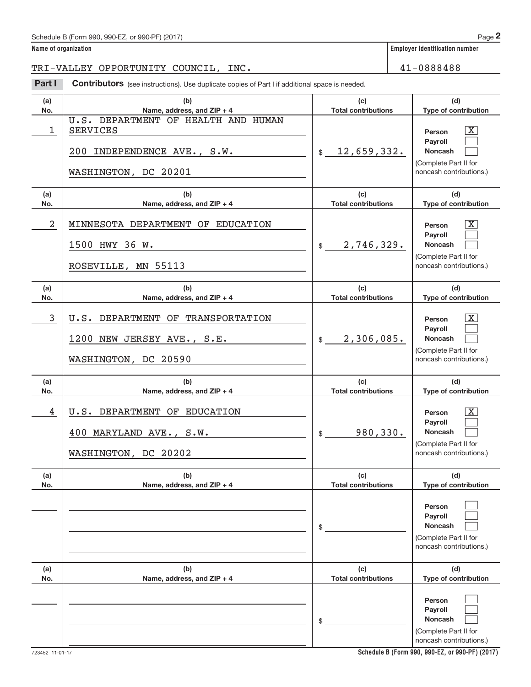#### Schedule B (Form 990, 990-EZ, or 990-PF) (2017)

#### **Name of organization Employer identification number**

TRI-VALLEY OPPORTUNITY COUNCIL, INC. 41-0888488

**Part I** Contributors (see instructions). Use duplicate copies of Part I if additional space is needed.

| (a)<br>No. | (b)<br>Name, address, and ZIP + 4                                                                             | (c)<br><b>Total contributions</b> | (d)<br>Type of contribution                                                                                      |
|------------|---------------------------------------------------------------------------------------------------------------|-----------------------------------|------------------------------------------------------------------------------------------------------------------|
| 1          | U.S. DEPARTMENT OF HEALTH AND HUMAN<br><b>SERVICES</b><br>200 INDEPENDENCE AVE., S.W.<br>WASHINGTON, DC 20201 | \$12,659,332.                     | X<br>Person<br>Pavroll<br>Noncash<br>(Complete Part II for<br>noncash contributions.)                            |
| (a)<br>No. | (b)<br>Name, address, and ZIP + 4                                                                             | (c)<br><b>Total contributions</b> | (d)<br>Type of contribution                                                                                      |
| 2          | MINNESOTA DEPARTMENT OF EDUCATION<br>1500 HWY 36 W.<br>ROSEVILLE, MN 55113                                    | $\frac{1}{2}$ , 746, 329.         | X<br>Person<br>Payroll<br>Noncash<br>(Complete Part II for<br>noncash contributions.)                            |
| (a)<br>No. | (b)<br>Name, address, and $ZIP + 4$                                                                           | (c)<br><b>Total contributions</b> | (d)<br>Type of contribution                                                                                      |
| 3          | U.S. DEPARTMENT OF TRANSPORTATION<br>1200 NEW JERSEY AVE., S.E.<br>WASHINGTON, DC 20590                       | \$2,306,085.                      | X<br>Person<br>Payroll<br><b>Noncash</b><br>(Complete Part II for<br>noncash contributions.)                     |
| (a)<br>No. | (b)<br>Name, address, and ZIP + 4                                                                             | (c)<br><b>Total contributions</b> | (d)<br>Type of contribution                                                                                      |
| 4          | U.S. DEPARTMENT OF EDUCATION<br>400 MARYLAND AVE., S.W.<br>WASHINGTON, DC 20202                               | 980, 330.<br>$\frac{1}{2}$        | $\overline{\text{X}}$<br>Person<br>Payroll<br><b>Noncash</b><br>(Complete Part II for<br>noncash contributions.) |
| (a)<br>No. | (b)<br>Name, address, and ZIP + 4                                                                             | (c)<br><b>Total contributions</b> | (d)<br>Type of contribution                                                                                      |
|            |                                                                                                               | \$                                | Person<br>Payroll<br><b>Noncash</b><br>(Complete Part II for<br>noncash contributions.)                          |
| (a)<br>No. | (b)<br>Name, address, and ZIP + 4                                                                             | (c)<br><b>Total contributions</b> | (d)<br>Type of contribution                                                                                      |
|            |                                                                                                               | \$                                | Person<br>Payroll<br>Noncash<br>(Complete Part II for<br>noncash contributions.)                                 |

**Schedule B (Form 990, 990‐EZ, or 990‐PF) (2017)**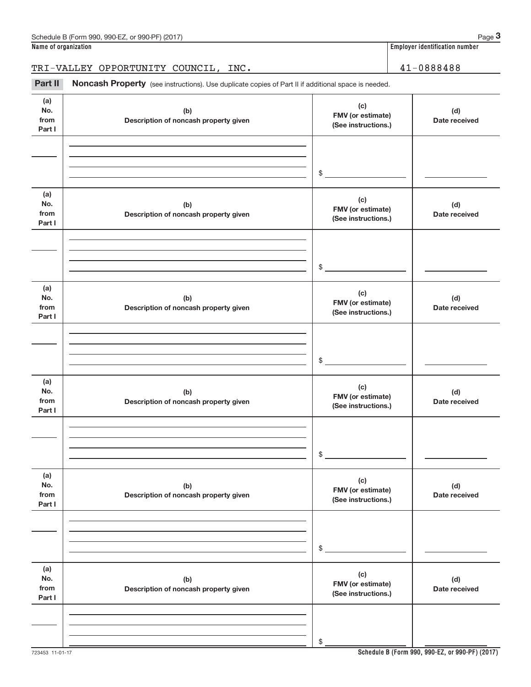**Name of organization Employer identification number**

TRI-VALLEY OPPORTUNITY COUNCIL, INC. 41-0888488

Part II Noncash Property (see instructions). Use duplicate copies of Part II if additional space is needed.

| (a)<br>No.<br>from<br>Part I | (b)<br>Description of noncash property given | (c)<br>FMV (or estimate)<br>(See instructions.) | (d)<br>Date received |
|------------------------------|----------------------------------------------|-------------------------------------------------|----------------------|
|                              |                                              |                                                 |                      |
|                              |                                              | $\frac{1}{2}$                                   |                      |
| (a)                          |                                              |                                                 |                      |
| No.<br>from<br>Part I        | (b)<br>Description of noncash property given | (c)<br>FMV (or estimate)<br>(See instructions.) | (d)<br>Date received |
|                              |                                              |                                                 |                      |
|                              |                                              | $\frac{1}{2}$                                   |                      |
| (a)                          |                                              |                                                 |                      |
| No.<br>from<br>Part I        | (b)<br>Description of noncash property given | (c)<br>FMV (or estimate)<br>(See instructions.) | (d)<br>Date received |
|                              |                                              |                                                 |                      |
|                              |                                              | $\frac{1}{2}$                                   |                      |
| (a)                          |                                              |                                                 |                      |
| No.<br>from<br>Part I        | (b)<br>Description of noncash property given | (c)<br>FMV (or estimate)<br>(See instructions.) | (d)<br>Date received |
|                              |                                              |                                                 |                      |
|                              |                                              | \$                                              |                      |
|                              |                                              |                                                 |                      |
| (a)<br>No.<br>from<br>Part I | (b)<br>Description of noncash property given | (c)<br>FMV (or estimate)<br>(See instructions.) | (d)<br>Date received |
|                              |                                              |                                                 |                      |
|                              |                                              | $\frac{1}{2}$                                   |                      |
| (a)<br>No.<br>from<br>Part I | (b)<br>Description of noncash property given | (c)<br>FMV (or estimate)<br>(See instructions.) | (d)<br>Date received |
|                              |                                              |                                                 |                      |
|                              |                                              | \$                                              |                      |
|                              |                                              |                                                 |                      |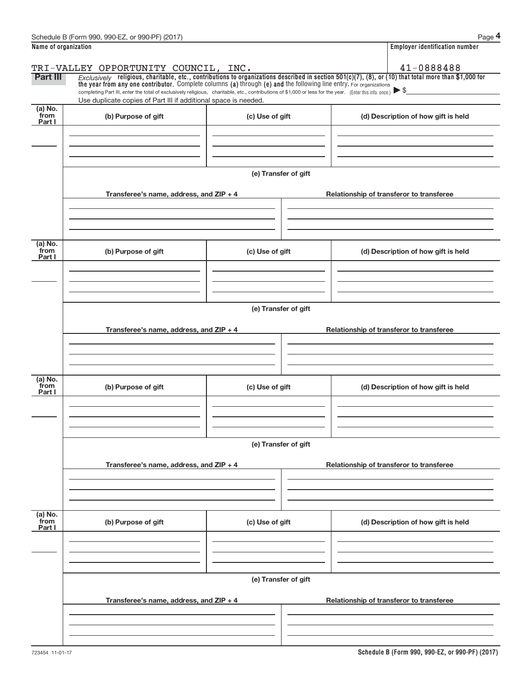|                           | Schedule B (Form 990, 990-EZ, or 990-PF) (2017)                                                                                                                                                                                                                                                                         |                      | Page 4                                                                                                                                                                 |  |  |  |
|---------------------------|-------------------------------------------------------------------------------------------------------------------------------------------------------------------------------------------------------------------------------------------------------------------------------------------------------------------------|----------------------|------------------------------------------------------------------------------------------------------------------------------------------------------------------------|--|--|--|
| Name of organization      |                                                                                                                                                                                                                                                                                                                         |                      | <b>Employer identification number</b>                                                                                                                                  |  |  |  |
| <b>Part III</b>           | TRI-VALLEY OPPORTUNITY COUNCIL, INC.<br>the year from any one contributor. Complete columns (a) through (e) and the following line entry. For organizations<br>completing Part III, enter the total of exclusively religious, charitable, etc., contributions of \$1,000 or less for the year. (Enter this info. once.) |                      | 41-0888488<br>Exclusively religious, charitable, etc., contributions to organizations described in section $501(c)(7)$ , (8), or (10) that total more than \$1,000 for |  |  |  |
| $(a)$ No.<br>from         | Use duplicate copies of Part III if additional space is needed.<br>(b) Purpose of gift                                                                                                                                                                                                                                  | (c) Use of gift      | (d) Description of how gift is held                                                                                                                                    |  |  |  |
| Part I                    |                                                                                                                                                                                                                                                                                                                         |                      |                                                                                                                                                                        |  |  |  |
|                           |                                                                                                                                                                                                                                                                                                                         | (e) Transfer of gift |                                                                                                                                                                        |  |  |  |
|                           | Transferee's name, address, and ZIP + 4                                                                                                                                                                                                                                                                                 |                      | Relationship of transferor to transferee                                                                                                                               |  |  |  |
| (a) No.<br>from<br>Part I | (b) Purpose of gift                                                                                                                                                                                                                                                                                                     | (c) Use of gift      | (d) Description of how gift is held                                                                                                                                    |  |  |  |
|                           | Transferee's name, address, and ZIP + 4                                                                                                                                                                                                                                                                                 | (e) Transfer of gift | Relationship of transferor to transferee                                                                                                                               |  |  |  |
|                           |                                                                                                                                                                                                                                                                                                                         |                      |                                                                                                                                                                        |  |  |  |
| (a) No.<br>from<br>Part I | (b) Purpose of gift                                                                                                                                                                                                                                                                                                     | (c) Use of gift      | (d) Description of how gift is held                                                                                                                                    |  |  |  |
|                           | (e) Transfer of gift                                                                                                                                                                                                                                                                                                    |                      |                                                                                                                                                                        |  |  |  |
|                           | Transferee's name, address, and ZIP + 4                                                                                                                                                                                                                                                                                 |                      | Relationship of transferor to transferee                                                                                                                               |  |  |  |
| (a) No.<br>from<br>Part I | (b) Purpose of gift                                                                                                                                                                                                                                                                                                     | (c) Use of gift      | (d) Description of how gift is held                                                                                                                                    |  |  |  |
|                           |                                                                                                                                                                                                                                                                                                                         | (e) Transfer of gift |                                                                                                                                                                        |  |  |  |
|                           | Transferee's name, address, and ZIP + 4                                                                                                                                                                                                                                                                                 |                      | Relationship of transferor to transferee                                                                                                                               |  |  |  |
|                           |                                                                                                                                                                                                                                                                                                                         |                      |                                                                                                                                                                        |  |  |  |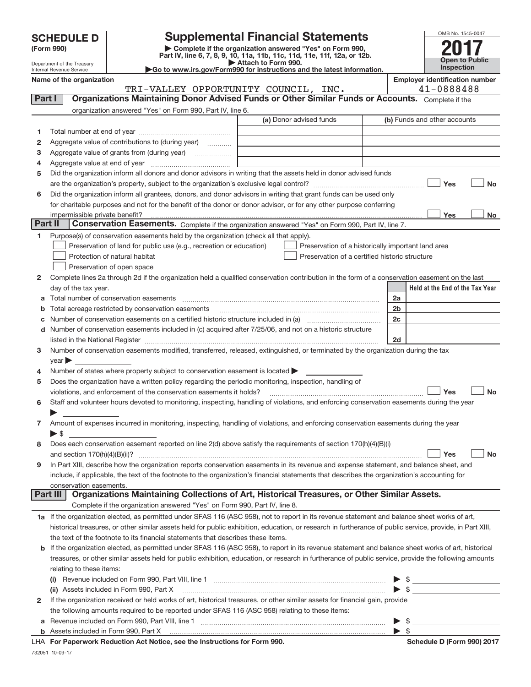|  | <b>SCHEDULE D</b> |  |
|--|-------------------|--|
|  |                   |  |

| (Form 990) |  |
|------------|--|
|------------|--|

**(Form 990) | Complete if the organization answered "Yes" on Form 990, Part IV, line 6, 7, 8, 9, 10, 11a, 11b, 11c, 11d, 11e, 11f, 12a, or 12b. SCHEDULE D Supplemental Financial Statements**<br> **Form 990 Complete if the organization answered "Yes" on Form 990, 2017** 

| OMB No. 1545-0047     |
|-----------------------|
|                       |
| <b>Open to Public</b> |
| Inspection            |

Department of the Treasury Internal Revenue Service

**| Attach to Form 990. |Go to www.irs.gov/Form990 for instructions and the latest information.**

|         | Name of the organization<br>TRI-VALLEY OPPORTUNITY COUNCIL, INC.                                                                                          |                         | <b>Employer identification number</b><br>41-0888488                        |
|---------|-----------------------------------------------------------------------------------------------------------------------------------------------------------|-------------------------|----------------------------------------------------------------------------|
| Part I  | Organizations Maintaining Donor Advised Funds or Other Similar Funds or Accounts. Complete if the                                                         |                         |                                                                            |
|         |                                                                                                                                                           |                         |                                                                            |
|         | organization answered "Yes" on Form 990, Part IV, line 6.                                                                                                 | (a) Donor advised funds | (b) Funds and other accounts                                               |
|         |                                                                                                                                                           |                         |                                                                            |
| 1.      |                                                                                                                                                           |                         |                                                                            |
| 2       | Aggregate value of contributions to (during year)                                                                                                         |                         |                                                                            |
| з       | Aggregate value of grants from (during year)                                                                                                              |                         |                                                                            |
| 4       |                                                                                                                                                           |                         |                                                                            |
| 5       | Did the organization inform all donors and donor advisors in writing that the assets held in donor advised funds                                          |                         |                                                                            |
|         |                                                                                                                                                           |                         | Yes<br><b>No</b>                                                           |
| 6       | Did the organization inform all grantees, donors, and donor advisors in writing that grant funds can be used only                                         |                         |                                                                            |
|         | for charitable purposes and not for the benefit of the donor or donor advisor, or for any other purpose conferring                                        |                         |                                                                            |
|         |                                                                                                                                                           |                         | Yes<br>No                                                                  |
| Part II | Conservation Easements. Complete if the organization answered "Yes" on Form 990, Part IV, line 7.                                                         |                         |                                                                            |
| 1       | Purpose(s) of conservation easements held by the organization (check all that apply).                                                                     |                         |                                                                            |
|         | Preservation of land for public use (e.g., recreation or education)                                                                                       |                         | Preservation of a historically important land area                         |
|         | Protection of natural habitat                                                                                                                             |                         | Preservation of a certified historic structure                             |
|         | Preservation of open space                                                                                                                                |                         |                                                                            |
| 2       | Complete lines 2a through 2d if the organization held a qualified conservation contribution in the form of a conservation easement on the last            |                         |                                                                            |
|         | day of the tax year.                                                                                                                                      |                         | Held at the End of the Tax Year                                            |
| а       | Total number of conservation easements                                                                                                                    |                         | 2a                                                                         |
| b       | Total acreage restricted by conservation easements                                                                                                        |                         | 2b                                                                         |
| с       |                                                                                                                                                           |                         | 2c                                                                         |
| d       | Number of conservation easements included in (c) acquired after 7/25/06, and not on a historic structure                                                  |                         |                                                                            |
|         |                                                                                                                                                           |                         | 2d                                                                         |
| 3       | Number of conservation easements modified, transferred, released, extinguished, or terminated by the organization during the tax                          |                         |                                                                            |
|         | $\sqrt{2}$ year $\blacktriangleright$                                                                                                                     |                         |                                                                            |
| 4       | Number of states where property subject to conservation easement is located $\blacktriangleright$                                                         |                         |                                                                            |
| 5       | Does the organization have a written policy regarding the periodic monitoring, inspection, handling of                                                    |                         |                                                                            |
|         | violations, and enforcement of the conservation easements it holds?                                                                                       |                         | Yes<br><b>No</b>                                                           |
| 6       | Staff and volunteer hours devoted to monitoring, inspecting, handling of violations, and enforcing conservation easements during the year                 |                         |                                                                            |
|         |                                                                                                                                                           |                         |                                                                            |
| 7.      | Amount of expenses incurred in monitoring, inspecting, handling of violations, and enforcing conservation easements during the year                       |                         |                                                                            |
|         | $\triangleright$ \$                                                                                                                                       |                         |                                                                            |
| 8       | Does each conservation easement reported on line 2(d) above satisfy the requirements of section 170(h)(4)(B)(i)                                           |                         |                                                                            |
|         |                                                                                                                                                           |                         | <b>No</b><br>Yes                                                           |
| 9       | In Part XIII, describe how the organization reports conservation easements in its revenue and expense statement, and balance sheet, and                   |                         |                                                                            |
|         | include, if applicable, the text of the footnote to the organization's financial statements that describes the organization's accounting for              |                         |                                                                            |
|         | conservation easements.                                                                                                                                   |                         |                                                                            |
|         | Organizations Maintaining Collections of Art, Historical Treasures, or Other Similar Assets.<br>Part III                                                  |                         |                                                                            |
|         | Complete if the organization answered "Yes" on Form 990, Part IV, line 8.                                                                                 |                         |                                                                            |
|         | 1a If the organization elected, as permitted under SFAS 116 (ASC 958), not to report in its revenue statement and balance sheet works of art,             |                         |                                                                            |
|         | historical treasures, or other similar assets held for public exhibition, education, or research in furtherance of public service, provide, in Part XIII, |                         |                                                                            |
|         | the text of the footnote to its financial statements that describes these items.                                                                          |                         |                                                                            |
| b       | If the organization elected, as permitted under SFAS 116 (ASC 958), to report in its revenue statement and balance sheet works of art, historical         |                         |                                                                            |
|         | treasures, or other similar assets held for public exhibition, education, or research in furtherance of public service, provide the following amounts     |                         |                                                                            |
|         | relating to these items:                                                                                                                                  |                         |                                                                            |
|         |                                                                                                                                                           |                         | $\triangleright$ \$                                                        |
|         | (ii) Assets included in Form 990, Part X                                                                                                                  |                         | $\blacktriangleright$ \$<br><u>and the state of the state of the state</u> |
| 2       | If the organization received or held works of art, historical treasures, or other similar assets for financial gain, provide                              |                         |                                                                            |
|         | the following amounts required to be reported under SFAS 116 (ASC 958) relating to these items:                                                           |                         |                                                                            |
| а       |                                                                                                                                                           |                         | $\blacktriangleright$ \$                                                   |
|         |                                                                                                                                                           |                         | $\triangleright$ \$                                                        |

LHA For Paperwork Reduction Act Notice, see the Instructions for Form 990. Names and Schedule D (Form 990) 2017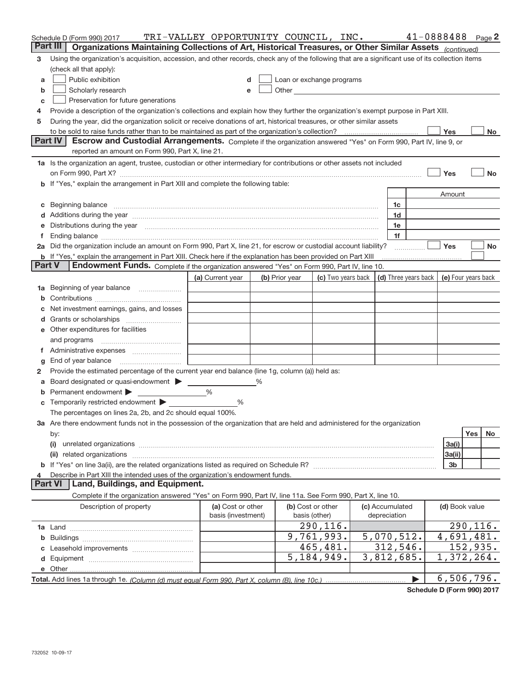|                | Schedule D (Form 990) 2017                                                                                                                                                                                                     | TRI-VALLEY OPPORTUNITY COUNCIL, INC. |   |                           |                    |                         |                                            | $41 - 0888488$ Page 2   |
|----------------|--------------------------------------------------------------------------------------------------------------------------------------------------------------------------------------------------------------------------------|--------------------------------------|---|---------------------------|--------------------|-------------------------|--------------------------------------------|-------------------------|
| Part III       | Organizations Maintaining Collections of Art, Historical Treasures, or Other Similar Assets (continued)                                                                                                                        |                                      |   |                           |                    |                         |                                            |                         |
| з              | Using the organization's acquisition, accession, and other records, check any of the following that are a significant use of its collection items                                                                              |                                      |   |                           |                    |                         |                                            |                         |
|                | (check all that apply):                                                                                                                                                                                                        |                                      |   |                           |                    |                         |                                            |                         |
| a              | Public exhibition                                                                                                                                                                                                              |                                      |   | Loan or exchange programs |                    |                         |                                            |                         |
| b              | Scholarly research                                                                                                                                                                                                             | e                                    |   |                           |                    |                         |                                            |                         |
| c              | Preservation for future generations                                                                                                                                                                                            |                                      |   |                           |                    |                         |                                            |                         |
| 4              | Provide a description of the organization's collections and explain how they further the organization's exempt purpose in Part XIII.                                                                                           |                                      |   |                           |                    |                         |                                            |                         |
| 5              | During the year, did the organization solicit or receive donations of art, historical treasures, or other similar assets                                                                                                       |                                      |   |                           |                    |                         |                                            |                         |
|                |                                                                                                                                                                                                                                |                                      |   |                           |                    |                         | Yes                                        | No                      |
| Part IV        | Escrow and Custodial Arrangements. Complete if the organization answered "Yes" on Form 990, Part IV, line 9, or                                                                                                                |                                      |   |                           |                    |                         |                                            |                         |
|                | reported an amount on Form 990, Part X, line 21.                                                                                                                                                                               |                                      |   |                           |                    |                         |                                            |                         |
|                | 1a Is the organization an agent, trustee, custodian or other intermediary for contributions or other assets not included                                                                                                       |                                      |   |                           |                    |                         |                                            |                         |
|                |                                                                                                                                                                                                                                |                                      |   |                           |                    |                         | Yes                                        | <b>No</b>               |
|                | b If "Yes," explain the arrangement in Part XIII and complete the following table:                                                                                                                                             |                                      |   |                           |                    |                         |                                            |                         |
|                |                                                                                                                                                                                                                                |                                      |   |                           |                    |                         | Amount                                     |                         |
| c              | Beginning balance manufactured and contain an account of the contract of the contract of the contract of the contract of the contract of the contract of the contract of the contract of the contract of the contract of the c |                                      |   |                           |                    | 1c                      |                                            |                         |
|                | Additions during the year manufactured and an account of the year manufactured and account of the year manufactured and account of the year manufactured and account of the year manufactured and account of the year manufact |                                      |   |                           |                    | 1d                      |                                            |                         |
|                | Distributions during the year manufactured and continuum control of the year manufactured and the year manufactured and the year manufactured and the year manufactured and the year manufactured and the year manufactured an |                                      |   |                           |                    | 1e                      |                                            |                         |
|                |                                                                                                                                                                                                                                |                                      |   |                           |                    | 1f                      |                                            |                         |
|                | 2a Did the organization include an amount on Form 990, Part X, line 21, for escrow or custodial account liability?                                                                                                             |                                      |   |                           |                    |                         | Yes                                        | No                      |
| <b>Part V</b>  | <b>b</b> If "Yes," explain the arrangement in Part XIII. Check here if the explanation has been provided on Part XIII<br>Endowment Funds. Complete if the organization answered "Yes" on Form 990, Part IV, line 10.           |                                      |   |                           |                    |                         |                                            |                         |
|                |                                                                                                                                                                                                                                |                                      |   |                           |                    |                         |                                            |                         |
|                |                                                                                                                                                                                                                                | (a) Current year                     |   | (b) Prior year            | (c) Two years back |                         | (d) Three years back   (e) Four years back |                         |
| 1a             | Beginning of year balance                                                                                                                                                                                                      |                                      |   |                           |                    |                         |                                            |                         |
|                |                                                                                                                                                                                                                                |                                      |   |                           |                    |                         |                                            |                         |
|                | Net investment earnings, gains, and losses                                                                                                                                                                                     |                                      |   |                           |                    |                         |                                            |                         |
|                |                                                                                                                                                                                                                                |                                      |   |                           |                    |                         |                                            |                         |
|                | e Other expenditures for facilities                                                                                                                                                                                            |                                      |   |                           |                    |                         |                                            |                         |
|                | and programs                                                                                                                                                                                                                   |                                      |   |                           |                    |                         |                                            |                         |
|                |                                                                                                                                                                                                                                |                                      |   |                           |                    |                         |                                            |                         |
|                | End of year balance<br>Provide the estimated percentage of the current year end balance (line 1g, column (a)) held as:                                                                                                         |                                      |   |                           |                    |                         |                                            |                         |
| 2              | Board designated or quasi-endowment > _____                                                                                                                                                                                    |                                      | % |                           |                    |                         |                                            |                         |
|                | Permanent endowment                                                                                                                                                                                                            | %                                    |   |                           |                    |                         |                                            |                         |
|                | Temporarily restricted endowment                                                                                                                                                                                               | %                                    |   |                           |                    |                         |                                            |                         |
|                | The percentages on lines 2a, 2b, and 2c should equal 100%.                                                                                                                                                                     |                                      |   |                           |                    |                         |                                            |                         |
|                | 3a Are there endowment funds not in the possession of the organization that are held and administered for the organization                                                                                                     |                                      |   |                           |                    |                         |                                            |                         |
|                | by:                                                                                                                                                                                                                            |                                      |   |                           |                    |                         |                                            | Yes<br>No               |
|                | (i)                                                                                                                                                                                                                            |                                      |   |                           |                    |                         | 3a(i)                                      |                         |
|                | (ii) related organizations                                                                                                                                                                                                     |                                      |   |                           |                    |                         | 3a(ii)                                     |                         |
|                |                                                                                                                                                                                                                                |                                      |   |                           |                    |                         | 3b                                         |                         |
| 4              | Describe in Part XIII the intended uses of the organization's endowment funds.                                                                                                                                                 |                                      |   |                           |                    |                         |                                            |                         |
| <b>Part VI</b> | Land, Buildings, and Equipment.                                                                                                                                                                                                |                                      |   |                           |                    |                         |                                            |                         |
|                | Complete if the organization answered "Yes" on Form 990, Part IV, line 11a. See Form 990, Part X, line 10.                                                                                                                     |                                      |   |                           |                    |                         |                                            |                         |
|                | Description of property                                                                                                                                                                                                        | (a) Cost or other                    |   |                           | (b) Cost or other  | (c) Accumulated         | (d) Book value                             |                         |
|                |                                                                                                                                                                                                                                | basis (investment)                   |   |                           | basis (other)      | depreciation            |                                            |                         |
|                |                                                                                                                                                                                                                                |                                      |   |                           | 290,116.           |                         |                                            | 290, 116.               |
|                |                                                                                                                                                                                                                                |                                      |   |                           | 9,761,993.         | 5,070,512.              |                                            | $\overline{4,691},481.$ |
|                |                                                                                                                                                                                                                                |                                      |   |                           | 465,481.           | $\overline{312}$ , 546. |                                            | 152, 935.               |
|                |                                                                                                                                                                                                                                |                                      |   |                           | 5,184,949.         | 3,812,685.              |                                            | 1,372,264.              |
|                |                                                                                                                                                                                                                                |                                      |   |                           |                    |                         |                                            |                         |
|                |                                                                                                                                                                                                                                |                                      |   |                           |                    |                         |                                            | 6,506,796.              |

**Schedule D (Form 990) 2017**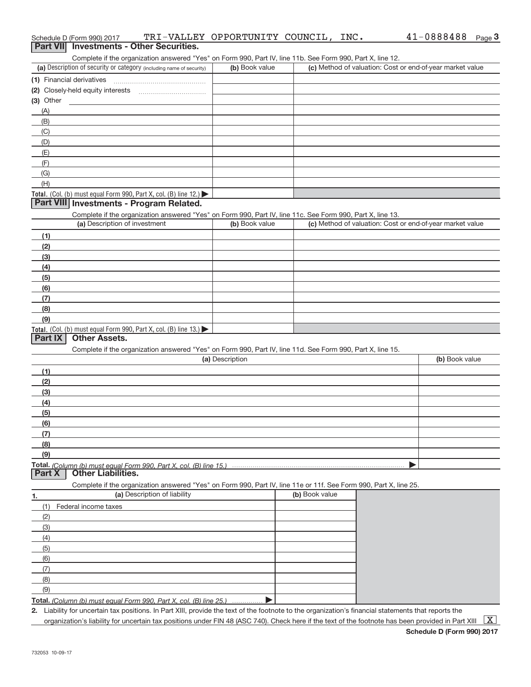|                | <b>Part VII</b> Investments - Other Securities.                                                                                                                                    |                 |                |                                                           |                |
|----------------|------------------------------------------------------------------------------------------------------------------------------------------------------------------------------------|-----------------|----------------|-----------------------------------------------------------|----------------|
|                | Complete if the organization answered "Yes" on Form 990, Part IV, line 11b. See Form 990, Part X, line 12.<br>(a) Description of security or category (including name of security) | (b) Book value  |                | (c) Method of valuation: Cost or end-of-year market value |                |
|                | (1) Financial derivatives                                                                                                                                                          |                 |                |                                                           |                |
|                |                                                                                                                                                                                    |                 |                |                                                           |                |
| $(3)$ Other    |                                                                                                                                                                                    |                 |                |                                                           |                |
| (A)            |                                                                                                                                                                                    |                 |                |                                                           |                |
| (B)            |                                                                                                                                                                                    |                 |                |                                                           |                |
| (C)            |                                                                                                                                                                                    |                 |                |                                                           |                |
| (D)            |                                                                                                                                                                                    |                 |                |                                                           |                |
| (E)            |                                                                                                                                                                                    |                 |                |                                                           |                |
| (F)            |                                                                                                                                                                                    |                 |                |                                                           |                |
| (G)            |                                                                                                                                                                                    |                 |                |                                                           |                |
| (H)            |                                                                                                                                                                                    |                 |                |                                                           |                |
|                | Total. (Col. (b) must equal Form 990, Part X, col. (B) line 12.)<br>Part VIII Investments - Program Related.                                                                       |                 |                |                                                           |                |
|                |                                                                                                                                                                                    |                 |                |                                                           |                |
|                | Complete if the organization answered "Yes" on Form 990, Part IV, line 11c. See Form 990, Part X, line 13.<br>(a) Description of investment                                        | (b) Book value  |                | (c) Method of valuation: Cost or end-of-year market value |                |
| (1)            |                                                                                                                                                                                    |                 |                |                                                           |                |
| (2)            |                                                                                                                                                                                    |                 |                |                                                           |                |
| (3)            |                                                                                                                                                                                    |                 |                |                                                           |                |
| (4)            |                                                                                                                                                                                    |                 |                |                                                           |                |
| (5)            |                                                                                                                                                                                    |                 |                |                                                           |                |
| (6)            |                                                                                                                                                                                    |                 |                |                                                           |                |
| (7)            |                                                                                                                                                                                    |                 |                |                                                           |                |
| (8)            |                                                                                                                                                                                    |                 |                |                                                           |                |
| (9)            |                                                                                                                                                                                    |                 |                |                                                           |                |
|                | Total. (Col. (b) must equal Form 990, Part X, col. (B) line 13.)                                                                                                                   |                 |                |                                                           |                |
| <b>Part IX</b> | <b>Other Assets.</b>                                                                                                                                                               |                 |                |                                                           |                |
|                | Complete if the organization answered "Yes" on Form 990, Part IV, line 11d. See Form 990, Part X, line 15.                                                                         | (a) Description |                |                                                           | (b) Book value |
|                |                                                                                                                                                                                    |                 |                |                                                           |                |
| (1)<br>(2)     |                                                                                                                                                                                    |                 |                |                                                           |                |
| (3)            |                                                                                                                                                                                    |                 |                |                                                           |                |
| (4)            |                                                                                                                                                                                    |                 |                |                                                           |                |
| (5)            |                                                                                                                                                                                    |                 |                |                                                           |                |
| (6)            |                                                                                                                                                                                    |                 |                |                                                           |                |
| (7)            |                                                                                                                                                                                    |                 |                |                                                           |                |
| (8)            |                                                                                                                                                                                    |                 |                |                                                           |                |
| (9)            |                                                                                                                                                                                    |                 |                |                                                           |                |
| <b>Part X</b>  | Total. (Column (b) must equal Form 990. Part X. col. (B) line 15.)<br><b>Other Liabilities.</b>                                                                                    |                 |                |                                                           |                |
|                | Complete if the organization answered "Yes" on Form 990, Part IV, line 11e or 11f. See Form 990, Part X, line 25.                                                                  |                 |                |                                                           |                |
| 1.             | (a) Description of liability                                                                                                                                                       |                 | (b) Book value |                                                           |                |
| (1)            | Federal income taxes                                                                                                                                                               |                 |                |                                                           |                |
| (2)            |                                                                                                                                                                                    |                 |                |                                                           |                |
| (3)            |                                                                                                                                                                                    |                 |                |                                                           |                |
| (4)            |                                                                                                                                                                                    |                 |                |                                                           |                |
| (5)            |                                                                                                                                                                                    |                 |                |                                                           |                |
| (6)            |                                                                                                                                                                                    |                 |                |                                                           |                |
| (7)            |                                                                                                                                                                                    |                 |                |                                                           |                |
| (8)            |                                                                                                                                                                                    |                 |                |                                                           |                |
| (9)            |                                                                                                                                                                                    |                 |                |                                                           |                |
|                | T <b>otal.</b> (Column (b) must equal Form 990. Part X, col. (B) line 25.)                                                                                                         |                 |                |                                                           |                |

Schedule D (Form 990) 2017  $\texttt{TRI}-\texttt{VALUEY}$   $\texttt{OPPORTUNITY}$   $\texttt{COUNTL}$ ,  $\texttt{INC.}$   $41-0888488$   $_\texttt{Page}$ 

**2.** Liability for uncertain tax positions. In Part XIII, provide the text of the footnote to the organization's financial statements that reports the organization's liability for uncertain tax positions under FIN 48 (ASC 740). Check here if the text of the footnote has been provided in Part XIII  $~\boxed{\rm X}$ 

41-0888488 Page 3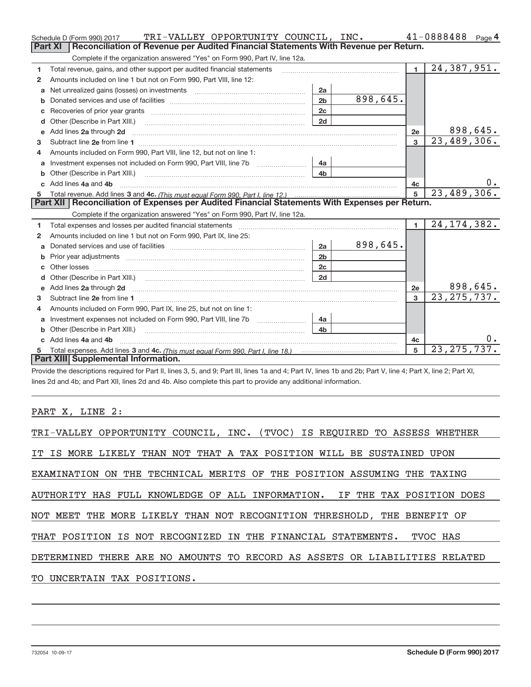|                                                                                                                                                                                                                                    | TRI-VALLEY OPPORTUNITY COUNCIL, INC. |          |                 | 41-0888488<br>Page 4        |
|------------------------------------------------------------------------------------------------------------------------------------------------------------------------------------------------------------------------------------|--------------------------------------|----------|-----------------|-----------------------------|
| Reconciliation of Revenue per Audited Financial Statements With Revenue per Return.<br><b>Part XI</b>                                                                                                                              |                                      |          |                 |                             |
| Complete if the organization answered "Yes" on Form 990, Part IV, line 12a.                                                                                                                                                        |                                      |          |                 |                             |
| Total revenue, gains, and other support per audited financial statements<br>1                                                                                                                                                      |                                      |          | $\mathbf{1}$    | 24,387,951.                 |
| Amounts included on line 1 but not on Form 990, Part VIII, line 12:<br>$\mathbf{2}$                                                                                                                                                |                                      |          |                 |                             |
| a                                                                                                                                                                                                                                  | 2a                                   |          |                 |                             |
|                                                                                                                                                                                                                                    | 2 <sub>b</sub>                       | 898,645. |                 |                             |
|                                                                                                                                                                                                                                    | 2c                                   |          |                 |                             |
| d                                                                                                                                                                                                                                  | 2d                                   |          |                 |                             |
| Add lines 2a through 2d <b>continuum contract and all and all and all and all and all and all and all and all and a</b><br>e                                                                                                       |                                      |          | 2e              | 898,645.                    |
| 3                                                                                                                                                                                                                                  |                                      |          | $\overline{3}$  | $\overline{23,489,306}$ .   |
| Amounts included on Form 990, Part VIII, line 12, but not on line 1:<br>4                                                                                                                                                          |                                      |          |                 |                             |
| a                                                                                                                                                                                                                                  | 4a                                   |          |                 |                             |
|                                                                                                                                                                                                                                    | 4 <sub>b</sub>                       |          |                 |                             |
| c Add lines 4a and 4b                                                                                                                                                                                                              |                                      |          | 4c              |                             |
| 5                                                                                                                                                                                                                                  |                                      |          | $5\overline{5}$ | 23,489,306.                 |
| Part XII   Reconciliation of Expenses per Audited Financial Statements With Expenses per Return.                                                                                                                                   |                                      |          |                 |                             |
|                                                                                                                                                                                                                                    |                                      |          |                 |                             |
| Complete if the organization answered "Yes" on Form 990, Part IV, line 12a.                                                                                                                                                        |                                      |          |                 |                             |
| Total expenses and losses per audited financial statements [111] [12] contraction control in the statements [11] [12] and the statements [12] and the statements [12] and the statements [12] and the statements [12] and the<br>1 |                                      |          | $\blacksquare$  | 24, 174, 382.               |
| Amounts included on line 1 but not on Form 990, Part IX, line 25:<br>2                                                                                                                                                             |                                      |          |                 |                             |
| Donated services and use of facilities <b>EXAMPLE 2008</b><br>a                                                                                                                                                                    | 2a                                   | 898,645. |                 |                             |
| b                                                                                                                                                                                                                                  | 2 <sub>b</sub>                       |          |                 |                             |
| Other losses                                                                                                                                                                                                                       | 2c                                   |          |                 |                             |
| d                                                                                                                                                                                                                                  | 2d                                   |          |                 |                             |
| e                                                                                                                                                                                                                                  |                                      |          | 2e              | 898,645.                    |
| з                                                                                                                                                                                                                                  |                                      |          | 3               | 23, 275, 737.               |
| Amounts included on Form 990, Part IX, line 25, but not on line 1:<br>4                                                                                                                                                            |                                      |          |                 |                             |
| Investment expenses not included on Form 990, Part VIII, line 7b [1000000000000000000000000000000000<br>a                                                                                                                          | 4a                                   |          |                 |                             |
| Other (Describe in Part XIII.)                                                                                                                                                                                                     | 4 <sub>b</sub>                       |          |                 |                             |
| Add lines 4a and 4b                                                                                                                                                                                                                |                                      |          | 4c              | 0.                          |
| Part XIII Supplemental Information.                                                                                                                                                                                                |                                      |          | 5               | $\overline{23, 275, 737}$ . |

Provide the descriptions required for Part II, lines 3, 5, and 9; Part III, lines 1a and 4; Part IV, lines 1b and 2b; Part V, line 4; Part X, line 2; Part XI, lines 2d and 4b; and Part XII, lines 2d and 4b. Also complete this part to provide any additional information.

## PART X, LINE 2:

| TRI-VALLEY OPPORTUNITY COUNCIL, INC. (TVOC) IS REQUIRED TO ASSESS WHETHER  |
|----------------------------------------------------------------------------|
| IT IS MORE LIKELY THAN NOT THAT A TAX POSITION WILL BE SUSTAINED UPON      |
| EXAMINATION ON THE TECHNICAL MERITS OF THE POSITION ASSUMING THE TAXING    |
| AUTHORITY HAS FULL KNOWLEDGE OF ALL INFORMATION. IF THE TAX POSITION DOES  |
| NOT MEET THE MORE LIKELY THAN NOT RECOGNITION THRESHOLD, THE BENEFIT OF    |
| THAT POSITION IS NOT RECOGNIZED IN THE FINANCIAL STATEMENTS. TVOC HAS      |
| DETERMINED THERE ARE NO AMOUNTS TO RECORD AS ASSETS OR LIABILITIES RELATED |
| TO UNCERTAIN TAX POSITIONS.                                                |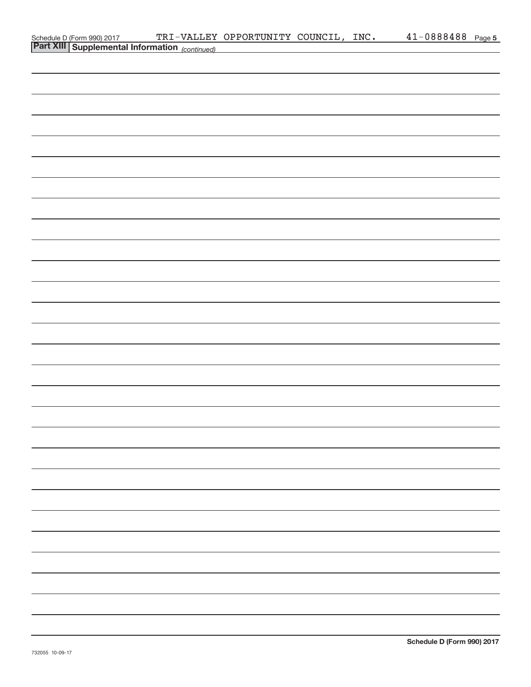| Schedule D (Form 990) 2017 TRI-VALLEY<br>Part XIII Supplemental Information (continued) | TRI-VALLEY OPPORTUNITY COUNCIL, INC. |  | 41-0888488 Page 5 |  |
|-----------------------------------------------------------------------------------------|--------------------------------------|--|-------------------|--|
|                                                                                         |                                      |  |                   |  |
|                                                                                         |                                      |  |                   |  |
|                                                                                         |                                      |  |                   |  |
|                                                                                         |                                      |  |                   |  |
|                                                                                         |                                      |  |                   |  |
|                                                                                         |                                      |  |                   |  |
|                                                                                         |                                      |  |                   |  |
|                                                                                         |                                      |  |                   |  |
|                                                                                         |                                      |  |                   |  |
|                                                                                         |                                      |  |                   |  |
|                                                                                         |                                      |  |                   |  |
|                                                                                         |                                      |  |                   |  |
|                                                                                         |                                      |  |                   |  |
|                                                                                         |                                      |  |                   |  |
|                                                                                         |                                      |  |                   |  |
|                                                                                         |                                      |  |                   |  |
|                                                                                         |                                      |  |                   |  |
|                                                                                         |                                      |  |                   |  |
|                                                                                         |                                      |  |                   |  |
|                                                                                         |                                      |  |                   |  |
|                                                                                         |                                      |  |                   |  |
|                                                                                         |                                      |  |                   |  |
|                                                                                         |                                      |  |                   |  |
|                                                                                         |                                      |  |                   |  |
|                                                                                         |                                      |  |                   |  |
|                                                                                         |                                      |  |                   |  |
|                                                                                         |                                      |  |                   |  |
|                                                                                         |                                      |  |                   |  |
|                                                                                         |                                      |  |                   |  |
|                                                                                         |                                      |  |                   |  |
|                                                                                         |                                      |  |                   |  |
|                                                                                         |                                      |  |                   |  |
|                                                                                         |                                      |  |                   |  |
|                                                                                         |                                      |  |                   |  |
|                                                                                         |                                      |  |                   |  |
|                                                                                         |                                      |  |                   |  |
|                                                                                         |                                      |  |                   |  |
|                                                                                         |                                      |  |                   |  |
|                                                                                         |                                      |  |                   |  |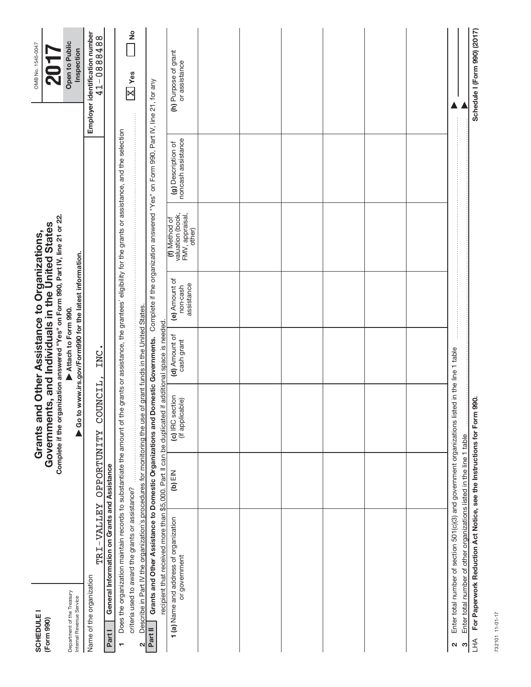| <b>SCHEDULE</b><br>(Form 990)                          |                                                                                                                                                                          |           | Complete if the organization answered "Yes" on Form 990, Part IV, line 21 or 22.<br>Governments, and Individuals in the United States<br>Grants and Other Assistance to Organizations, |                                      |                                                         |                                                                |                                                                                    | OMB No. 1545-0047<br>-<br>20                 |
|--------------------------------------------------------|--------------------------------------------------------------------------------------------------------------------------------------------------------------------------|-----------|----------------------------------------------------------------------------------------------------------------------------------------------------------------------------------------|--------------------------------------|---------------------------------------------------------|----------------------------------------------------------------|------------------------------------------------------------------------------------|----------------------------------------------|
| Department of the Treasury<br>Internal Revenue Service |                                                                                                                                                                          |           |                                                                                                                                                                                        | Attach to Form 990.                  | ▶ Go to www.irs.gov/Form990 for the latest information. |                                                                |                                                                                    | Open to Public<br>Inspection                 |
| Name of the organization<br>Part I                     | TRI-VALLEY OPPORTUNITY<br>General Information on Grants and Assistance                                                                                                   |           | COUNCIL,                                                                                                                                                                               | INC                                  |                                                         |                                                                |                                                                                    | Employer identification number<br>41-0888488 |
| T                                                      | Does the organization maintain records to substantiate the amount of the grants or assistance, the grantees' eligibility for the grants or assistance, and the selection |           |                                                                                                                                                                                        |                                      |                                                         |                                                                |                                                                                    |                                              |
|                                                        | criteria used to award the grants or assistance?                                                                                                                         |           |                                                                                                                                                                                        |                                      |                                                         |                                                                |                                                                                    | ş<br>$\boxed{\text{X}}$ Yes                  |
| Part II<br>2                                           | Grants and Other Assistance to Domestic Organizations and Domestic Governments.<br>Describe in Part IV the organization's procedures for monitoring the use              |           |                                                                                                                                                                                        | of grant funds in the United States. |                                                         |                                                                | Complete if the organization answered "Yes" on Form 990, Part IV, line 21, for any |                                              |
|                                                        | recipient that received more than \$5,000. Part II can be duplicated                                                                                                     |           |                                                                                                                                                                                        | if additional space is needed        |                                                         |                                                                |                                                                                    |                                              |
|                                                        | 1 (a) Name and address of organization<br>or government                                                                                                                  | $(b)$ EIN | (c) IRC section<br>(if applicable)                                                                                                                                                     | (d) Amount of<br>cash grant          | (e) Amount of<br>assistance<br>non-cash                 | valuation (book,<br>FMV, appraisal,<br>(f) Method of<br>other) | noncash assistance<br>(g) Description of                                           | (h) Purpose of grant<br>or assistance        |
|                                                        |                                                                                                                                                                          |           |                                                                                                                                                                                        |                                      |                                                         |                                                                |                                                                                    |                                              |
|                                                        |                                                                                                                                                                          |           |                                                                                                                                                                                        |                                      |                                                         |                                                                |                                                                                    |                                              |
|                                                        |                                                                                                                                                                          |           |                                                                                                                                                                                        |                                      |                                                         |                                                                |                                                                                    |                                              |
|                                                        |                                                                                                                                                                          |           |                                                                                                                                                                                        |                                      |                                                         |                                                                |                                                                                    |                                              |
|                                                        |                                                                                                                                                                          |           |                                                                                                                                                                                        |                                      |                                                         |                                                                |                                                                                    |                                              |
|                                                        |                                                                                                                                                                          |           |                                                                                                                                                                                        |                                      |                                                         |                                                                |                                                                                    |                                              |
| $\mathbf{\Omega}$                                      | Enter total number of section 501(c)(3) and government organizations listed in the line 1 table                                                                          |           |                                                                                                                                                                                        |                                      |                                                         |                                                                |                                                                                    |                                              |
| S                                                      | Enter total number of other organizations listed in the line 1 table                                                                                                     |           |                                                                                                                                                                                        |                                      |                                                         |                                                                |                                                                                    |                                              |
| $H_{\perp}$                                            | For Paperwork Reduction Act Notice, see the Instructions for Form                                                                                                        |           | 990.                                                                                                                                                                                   |                                      |                                                         |                                                                |                                                                                    | Schedule I (Form 990) (2017)                 |

732101 11-01-17 732101 11‐01‐17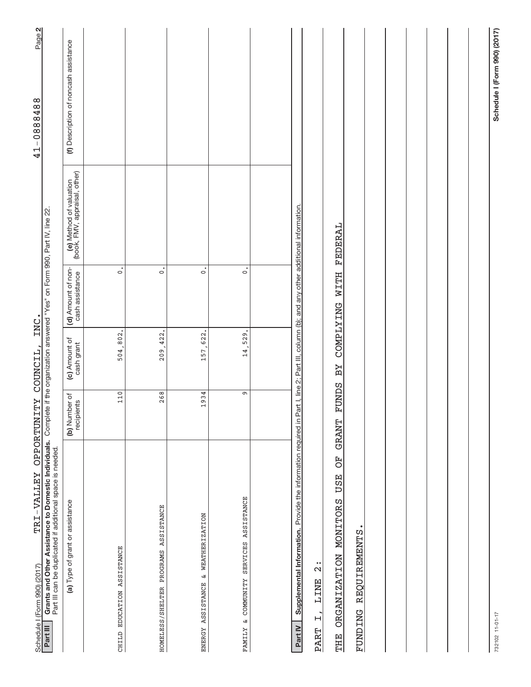| TRI-VALLEY OPPORTUNITY COUNCIL,<br>Schedule I (Form 990) (2017)                                                                                                                                          |                             |                             | INC.                                  |                                                          | Page 2<br>41-0888488                  |
|----------------------------------------------------------------------------------------------------------------------------------------------------------------------------------------------------------|-----------------------------|-----------------------------|---------------------------------------|----------------------------------------------------------|---------------------------------------|
| Grants and Other Assistance to Domestic Individuals. Complete if the organization answered "Yes" on Form 990, Part IV, line 22.<br>Part III can be duplicated if additional space is needed.<br>Part III |                             |                             |                                       |                                                          |                                       |
| (a) Type of grant or assistance                                                                                                                                                                          | (b) Number of<br>recipients | (c) Amount of<br>cash grant | (d) Amount of non-<br>cash assistance | (e) Method of valuation<br>(book, FMV, appraisal, other) | (f) Description of noncash assistance |
| CHILD EDUCATION ASSISTANCE                                                                                                                                                                               | 110                         | 504,802.                    | $\ddot{\circ}$                        |                                                          |                                       |
| HOMELESS/SHELTER PROGRAMS ASSISTANCE                                                                                                                                                                     | 268                         | 209, 422.                   | $\dot{\circ}$                         |                                                          |                                       |
| ENERGY ASSISTANCE & WEATHERIZATION                                                                                                                                                                       | 1934                        | 157,622.                    | $\circ$                               |                                                          |                                       |
| FAMILY & COMMUNITY SERVICES ASSISTANCE                                                                                                                                                                   | Ō                           | 14,529.                     | $\dot{\circ}$                         |                                                          |                                       |
|                                                                                                                                                                                                          |                             |                             |                                       |                                                          |                                       |
| Supplemental Information. Provide the information required in Part I, line 2; Part III, column (b); and any other additional information.<br>Part IV                                                     |                             |                             |                                       |                                                          |                                       |
| F <sub>O</sub><br><b>USE</b><br>ORGANIZATION MONITORS<br>$\frac{1}{2}$<br><b>LINE</b><br>$\overline{H}$<br>PART<br><b>EHE</b>                                                                            | <b>FUNDS</b><br>GRANT       | CONTYING<br>ВY              | <b>HLLM</b>                           | FEDERAL                                                  |                                       |
| FUNDING REQUIREMENTS                                                                                                                                                                                     |                             |                             |                                       |                                                          |                                       |
|                                                                                                                                                                                                          |                             |                             |                                       |                                                          |                                       |
|                                                                                                                                                                                                          |                             |                             |                                       |                                                          |                                       |
|                                                                                                                                                                                                          |                             |                             |                                       |                                                          |                                       |
|                                                                                                                                                                                                          |                             |                             |                                       |                                                          |                                       |
| 732102 11-01-17                                                                                                                                                                                          |                             |                             |                                       |                                                          | Schedule I (Form 990) (2017)          |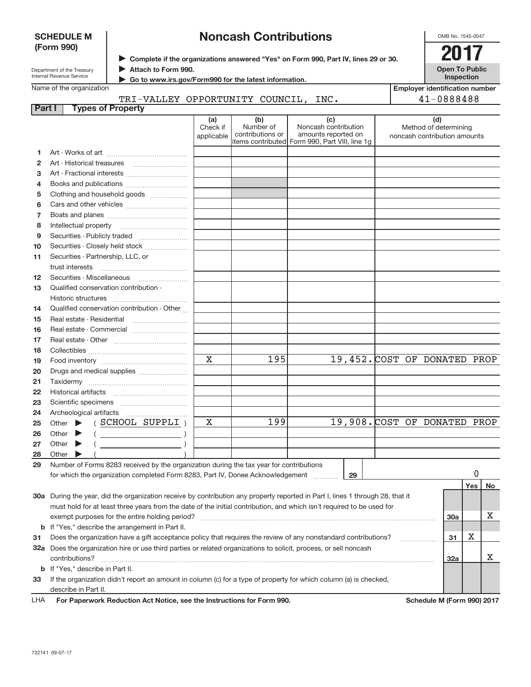|          | <b>SCHEDULE M</b>                     |                                                                                                                                |            | <b>Noncash Contributions</b> |                                                                       |    |                              | OMB No. 1545-0047                     |     |    |
|----------|---------------------------------------|--------------------------------------------------------------------------------------------------------------------------------|------------|------------------------------|-----------------------------------------------------------------------|----|------------------------------|---------------------------------------|-----|----|
|          | (Form 990)                            |                                                                                                                                |            |                              |                                                                       |    |                              | 2017                                  |     |    |
|          |                                       | > Complete if the organizations answered "Yes" on Form 990, Part IV, lines 29 or 30.                                           |            |                              |                                                                       |    |                              |                                       |     |    |
|          | Department of the Treasury            | Attach to Form 990.                                                                                                            |            |                              |                                                                       |    |                              | <b>Open To Public</b>                 |     |    |
|          | Internal Revenue Service              | Go to www.irs.gov/Form990 for the latest information.                                                                          |            |                              |                                                                       |    |                              | Inspection                            |     |    |
|          | Name of the organization              |                                                                                                                                |            |                              |                                                                       |    |                              | <b>Employer identification number</b> |     |    |
| Part I   |                                       | TRI-VALLEY OPPORTUNITY COUNCIL, INC.<br><b>Types of Property</b>                                                               |            |                              |                                                                       |    |                              | 41-0888488                            |     |    |
|          |                                       |                                                                                                                                | (a)        | (b)                          | (c)                                                                   |    |                              | (d)                                   |     |    |
|          |                                       |                                                                                                                                | Check if   | Number of                    | Noncash contribution                                                  |    |                              | Method of determining                 |     |    |
|          |                                       |                                                                                                                                | applicable | contributions or             | amounts reported on<br>items contributed Form 990, Part VIII, line 1g |    |                              | noncash contribution amounts          |     |    |
| 1        |                                       |                                                                                                                                |            |                              |                                                                       |    |                              |                                       |     |    |
| 2        |                                       |                                                                                                                                |            |                              |                                                                       |    |                              |                                       |     |    |
| з        |                                       | Art - Fractional interests                                                                                                     |            |                              |                                                                       |    |                              |                                       |     |    |
| 4        |                                       | Books and publications                                                                                                         |            |                              |                                                                       |    |                              |                                       |     |    |
| 5        |                                       | Clothing and household goods                                                                                                   |            |                              |                                                                       |    |                              |                                       |     |    |
| 6        |                                       |                                                                                                                                |            |                              |                                                                       |    |                              |                                       |     |    |
| 7        |                                       |                                                                                                                                |            |                              |                                                                       |    |                              |                                       |     |    |
| 8        |                                       |                                                                                                                                |            |                              |                                                                       |    |                              |                                       |     |    |
| 9        |                                       | Securities - Publicly traded                                                                                                   |            |                              |                                                                       |    |                              |                                       |     |    |
| 10       |                                       | Securities - Closely held stock                                                                                                |            |                              |                                                                       |    |                              |                                       |     |    |
| 11       | Securities - Partnership, LLC, or     |                                                                                                                                |            |                              |                                                                       |    |                              |                                       |     |    |
|          | trust interests                       |                                                                                                                                |            |                              |                                                                       |    |                              |                                       |     |    |
| 12       |                                       |                                                                                                                                |            |                              |                                                                       |    |                              |                                       |     |    |
| 13       | Qualified conservation contribution - |                                                                                                                                |            |                              |                                                                       |    |                              |                                       |     |    |
|          | Historic structures                   |                                                                                                                                |            |                              |                                                                       |    |                              |                                       |     |    |
| 14       |                                       | Qualified conservation contribution - Other                                                                                    |            |                              |                                                                       |    |                              |                                       |     |    |
| 15       | Real estate - Residential             |                                                                                                                                |            |                              |                                                                       |    |                              |                                       |     |    |
| 16       |                                       |                                                                                                                                |            |                              |                                                                       |    |                              |                                       |     |    |
| 17       |                                       |                                                                                                                                |            |                              |                                                                       |    |                              |                                       |     |    |
| 18       |                                       |                                                                                                                                | X          | 195                          |                                                                       |    | 19,452. COST OF DONATED PROP |                                       |     |    |
| 19<br>20 |                                       |                                                                                                                                |            |                              |                                                                       |    |                              |                                       |     |    |
| 21       |                                       | Drugs and medical supplies                                                                                                     |            |                              |                                                                       |    |                              |                                       |     |    |
| 22       |                                       |                                                                                                                                |            |                              |                                                                       |    |                              |                                       |     |    |
| 23       |                                       |                                                                                                                                |            |                              |                                                                       |    |                              |                                       |     |    |
| 24       |                                       |                                                                                                                                |            |                              |                                                                       |    |                              |                                       |     |    |
| 25       |                                       | Other $\blacktriangleright$ (SCHOOL SUPPLI)                                                                                    | X          | 199                          |                                                                       |    | 19,908. COST OF DONATED PROP |                                       |     |    |
| 26       | Other                                 |                                                                                                                                |            |                              |                                                                       |    |                              |                                       |     |    |
| 27       | Other                                 |                                                                                                                                |            |                              |                                                                       |    |                              |                                       |     |    |
| 28       | Other                                 |                                                                                                                                |            |                              |                                                                       |    |                              |                                       |     |    |
| 29       |                                       | Number of Forms 8283 received by the organization during the tax year for contributions                                        |            |                              |                                                                       |    |                              |                                       |     |    |
|          |                                       | for which the organization completed Form 8283, Part IV, Donee Acknowledgement                                                 |            |                              |                                                                       | 29 |                              |                                       | 0   |    |
|          |                                       |                                                                                                                                |            |                              |                                                                       |    |                              |                                       | Yes | No |
|          |                                       | 30a During the year, did the organization receive by contribution any property reported in Part I, lines 1 through 28, that it |            |                              |                                                                       |    |                              |                                       |     |    |
|          |                                       | must hold for at least three years from the date of the initial contribution, and which isn't required to be used for          |            |                              |                                                                       |    |                              |                                       |     |    |
|          |                                       | exempt purposes for the entire holding period?                                                                                 |            |                              |                                                                       |    |                              | 30a                                   |     | x  |
| b        |                                       | If "Yes," describe the arrangement in Part II.                                                                                 |            |                              |                                                                       |    |                              |                                       |     |    |
| 31       |                                       | Does the organization have a gift acceptance policy that requires the review of any nonstandard contributions?                 |            |                              |                                                                       |    |                              | 31                                    | х   |    |
|          |                                       | 32a Does the organization hire or use third parties or related organizations to solicit, process, or sell noncash              |            |                              |                                                                       |    |                              |                                       |     |    |
|          | contributions?                        |                                                                                                                                |            |                              |                                                                       |    |                              | 32a                                   |     | х  |
| b        | If "Yes," describe in Part II.        |                                                                                                                                |            |                              |                                                                       |    |                              |                                       |     |    |
| 33       |                                       | If the organization didn't report an amount in column (c) for a type of property for which column (a) is checked,              |            |                              |                                                                       |    |                              |                                       |     |    |
|          | describe in Part II.                  |                                                                                                                                |            |                              |                                                                       |    |                              |                                       |     |    |

For Paperwork Reduction Act Notice, see the Instructions for Form 990. Schedule M (Form 990) 2017 LHA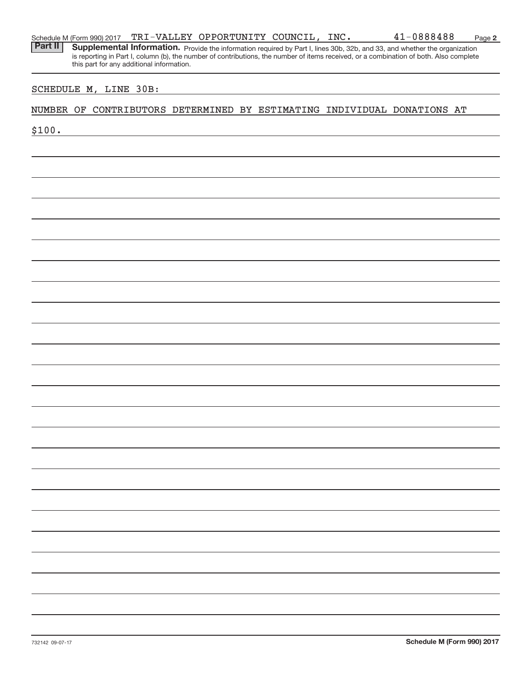| Schedule M (Form 990) 2017 |  | TRI-VALLEY OPPORTUNITY COUNCIL, |  | INC. | 41-0888488 | Page |  |
|----------------------------|--|---------------------------------|--|------|------------|------|--|
|----------------------------|--|---------------------------------|--|------|------------|------|--|

**2**

Provide the information required by Part I, lines 30b, 32b, and 33, and whether the organization is reporting in Part I, column (b), the number of contributions, the number of items received, or a combination of both. Also complete this part for any additional information. **Part II Supplemental Information.** 

#### SCHEDULE M, LINE 30B:

#### NUMBER OF CONTRIBUTORS DETERMINED BY ESTIMATING INDIVIDUAL DONATIONS AT

\$100.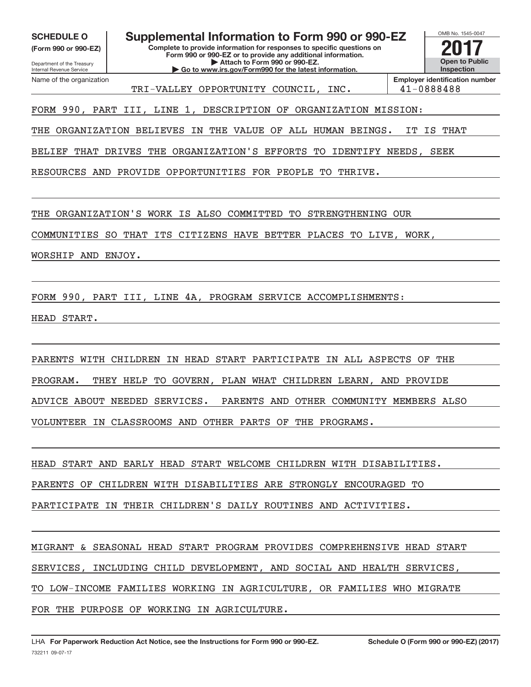**(Form 990 or 990‐EZ)**

Department of the Treasury Internal Revenue Service Name of the organization

**Complete to provide information for responses to specific questions on Form 990 or 990‐EZ or to provide any additional information. | Attach to Form 990 or 990‐EZ. | Go to www.irs.gov/Form990 for the latest information. SCHEDULE O Supplemental Information to Form 990 or 990‐EZ 2017**



TRI‐VALLEY OPPORTUNITY COUNCIL, INC. 41‐0888488

FORM 990, PART III, LINE 1, DESCRIPTION OF ORGANIZATION MISSION:

THE ORGANIZATION BELIEVES IN THE VALUE OF ALL HUMAN BEINGS. IT IS THAT

BELIEF THAT DRIVES THE ORGANIZATION'S EFFORTS TO IDENTIFY NEEDS, SEEK

RESOURCES AND PROVIDE OPPORTUNITIES FOR PEOPLE TO THRIVE.

THE ORGANIZATION'S WORK IS ALSO COMMITTED TO STRENGTHENING OUR

COMMUNITIES SO THAT ITS CITIZENS HAVE BETTER PLACES TO LIVE, WORK,

WORSHIP AND ENJOY.

FORM 990, PART III, LINE 4A, PROGRAM SERVICE ACCOMPLISHMENTS:

HEAD START.

PARENTS WITH CHILDREN IN HEAD START PARTICIPATE IN ALL ASPECTS OF THE PROGRAM. THEY HELP TO GOVERN, PLAN WHAT CHILDREN LEARN, AND PROVIDE ADVICE ABOUT NEEDED SERVICES. PARENTS AND OTHER COMMUNITY MEMBERS ALSO VOLUNTEER IN CLASSROOMS AND OTHER PARTS OF THE PROGRAMS.

HEAD START AND EARLY HEAD START WELCOME CHILDREN WITH DISABILITIES.

PARENTS OF CHILDREN WITH DISABILITIES ARE STRONGLY ENCOURAGED TO

PARTICIPATE IN THEIR CHILDREN'S DAILY ROUTINES AND ACTIVITIES.

MIGRANT & SEASONAL HEAD START PROGRAM PROVIDES COMPREHENSIVE HEAD START SERVICES, INCLUDING CHILD DEVELOPMENT, AND SOCIAL AND HEALTH SERVICES, TO LOW‐INCOME FAMILIES WORKING IN AGRICULTURE, OR FAMILIES WHO MIGRATE FOR THE PURPOSE OF WORKING IN AGRICULTURE.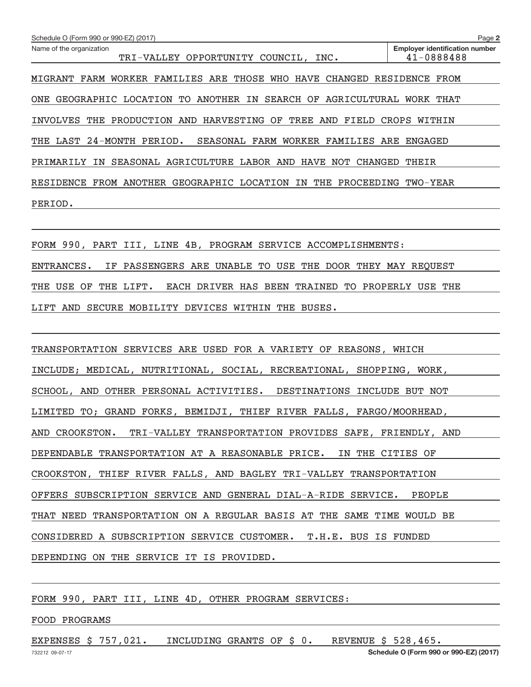| Schedule O (Form 990 or 990-EZ) (2017)                                                                                             | Page 2                                              |
|------------------------------------------------------------------------------------------------------------------------------------|-----------------------------------------------------|
| Name of the organization<br>TRI-VALLEY OPPORTUNITY COUNCIL, INC.                                                                   | <b>Employer identification number</b><br>41-0888488 |
| MIGRANT FARM WORKER FAMILIES ARE THOSE WHO HAVE CHANGED RESIDENCE FROM                                                             |                                                     |
| ONE GEOGRAPHIC LOCATION TO ANOTHER IN SEARCH OF AGRICULTURAL WORK THAT                                                             |                                                     |
| INVOLVES THE PRODUCTION AND HARVESTING OF TREE AND FIELD CROPS WITHIN                                                              |                                                     |
| THE LAST 24-MONTH PERIOD. SEASONAL FARM WORKER FAMILIES ARE ENGAGED                                                                |                                                     |
| PRIMARILY IN SEASONAL AGRICULTURE LABOR AND HAVE NOT CHANGED THEIR                                                                 |                                                     |
| RESIDENCE FROM ANOTHER GEOGRAPHIC LOCATION IN THE PROCEEDING TWO-YEAR                                                              |                                                     |
| PERIOD.<br>the control of the control of the control of the control of the control of the control of the control of the control of |                                                     |
|                                                                                                                                    |                                                     |
| FORM 990, PART III, LINE 4B, PROGRAM SERVICE ACCOMPLISHMENTS:                                                                      |                                                     |
| IF PASSENGERS ARE UNABLE TO USE THE DOOR THEY MAY REQUEST<br>ENTRANCES.                                                            |                                                     |
| THE USE OF THE LIFT.<br>EACH DRIVER HAS BEEN TRAINED TO PROPERLY USE THE                                                           |                                                     |
| LIFT AND SECURE MOBILITY DEVICES WITHIN THE BUSES.                                                                                 |                                                     |
|                                                                                                                                    |                                                     |
| TRANSPORTATION SERVICES ARE USED FOR A VARIETY OF REASONS, WHICH                                                                   |                                                     |
| INCLUDE; MEDICAL, NUTRITIONAL, SOCIAL, RECREATIONAL, SHOPPING, WORK,                                                               |                                                     |
| SCHOOL, AND OTHER PERSONAL ACTIVITIES. DESTINATIONS INCLUDE BUT NOT                                                                |                                                     |
| LIMITED TO; GRAND FORKS, BEMIDJI, THIEF RIVER FALLS, FARGO/MOORHEAD,                                                               |                                                     |
| AND CROOKSTON.<br>TRI-VALLEY TRANSPORTATION PROVIDES SAFE, FRIENDLY, AND                                                           |                                                     |
| DEPENDABLE TRANSPORTATION AT A REASONABLE PRICE.<br>IN THE CITIES OF                                                               |                                                     |
| CROOKSTON, THIEF RIVER FALLS, AND BAGLEY TRI-VALLEY TRANSPORTATION                                                                 |                                                     |
| OFFERS SUBSCRIPTION SERVICE AND GENERAL DIAL-A-RIDE SERVICE.                                                                       | PEOPLE                                              |
| THAT NEED TRANSPORTATION ON A REGULAR BASIS AT THE SAME TIME WOULD BE                                                              |                                                     |
|                                                                                                                                    |                                                     |

CONSIDERED A SUBSCRIPTION SERVICE CUSTOMER. T.H.E. BUS IS FUNDED

DEPENDING ON THE SERVICE IT IS PROVIDED.

FORM 990, PART III, LINE 4D, OTHER PROGRAM SERVICES:

#### FOOD PROGRAMS

EXPENSES \$ 757,021. INCLUDING GRANTS OF \$ 0. REVENUE \$ 528,465.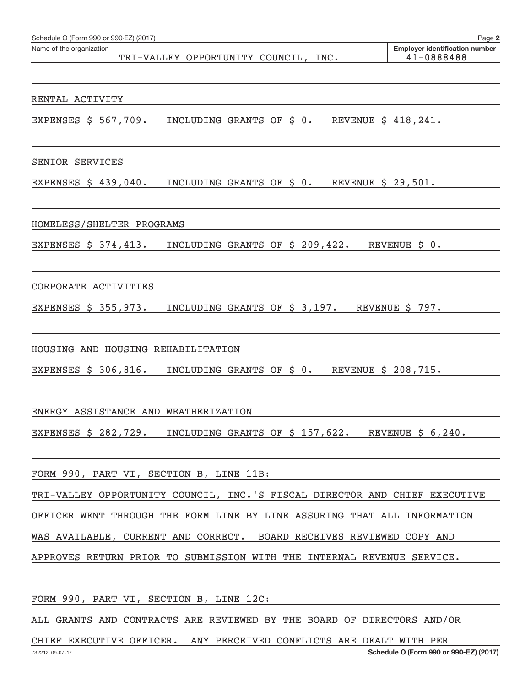| Schedule O (Form 990 or 990-EZ) (2017)<br>Name of the organization                                  | Page 2<br><b>Employer identification number</b> |
|-----------------------------------------------------------------------------------------------------|-------------------------------------------------|
| TRI-VALLEY OPPORTUNITY COUNCIL, INC.                                                                | 41-0888488                                      |
| RENTAL ACTIVITY                                                                                     |                                                 |
| EXPENSES $\frac{1}{5}$ 567,709. INCLUDING GRANTS OF $\frac{1}{5}$ 0. REVENUE $\frac{1}{5}$ 418,241. |                                                 |
|                                                                                                     |                                                 |
| SENIOR SERVICES                                                                                     |                                                 |
| EXPENSES $\frac{1}{5}$ 439,040. INCLUDING GRANTS OF $\frac{1}{5}$ 0. REVENUE $\frac{1}{5}$ 29,501.  |                                                 |
|                                                                                                     |                                                 |
| HOMELESS/SHELTER PROGRAMS                                                                           |                                                 |
| EXPENSES \$ 374,413. INCLUDING GRANTS OF \$ 209,422. REVENUE \$ 0.                                  |                                                 |
|                                                                                                     |                                                 |
| CORPORATE ACTIVITIES                                                                                |                                                 |
| EXPENSES $$355,973.$<br>INCLUDING GRANTS OF \$ 3,197. REVENUE \$ 797.                               |                                                 |
|                                                                                                     |                                                 |
| HOUSING AND HOUSING REHABILITATION                                                                  |                                                 |
| EXPENSES \$ 306,816. INCLUDING GRANTS OF \$ 0. REVENUE \$ 208,715.                                  |                                                 |
|                                                                                                     |                                                 |
| ENERGY ASSISTANCE AND WEATHERIZATION                                                                |                                                 |
| EXPENSES $$282,729.$ INCLUDING GRANTS OF $$157,622.$ REVENUE $$6,240.$                              |                                                 |
|                                                                                                     |                                                 |
| FORM 990, PART VI, SECTION B, LINE 11B:                                                             |                                                 |
| TRI-VALLEY OPPORTUNITY COUNCIL, INC.'S FISCAL DIRECTOR AND CHIEF EXECUTIVE                          |                                                 |
| OFFICER WENT THROUGH THE FORM LINE BY LINE ASSURING THAT ALL INFORMATION                            |                                                 |
| WAS AVAILABLE, CURRENT AND CORRECT. BOARD RECEIVES REVIEWED COPY AND                                |                                                 |
| APPROVES RETURN PRIOR TO SUBMISSION WITH THE INTERNAL REVENUE SERVICE.                              |                                                 |
|                                                                                                     |                                                 |
| FORM 990, PART VI, SECTION B, LINE 12C:                                                             |                                                 |
| ALL GRANTS AND CONTRACTS ARE REVIEWED BY THE BOARD OF DIRECTORS AND/OR                              |                                                 |

CHIEF EXECUTIVE OFFICER. ANY PERCEIVED CONFLICTS ARE DEALT WITH PER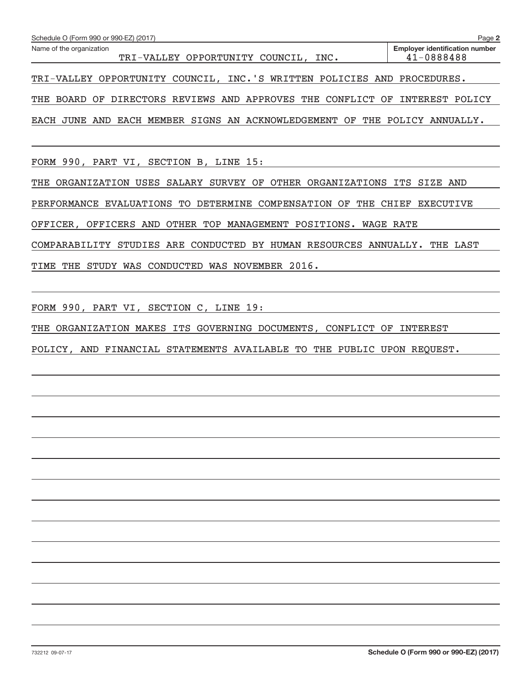| Schedule O (Form 990 or 990-EZ) (2017)                                        | Page 2                                              |
|-------------------------------------------------------------------------------|-----------------------------------------------------|
| Name of the organization<br>TRI-VALLEY OPPORTUNITY COUNCIL, INC.              | <b>Employer identification number</b><br>41-0888488 |
| TRI-VALLEY OPPORTUNITY COUNCIL, INC.'S WRITTEN POLICIES AND PROCEDURES.       |                                                     |
| THE BOARD OF DIRECTORS REVIEWS AND APPROVES THE CONFLICT OF INTEREST POLICY   |                                                     |
| EACH MEMBER SIGNS AN ACKNOWLEDGEMENT OF THE POLICY ANNUALLY.<br>EACH JUNE AND |                                                     |

FORM 990, PART VI, SECTION B, LINE 15:

THE ORGANIZATION USES SALARY SURVEY OF OTHER ORGANIZATIONS ITS SIZE AND

PERFORMANCE EVALUATIONS TO DETERMINE COMPENSATION OF THE CHIEF EXECUTIVE

OFFICER, OFFICERS AND OTHER TOP MANAGEMENT POSITIONS. WAGE RATE

COMPARABILITY STUDIES ARE CONDUCTED BY HUMAN RESOURCES ANNUALLY. THE LAST

TIME THE STUDY WAS CONDUCTED WAS NOVEMBER 2016.

FORM 990, PART VI, SECTION C, LINE 19:

THE ORGANIZATION MAKES ITS GOVERNING DOCUMENTS, CONFLICT OF INTEREST

POLICY, AND FINANCIAL STATEMENTS AVAILABLE TO THE PUBLIC UPON REQUEST.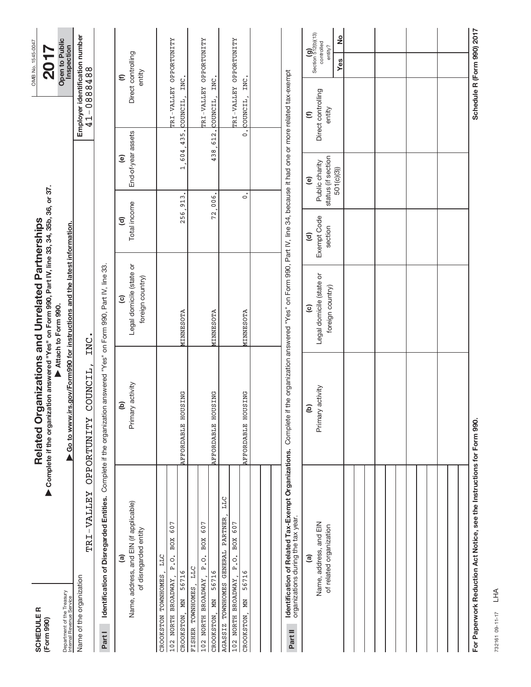| <b>SCHEDULER</b><br>(Form 990)                                                                                               | Related Organizations and Unrelated Partnerships<br>Complete if the organization answered "Yes" on Form 990, Part IV, line 33, 34, 35b, 36, or 37. |                                                         |                                                  |                                                                |                                              | OMB No. 1545-0047<br>$\overline{20}$                 |
|------------------------------------------------------------------------------------------------------------------------------|----------------------------------------------------------------------------------------------------------------------------------------------------|---------------------------------------------------------|--------------------------------------------------|----------------------------------------------------------------|----------------------------------------------|------------------------------------------------------|
| Department of the Treasury<br>Internal Revenue Service                                                                       | ▶ Go to www.irs.gov/Form990 for instructions and the latest information.                                                                           | Attach to Form 990.                                     |                                                  |                                                                |                                              | Open to Public<br>Inspection                         |
| TRI-VALLEY<br>Name of the organization                                                                                       | COUNCIL<br><b>OPPORTUNITY</b>                                                                                                                      | INC.                                                    |                                                  |                                                                | Employer identification number<br>41-0888488 |                                                      |
| Identification of Disregarded Entities. Complete if the organization answered "Yes" on Form 990, Part IV, line 33.<br>Part I |                                                                                                                                                    |                                                         |                                                  |                                                                |                                              |                                                      |
| <u>ල</u>                                                                                                                     | ê                                                                                                                                                  | $\widehat{\mathbf{c}}$                                  | $\widehat{\sigma}$                               | $\mathbf{e}$                                                   | $\widehat{\epsilon}$                         |                                                      |
| Name, address, and EIN (if applicable)<br>of disregarded entity                                                              | Primary activity                                                                                                                                   | Legal domicile (state or<br>foreign country)            | Total income                                     | End-of-year assets                                             | Direct controlling<br>entity                 |                                                      |
| <b>LLC</b><br>CROOKSTON TOWNHOMES                                                                                            |                                                                                                                                                    |                                                         |                                                  |                                                                |                                              |                                                      |
| 607<br>BOX<br>P.O.<br>102 NORTH BROADWAY,                                                                                    |                                                                                                                                                    |                                                         |                                                  |                                                                | TRI-VALLEY OPPORTUNITY                       |                                                      |
| 56716<br>Ř<br>CROOKSTON,                                                                                                     | AFFORDABLE HOUSING                                                                                                                                 | MINNESOTA                                               | 256,913                                          | 1,604,435.                                                     | COUNCIL, INC.                                |                                                      |
| <b>LLC</b><br>FISHER TOWNHOMES,                                                                                              |                                                                                                                                                    |                                                         |                                                  |                                                                |                                              |                                                      |
| 607<br>BOX<br>P. O.<br>102 NORTH BROADWAY,                                                                                   |                                                                                                                                                    |                                                         |                                                  |                                                                | TRI-VALLEY OPPORTUNITY                       |                                                      |
| 56716<br><b>MN</b><br>CROOKSTON.                                                                                             | AFFORDABLE HOUSING                                                                                                                                 | MINNESOTA                                               | 72,006.                                          | 438,612.                                                       | INC.<br>COUNCIL,                             |                                                      |
| LLC<br>AGASSIZ TOWNHOMES GENERAL PARTNER,                                                                                    |                                                                                                                                                    |                                                         |                                                  |                                                                |                                              |                                                      |
| BOX 607<br>$\overline{P}$ . $\overline{Q}$ .<br>102 NORTH BROADWAY                                                           |                                                                                                                                                    |                                                         |                                                  |                                                                | TRI-VALLEY OPPORTUNITY                       |                                                      |
| 56716<br>ğ<br>CROOKSTON                                                                                                      | AFFORDABLE HOUSING                                                                                                                                 | MINNESOTA                                               | $\circ$                                          | $\circ$                                                        | INC.<br>COUNCIL,                             |                                                      |
|                                                                                                                              |                                                                                                                                                    |                                                         |                                                  |                                                                |                                              |                                                      |
|                                                                                                                              |                                                                                                                                                    |                                                         |                                                  |                                                                |                                              |                                                      |
|                                                                                                                              |                                                                                                                                                    |                                                         |                                                  |                                                                |                                              |                                                      |
| Identification of Related Tax-Exempt Organizations.<br>organizations during the tax year.<br>Part II                         | Complete if the organization answered "Yes" on Form 990, Part IV, line 34, because it had one or more related tax-exempt                           |                                                         |                                                  |                                                                |                                              |                                                      |
| Name, address, and EIN<br>of related organization<br>ම                                                                       | Primary activity<br>$\widehat{e}$                                                                                                                  | Legal domicile (state or<br>foreign country)<br>$\odot$ | Exempt Code<br>section<br>$\widehat{\mathbf{c}}$ | status (if section<br>Public charity<br>$\widehat{\mathbf{e}}$ | Direct controlling<br>entity<br>$\epsilon$   | $(g)$<br>Section 512(b)(13)<br>controlled<br>entity? |
|                                                                                                                              |                                                                                                                                                    |                                                         |                                                  | 501(c)(3))                                                     |                                              | $\frac{1}{2}$<br>Yes                                 |
|                                                                                                                              |                                                                                                                                                    |                                                         |                                                  |                                                                |                                              |                                                      |
|                                                                                                                              |                                                                                                                                                    |                                                         |                                                  |                                                                |                                              |                                                      |
|                                                                                                                              |                                                                                                                                                    |                                                         |                                                  |                                                                |                                              |                                                      |
|                                                                                                                              |                                                                                                                                                    |                                                         |                                                  |                                                                |                                              |                                                      |
|                                                                                                                              |                                                                                                                                                    |                                                         |                                                  |                                                                |                                              |                                                      |
|                                                                                                                              |                                                                                                                                                    |                                                         |                                                  |                                                                |                                              |                                                      |
|                                                                                                                              |                                                                                                                                                    |                                                         |                                                  |                                                                |                                              |                                                      |
|                                                                                                                              |                                                                                                                                                    |                                                         |                                                  |                                                                |                                              |                                                      |
|                                                                                                                              |                                                                                                                                                    |                                                         |                                                  |                                                                |                                              |                                                      |
|                                                                                                                              |                                                                                                                                                    |                                                         |                                                  |                                                                |                                              |                                                      |
| For Paperwork Reduction Act Notice, see the Instructions for Form 990.                                                       |                                                                                                                                                    |                                                         |                                                  |                                                                | Schedule R (Form 990) 2017                   |                                                      |

732161 09‐11‐17 732161 09-11-17 LHA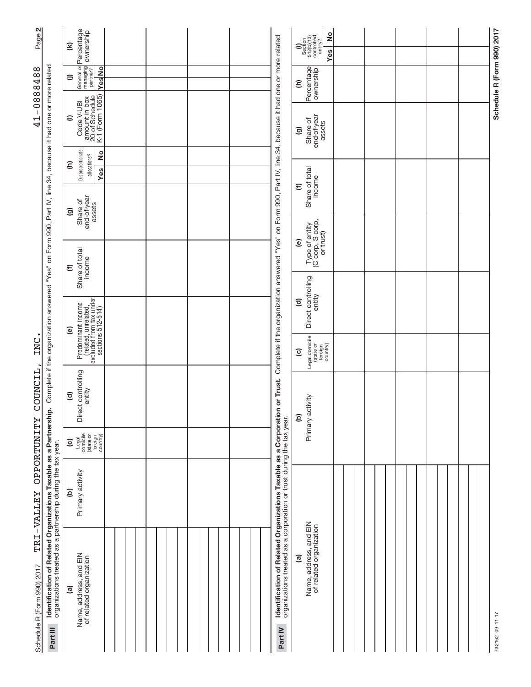| ê<br>Name, address, and EIN<br>of related organization                                                                                                                                                                                                                                                                                                                                                                                    |
|-------------------------------------------------------------------------------------------------------------------------------------------------------------------------------------------------------------------------------------------------------------------------------------------------------------------------------------------------------------------------------------------------------------------------------------------|
| Identification of Related Organizations Taxable as a Corporation or Trust.<br>organizations treated as a corporation or trust during the tax year.<br>Primary activity<br>Identification of Related Organizations Taxable as a Partnershi<br>TRI-VALLEY OPPORTUNITY<br>Legal<br>domicile<br>(state or<br>foreign<br>country)<br>$\widehat{\mathbf{c}}$<br>organizations treated as a partnership during the tax year.<br>Primary activity |
|                                                                                                                                                                                                                                                                                                                                                                                                                                           |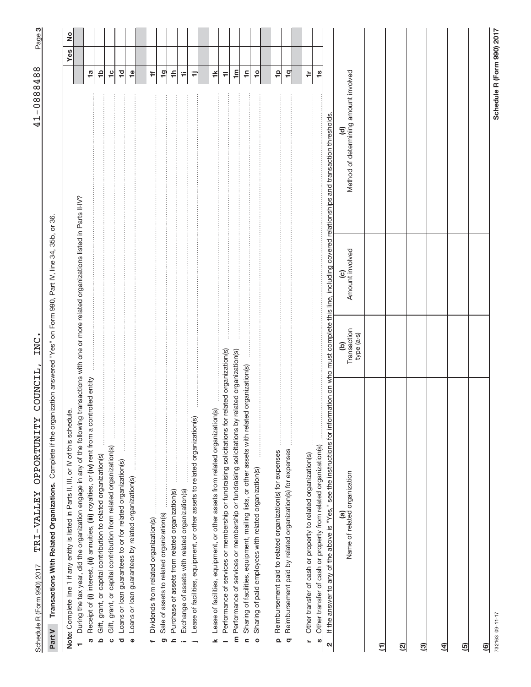Schedule R (Form 990) 2017 - 'L'K J - V ALLEY - O L'EVE L'UN L'LY - COUNCLIL, INC. Schedule R (Form 990) 2017 TRI-VALLEY OPPORTUNITY COUNCIL, INC. TRI‐VALLEY OPPORTUNITY COUNCIL, INC.

41-0888488 41‐0888488

က|

Part V Transactions With Related Organizations. Complete if the organization answered "Yes" on Form 990, Part IV, line 34, 35b, or 36. Complete if the organization answered "Yes" on Form 990, Part IV, line 34, 35b, or 36. **Part V Transactions With Related Organizations.** 

| Note: Complete line 1 if any entity is listed in Parts II, III, or IV of this schedule.                                                                                                               |                                |                                           |                                                                 | $\frac{1}{2}$<br>Yes       |
|-------------------------------------------------------------------------------------------------------------------------------------------------------------------------------------------------------|--------------------------------|-------------------------------------------|-----------------------------------------------------------------|----------------------------|
| During the tax year, did the organization engage in any of the following transactions with one or more related organizations listed in Parts II-IV?                                                   |                                |                                           |                                                                 |                            |
| Receipt of (i) interest, (ii) annuities, (iii) royalties, or (iv) rent from a controlled entity<br><b>G</b>                                                                                           |                                |                                           |                                                                 | $\frac{1}{2}$              |
| Gift, grant, or capital contribution to related organization(s)<br>$\Omega$                                                                                                                           |                                |                                           |                                                                 | ٩                          |
|                                                                                                                                                                                                       |                                |                                           |                                                                 |                            |
| Gift, grant, or capital contribution from related organization(s)<br>$\circ$                                                                                                                          |                                |                                           |                                                                 | $\frac{1}{2}$              |
| Loans or loan guarantees to or for related organization(s)<br>ō                                                                                                                                       |                                |                                           |                                                                 | ļ0                         |
| Loans or loan guarantees by related organization(s)<br>$\Phi$                                                                                                                                         |                                |                                           |                                                                 | $\frac{\omega}{\tau}$      |
|                                                                                                                                                                                                       |                                |                                           |                                                                 |                            |
| Dividends from related organization(s)<br>÷                                                                                                                                                           |                                |                                           |                                                                 | ÷                          |
|                                                                                                                                                                                                       |                                |                                           |                                                                 |                            |
| Sale of assets to related organization(s)<br>ත                                                                                                                                                        |                                |                                           |                                                                 | $\frac{1}{2}$              |
| Purchase of assets from related organization(s)<br>$\mathbf{r}$                                                                                                                                       |                                |                                           | $\cdots$                                                        | $\Rightarrow$              |
| Exchange of assets with related organization(s)                                                                                                                                                       |                                |                                           |                                                                 | ₩                          |
| Lease of facilities, equipment, or other assets to related organization(s)<br><b>.</b>                                                                                                                |                                |                                           |                                                                 | Ξ                          |
|                                                                                                                                                                                                       |                                |                                           |                                                                 |                            |
| Lease of facilities, equipment, or other assets from related organization(s)<br>¥                                                                                                                     |                                |                                           |                                                                 | ≚                          |
|                                                                                                                                                                                                       |                                |                                           |                                                                 |                            |
| related organization(s)<br>Performance of services or membership or fundraising solicitations for                                                                                                     |                                |                                           |                                                                 | ≓                          |
| related organization(s)<br>m Performance of services or membership or fundraising solicitations by                                                                                                    |                                |                                           |                                                                 | $\mathbf{m}$               |
| ed organization(s)<br>Sharing of facilities, equipment, mailing lists, or other assets with relate<br>$\epsilon$                                                                                      |                                |                                           | $\cdots$                                                        | ۴,                         |
| Sharing of paid employees with related organization(s)<br>$\circ$                                                                                                                                     |                                |                                           |                                                                 | $\overline{c}$             |
|                                                                                                                                                                                                       |                                |                                           |                                                                 |                            |
|                                                                                                                                                                                                       |                                |                                           |                                                                 |                            |
| Reimbursement paid to related organization(s) for expenses<br>$\Omega$                                                                                                                                |                                |                                           |                                                                 | 유                          |
| Reimbursement paid by related organization(s) for expenses<br>$\sigma$                                                                                                                                |                                |                                           |                                                                 | $\overline{a}$             |
|                                                                                                                                                                                                       |                                |                                           |                                                                 |                            |
| Other transfer of cash or property to related organization(s)<br>L                                                                                                                                    |                                |                                           |                                                                 | ≑                          |
| Other transfer of cash or property from related organization(s)                                                                                                                                       |                                |                                           |                                                                 | $\frac{8}{10}$             |
| S                                                                                                                                                                                                     |                                |                                           |                                                                 |                            |
| If the answer to any of the above is "Yes," see the instructions for information on who must complete this line, including covered relationships and transaction thresholds.<br>$\boldsymbol{\alpha}$ |                                |                                           |                                                                 |                            |
| Name of related organization<br>@                                                                                                                                                                     | Transaction<br>type (a-s)<br>ම | Amount involved<br>$\widehat{\mathbf{c}}$ | Method of determining amount involved<br>$\widehat{\mathbf{c}}$ |                            |
| $\widehat{\Xi}$                                                                                                                                                                                       |                                |                                           |                                                                 |                            |
|                                                                                                                                                                                                       |                                |                                           |                                                                 |                            |
| ହ                                                                                                                                                                                                     |                                |                                           |                                                                 |                            |
|                                                                                                                                                                                                       |                                |                                           |                                                                 |                            |
| මු                                                                                                                                                                                                    |                                |                                           |                                                                 |                            |
| $\overline{4}$                                                                                                                                                                                        |                                |                                           |                                                                 |                            |
|                                                                                                                                                                                                       |                                |                                           |                                                                 |                            |
| ම                                                                                                                                                                                                     |                                |                                           |                                                                 |                            |
| මු                                                                                                                                                                                                    |                                |                                           |                                                                 |                            |
| 732163 09-11-17                                                                                                                                                                                       |                                |                                           |                                                                 | Schedule R (Form 990) 2017 |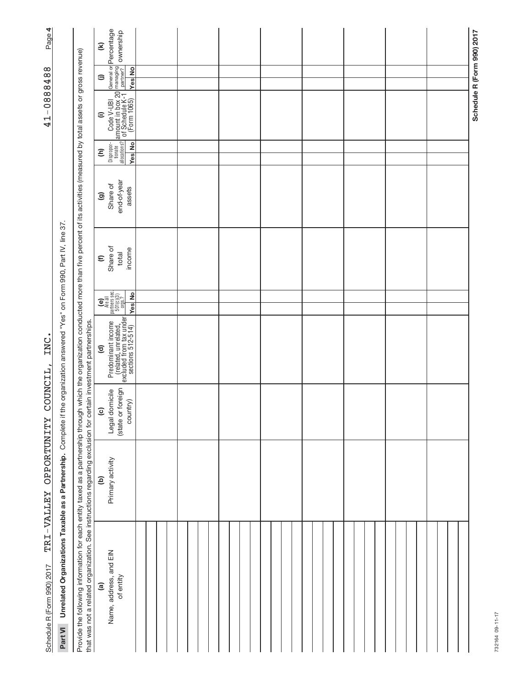| Page 4                        |                                                                          |                                                                                                                                                                                                                                                                                                                                  | $\mathbf{\widehat{\epsilon}}$ | General or <b>Percentage</b><br>managing<br>partner? Ownership                                                                                                                                                                         |  |  |  |  |  |  |  |  |  |  |  |  |  |  |  |  |                            |
|-------------------------------|--------------------------------------------------------------------------|----------------------------------------------------------------------------------------------------------------------------------------------------------------------------------------------------------------------------------------------------------------------------------------------------------------------------------|-------------------------------|----------------------------------------------------------------------------------------------------------------------------------------------------------------------------------------------------------------------------------------|--|--|--|--|--|--|--|--|--|--|--|--|--|--|--|--|----------------------------|
|                               |                                                                          |                                                                                                                                                                                                                                                                                                                                  | $\oplus$                      | <b>Yes</b> No                                                                                                                                                                                                                          |  |  |  |  |  |  |  |  |  |  |  |  |  |  |  |  |                            |
| $-0888488$<br>$\overline{41}$ |                                                                          |                                                                                                                                                                                                                                                                                                                                  | $\widehat{=}$                 | Disproper- Code V-UBI G<br>allocations? of Schedule K-1 LE<br>allocations? of Schedule K-1 LE<br>Yes No (Form 1065)                                                                                                                    |  |  |  |  |  |  |  |  |  |  |  |  |  |  |  |  | Schedule R (Form 990) 2017 |
|                               |                                                                          |                                                                                                                                                                                                                                                                                                                                  | Ξ                             | Yes No                                                                                                                                                                                                                                 |  |  |  |  |  |  |  |  |  |  |  |  |  |  |  |  |                            |
|                               |                                                                          |                                                                                                                                                                                                                                                                                                                                  | ම                             | end-of-year<br>Share of<br>assets                                                                                                                                                                                                      |  |  |  |  |  |  |  |  |  |  |  |  |  |  |  |  |                            |
|                               |                                                                          |                                                                                                                                                                                                                                                                                                                                  | $\widehat{\epsilon}$          | Share of<br>income<br>total                                                                                                                                                                                                            |  |  |  |  |  |  |  |  |  |  |  |  |  |  |  |  |                            |
|                               |                                                                          |                                                                                                                                                                                                                                                                                                                                  |                               | $\begin{bmatrix} \mathbf{e} \\ \mathbf{e} \\ \mathbf{h} \text{and} \\ \text{parameters} \text{ sec.} \\ \text{501}(\mathbf{e})(3) \\ \text{501}(\mathbf{e})(3) \\ \mathbf{e} \\ \mathbf{e} \text{ and} \end{bmatrix}$<br><b>Yes</b> No |  |  |  |  |  |  |  |  |  |  |  |  |  |  |  |  |                            |
| INC                           | the organization answered "Yes" on Form 990, Part IV, line 37            |                                                                                                                                                                                                                                                                                                                                  | $\widehat{\mathbf{c}}$        |                                                                                                                                                                                                                                        |  |  |  |  |  |  |  |  |  |  |  |  |  |  |  |  |                            |
| COUNCIL,                      |                                                                          |                                                                                                                                                                                                                                                                                                                                  | $\overline{c}$                | (state or foreign<br>Legal domicile<br>country)                                                                                                                                                                                        |  |  |  |  |  |  |  |  |  |  |  |  |  |  |  |  |                            |
| TRI-VALLEY OPPORTUNITY        |                                                                          |                                                                                                                                                                                                                                                                                                                                  | ê                             | Primary activity                                                                                                                                                                                                                       |  |  |  |  |  |  |  |  |  |  |  |  |  |  |  |  |                            |
| Schedule R (Form 990) 2017    | Unrelated Organizations Taxable as a Partnership. Complete if<br>Part VI | Provide the following information for each entity taxed as a partnership through through which the organization conducted more than five percent of its activities (measured by total assets or gross revenue)<br>that was not a related organization. See instructions regarding exclusion for certain investment partnerships. | $\widehat{\mathbf{e}}$        | Name, address, and EIN<br>of entity                                                                                                                                                                                                    |  |  |  |  |  |  |  |  |  |  |  |  |  |  |  |  |                            |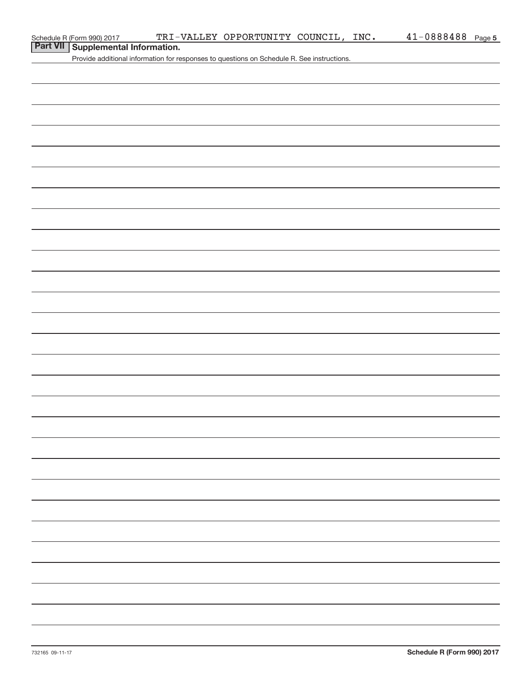| Schedule R (Form 990) 2017 |  |
|----------------------------|--|
|                            |  |

## **Part VII Supplemental Information.**

Provide additional information for responses to questions on Schedule R. See instructions.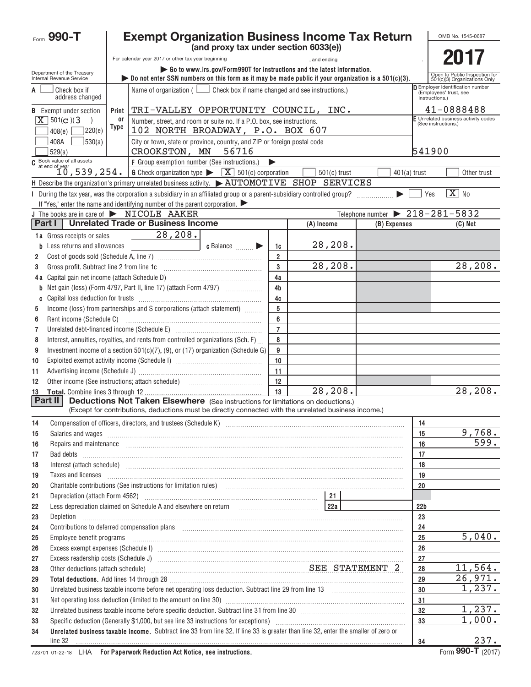|          | Form 990-T                                                |       | <b>Exempt Organization Business Income Tax Return</b>                                                                                                                                                                               |                                       |                      |                |                                                             |                 |                     | OMB No. 1545-0687                                             |
|----------|-----------------------------------------------------------|-------|-------------------------------------------------------------------------------------------------------------------------------------------------------------------------------------------------------------------------------------|---------------------------------------|----------------------|----------------|-------------------------------------------------------------|-----------------|---------------------|---------------------------------------------------------------|
|          |                                                           |       |                                                                                                                                                                                                                                     | (and proxy tax under section 6033(e)) |                      |                |                                                             |                 |                     |                                                               |
|          |                                                           |       |                                                                                                                                                                                                                                     |                                       |                      |                |                                                             |                 |                     | 2017                                                          |
|          | Department of the Treasury<br>Internal Revenue Service    |       | Go to www.irs.gov/Form990T for instructions and the latest information.<br>bo not enter SSN numbers on this form as it may be made public if your organization is a $501(c)(3)$ .                                                   |                                       |                      |                |                                                             |                 |                     | Open to Public Inspection for<br>501(c)(3) Organizations Only |
| A        | Check box if<br>address changed                           |       | Name of organization $($ $\Box$ Check box if name changed and see instructions.)                                                                                                                                                    |                                       |                      |                |                                                             |                 | instructions.)      | Employer identification number<br>(Employees' trust, see      |
|          | <b>B</b> Exempt under section                             | Print | TRI-VALLEY OPPORTUNITY COUNCIL, INC.                                                                                                                                                                                                |                                       |                      |                |                                                             |                 |                     | 41-0888488                                                    |
|          | $\overline{X}$ 501(c)(3)                                  | or    | Number, street, and room or suite no. If a P.O. box, see instructions.                                                                                                                                                              |                                       |                      |                |                                                             |                 | (See instructions.) | F Unrelated business activity codes                           |
|          | 220(e)<br>408(e)                                          | Type  | 102 NORTH BROADWAY, P.O. BOX 607                                                                                                                                                                                                    |                                       |                      |                |                                                             |                 |                     |                                                               |
|          | 530(a) <br>408A<br>529(a)                                 |       | City or town, state or province, country, and ZIP or foreign postal code<br>CROOKSTON, MN                                                                                                                                           | 56716                                 |                      |                |                                                             |                 | 541900              |                                                               |
|          | $\frac{1}{2}$ Book value of all assets<br>at end of year  |       | F Group exemption number (See instructions.)                                                                                                                                                                                        |                                       |                      |                |                                                             |                 |                     |                                                               |
|          | 10,539,254.                                               |       | <b>G</b> Check organization type $\blacktriangleright$ $\boxed{\mathbf{X}}$ 501(c) corporation                                                                                                                                      |                                       |                      | $501(c)$ trust |                                                             | $401(a)$ trust  |                     | Other trust                                                   |
|          |                                                           |       | H Describe the organization's primary unrelated business activity. $\blacktriangleright$ AUTOMOTIVE SHOP SERVICES                                                                                                                   |                                       |                      |                |                                                             |                 |                     |                                                               |
|          |                                                           |       | I During the tax year, was the corporation a subsidiary in an affiliated group or a parent-subsidiary controlled group?                                                                                                             |                                       |                      |                |                                                             |                 | Yes                 | $\boxed{\text{X}}$ No                                         |
|          |                                                           |       | If "Yes," enter the name and identifying number of the parent corporation. $\blacktriangleright$                                                                                                                                    |                                       |                      |                | Telephone number $\triangleright$ $\overline{218-281-5832}$ |                 |                     |                                                               |
|          | Part I                                                    |       | J The books are in care of > NICOLE AAKER<br><b>Unrelated Trade or Business Income</b>                                                                                                                                              |                                       |                      | (A) Income     | (B) Expenses                                                |                 |                     | (C) Net                                                       |
|          |                                                           |       | 28,208.                                                                                                                                                                                                                             |                                       |                      |                |                                                             |                 |                     |                                                               |
|          | 1a Gross receipts or sales<br>Less returns and allowances |       |                                                                                                                                                                                                                                     | c Balance                             |                      | 28,208.        |                                                             |                 |                     |                                                               |
| 2        |                                                           |       | <u> 1990 - John Stein, Amerikaansk kon</u>                                                                                                                                                                                          |                                       | 1c<br>$\overline{2}$ |                |                                                             |                 |                     |                                                               |
| 3        | Gross profit. Subtract line 2 from line 1c                |       |                                                                                                                                                                                                                                     |                                       | 3                    | 28,208.        |                                                             |                 |                     | 28,208.                                                       |
|          |                                                           |       |                                                                                                                                                                                                                                     |                                       | 4a                   |                |                                                             |                 |                     |                                                               |
| b        |                                                           |       | Net gain (loss) (Form 4797, Part II, line 17) (attach Form 4797)                                                                                                                                                                    |                                       | 4 <sub>b</sub>       |                |                                                             |                 |                     |                                                               |
|          |                                                           |       |                                                                                                                                                                                                                                     |                                       | 4c                   |                |                                                             |                 |                     |                                                               |
| 5        |                                                           |       | Income (loss) from partnerships and S corporations (attach statement)                                                                                                                                                               |                                       | $5\phantom{.0}$      |                |                                                             |                 |                     |                                                               |
| 6        |                                                           |       |                                                                                                                                                                                                                                     |                                       | 6                    |                |                                                             |                 |                     |                                                               |
| 7        |                                                           |       | Unrelated debt-financed income (Schedule E) [11] [2010] [2010] [2010] [2010] [2010] [2010] [2010] [2010] [2010                                                                                                                      |                                       | $\overline{7}$       |                |                                                             |                 |                     |                                                               |
| 8        |                                                           |       | Interest, annuities, royalties, and rents from controlled organizations (Sch. F)                                                                                                                                                    |                                       | 8                    |                |                                                             |                 |                     |                                                               |
| 9        |                                                           |       | Investment income of a section $501(c)(7)$ , (9), or (17) organization (Schedule G)                                                                                                                                                 |                                       | 9                    |                |                                                             |                 |                     |                                                               |
| 10       |                                                           |       |                                                                                                                                                                                                                                     |                                       | 10                   |                |                                                             |                 |                     |                                                               |
| 11       |                                                           |       |                                                                                                                                                                                                                                     |                                       | 11                   |                |                                                             |                 |                     |                                                               |
| 12       |                                                           |       |                                                                                                                                                                                                                                     |                                       | 12                   |                |                                                             |                 |                     |                                                               |
| 13       | Part II                                                   |       | <b>Deductions Not Taken Elsewhere</b> (See instructions for limitations on deductions.)                                                                                                                                             |                                       | 13                   | 28, 208.       |                                                             |                 |                     | 28,208.                                                       |
|          |                                                           |       | (Except for contributions, deductions must be directly connected with the unrelated business income.)                                                                                                                               |                                       |                      |                |                                                             |                 |                     |                                                               |
| 14       |                                                           |       |                                                                                                                                                                                                                                     |                                       |                      |                |                                                             | 14              |                     |                                                               |
| 15       |                                                           |       | Salaries and wages <b>construction and construction of the construction</b> and wages <b>construction</b> and wages <b>construction</b>                                                                                             |                                       |                      |                |                                                             | 15              |                     | 9,768.                                                        |
| 16       |                                                           |       | Repairs and maintenance <b>construction and construction of the construction</b> and maintenance construction and construction of the construction of the construction of the construction of the construction of the construction  |                                       |                      |                |                                                             | 16              |                     | 599.                                                          |
| 17       |                                                           |       |                                                                                                                                                                                                                                     |                                       |                      |                |                                                             | 17              |                     |                                                               |
| 18       |                                                           |       | Interest (attach schedule) <i>machine and accordinational content and accordinational content and accordination</i> and accordination and accordination and accordination and accordination and accordination and accordination and |                                       |                      |                |                                                             | 18              |                     |                                                               |
| 19       |                                                           |       | Taxes and licenses <b>communications</b> and international contract of the contract of the contract of the contract of the contract of the contract of the contract of the contract of the contract of the contract of the contract |                                       |                      |                |                                                             | 19              |                     |                                                               |
| 20       |                                                           |       | Charitable contributions (See instructions for limitation rules) [11] manufacture in the contributions (See instructions for limitation rules) [11] manufacture in the contributions (See instructions for limitation rules) [      |                                       |                      |                |                                                             | 20              |                     |                                                               |
| 21       |                                                           |       |                                                                                                                                                                                                                                     |                                       |                      |                |                                                             |                 |                     |                                                               |
| 22       |                                                           |       |                                                                                                                                                                                                                                     |                                       |                      |                |                                                             | 22 <sub>b</sub> |                     |                                                               |
| 23       | Depletion                                                 |       |                                                                                                                                                                                                                                     |                                       |                      |                |                                                             | 23              |                     |                                                               |
| 24       |                                                           |       | Contributions to deferred compensation plans [11] manufactured contributions to deferred compensation plans [11] manufactured compensation plans [11] manufactured compensation plans [11] manufactured compensation plans [11      |                                       |                      |                |                                                             | 24              |                     |                                                               |
| 25       |                                                           |       |                                                                                                                                                                                                                                     |                                       |                      |                |                                                             | 25<br>26        |                     | 5,040.                                                        |
| 26       |                                                           |       |                                                                                                                                                                                                                                     |                                       |                      |                |                                                             | 27              |                     |                                                               |
| 27<br>28 |                                                           |       | Other deductions (attach schedule) Material Material Material SEE STATEMENT 2                                                                                                                                                       |                                       |                      |                |                                                             | 28              |                     | 11,564.                                                       |
| 29       |                                                           |       | Total deductions. Add lines 14 through 28 [11] manufactures and the control of the control of the control of the control of the control of the control of the control of the control of the control of the control of the cont      |                                       |                      |                |                                                             | 29              |                     | 26,971.                                                       |
| 30       |                                                           |       | Unrelated business taxable income before net operating loss deduction. Subtract line 29 from line 13 [111] [120] [120] [120] [120] [120] [120] [120] [120] [120] [120] [120] [120] [120] [120] [120] [120] [120] [120] [120] [      |                                       |                      |                |                                                             | 30              |                     | 1,237.                                                        |
| 31       |                                                           |       | Net operating loss deduction (limited to the amount on line 30) manufactured contains according to the amount of                                                                                                                    |                                       |                      |                |                                                             | 31              |                     |                                                               |
| 32       |                                                           |       | Unrelated business taxable income before specific deduction. Subtract line 31 from line 30 [11] manuscriptions taxable income before specific deduction. Subtract line 31 from line 30                                              |                                       |                      |                |                                                             | 32              |                     | 1,237.                                                        |
| 33       |                                                           |       | Specific deduction (Generally \$1,000, but see line 33 instructions for exceptions) manufactured manufactured manufactured with the Specific deduction (Generally \$1,000, but see line 33 instructions for exceptions)             |                                       |                      |                |                                                             | 33              |                     | 1,000.                                                        |
| 34       |                                                           |       | Unrelated business taxable income. Subtract line 33 from line 32. If line 33 is greater than line 32, enter the smaller of zero or                                                                                                  |                                       |                      |                |                                                             |                 |                     |                                                               |
|          | line 32                                                   |       |                                                                                                                                                                                                                                     |                                       |                      |                |                                                             | 34              |                     | 237.                                                          |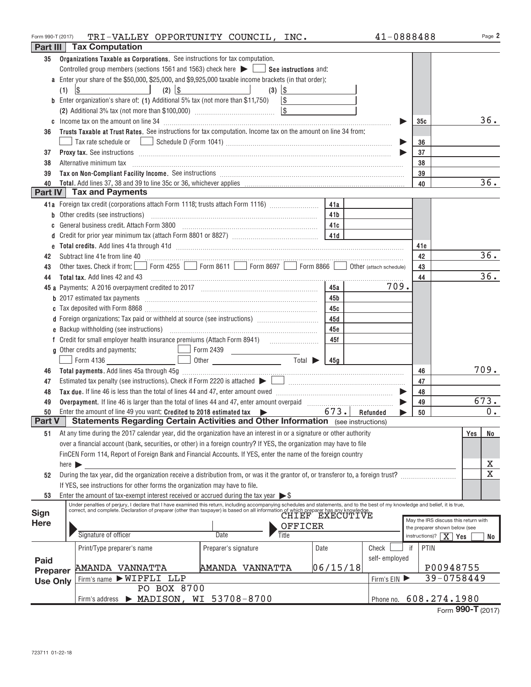| Form 990-T (2017) | TRI-VALLEY OPPORTUNITY COUNCIL, INC.                                                                                                                                                                                                                                                    |                 | 41-0888488    |                        | Page 2                               |
|-------------------|-----------------------------------------------------------------------------------------------------------------------------------------------------------------------------------------------------------------------------------------------------------------------------------------|-----------------|---------------|------------------------|--------------------------------------|
|                   | Part III   Tax Computation                                                                                                                                                                                                                                                              |                 |               |                        |                                      |
| 35                | Organizations Taxable as Corporations. See instructions for tax computation.                                                                                                                                                                                                            |                 |               |                        |                                      |
|                   | Controlled group members (sections 1561 and 1563) check here $\blacktriangleright$ $\blacksquare$ See instructions and:                                                                                                                                                                 |                 |               |                        |                                      |
|                   | a Enter your share of the \$50,000, \$25,000, and \$9,925,000 taxable income brackets (in that order):                                                                                                                                                                                  |                 |               |                        |                                      |
|                   | $\frac{1}{2}$<br>$(2)$ $ $ \$<br>and the state of the state of the<br>$(3)$ \\$<br>(1)<br>the contract of the contract of                                                                                                                                                               |                 |               |                        |                                      |
|                   | <b>b</b> Enter organization's share of: (1) Additional 5% tax (not more than \$11,750) $\vert \$                                                                                                                                                                                        |                 |               |                        |                                      |
|                   |                                                                                                                                                                                                                                                                                         |                 |               |                        |                                      |
|                   |                                                                                                                                                                                                                                                                                         |                 |               | 35c                    | 36.                                  |
| 36                | Trusts Taxable at Trust Rates. See instructions for tax computation. Income tax on the amount on line 34 from:                                                                                                                                                                          |                 |               |                        |                                      |
|                   |                                                                                                                                                                                                                                                                                         |                 | ▶             | 36                     |                                      |
| 37                |                                                                                                                                                                                                                                                                                         |                 |               | 37                     |                                      |
| 38                | Alternative minimum tax information and continuum contracts and alternative minimum tax increased and contact the state of the state of the state of the state of the state of the state of the state of the state of the stat                                                          |                 |               | 38                     |                                      |
| 39                |                                                                                                                                                                                                                                                                                         |                 |               | 39                     |                                      |
| 40                |                                                                                                                                                                                                                                                                                         |                 |               | 40                     | 36.                                  |
|                   | Part IV   Tax and Payments                                                                                                                                                                                                                                                              |                 |               |                        |                                      |
|                   | 41a Foreign tax credit (corporations attach Form 1118; trusts attach Form 1116)                                                                                                                                                                                                         | 41a             |               |                        |                                      |
|                   |                                                                                                                                                                                                                                                                                         | 41 <b>b</b>     |               |                        |                                      |
| C                 | General business credit. Attach Form 3800 [11] [2010] [2010] [2010] [2010] [2010] [2010] [2010] [2010] [2010] [2010] [2010] [2010] [2010] [2010] [2010] [2010] [2010] [2010] [2010] [2010] [2010] [2010] [2010] [2010] [2010]                                                           |                 |               |                        |                                      |
|                   |                                                                                                                                                                                                                                                                                         |                 |               |                        |                                      |
|                   |                                                                                                                                                                                                                                                                                         |                 |               | 41e                    |                                      |
| 42                | Subtract line 41e from line 40 <b>magazine and the contract of the 40</b> magazine and the 41e from line 40 magazine and the 41e from line 40 magazine and the 41e from line 40 magazine and the 41e from the 40 magazine and the 4                                                     |                 |               | 42                     | 36.                                  |
| 43                | Other taxes. Check if from: Form 4255 Form 8611 Form 8697 Form 8866 Obther (attach schedule)                                                                                                                                                                                            |                 |               | 43                     |                                      |
| 44                |                                                                                                                                                                                                                                                                                         |                 |               | 44                     | 36.                                  |
|                   |                                                                                                                                                                                                                                                                                         | 45a             | 709.          |                        |                                      |
|                   |                                                                                                                                                                                                                                                                                         | 45 b            |               |                        |                                      |
|                   |                                                                                                                                                                                                                                                                                         | 45с             |               |                        |                                      |
|                   | d Foreign organizations: Tax paid or withheld at source (see instructions) [                                                                                                                                                                                                            | 45d             |               |                        |                                      |
|                   |                                                                                                                                                                                                                                                                                         | 45e             |               |                        |                                      |
|                   |                                                                                                                                                                                                                                                                                         | 45f             |               |                        |                                      |
|                   | g Other credits and payments:<br>Form 2439                                                                                                                                                                                                                                              |                 |               |                        |                                      |
|                   |                                                                                                                                                                                                                                                                                         |                 |               |                        |                                      |
| 46                |                                                                                                                                                                                                                                                                                         |                 |               | 46                     | 709.                                 |
| 47                |                                                                                                                                                                                                                                                                                         |                 |               | 47                     |                                      |
| 48                |                                                                                                                                                                                                                                                                                         |                 |               | 48                     |                                      |
| 49                | Overpayment. If line 46 is larger than the total of lines 44 and 47, enter amount overpaid [100] [100] [100] [100] [100] [100] [100] [100] [100] [100] [100] [100] [100] [100] [100] [100] [100] [100] [100] [100] [100] [100]                                                          |                 |               | 49                     | 673.                                 |
| 50                | Enter the amount of line 49 you want: Credited to 2018 estimated tax 673. Refunded<br>Statements Regarding Certain Activities and Other Information (see instructions)                                                                                                                  | $673.$ Refunded |               | 50                     | $0 \cdot$                            |
| Part V            |                                                                                                                                                                                                                                                                                         |                 |               |                        |                                      |
| 51                | At any time during the 2017 calendar year, did the organization have an interest in or a signature or other authority                                                                                                                                                                   |                 |               |                        | No<br>Yes                            |
|                   | over a financial account (bank, securities, or other) in a foreign country? If YES, the organization may have to file                                                                                                                                                                   |                 |               |                        |                                      |
|                   | FinCEN Form 114, Report of Foreign Bank and Financial Accounts. If YES, enter the name of the foreign country                                                                                                                                                                           |                 |               |                        |                                      |
|                   | here $\blacktriangleright$                                                                                                                                                                                                                                                              |                 |               |                        | Х<br>$\overline{\textbf{X}}$         |
| 52                | During the tax year, did the organization receive a distribution from, or was it the grantor of, or transferor to, a foreign trust?                                                                                                                                                     |                 |               |                        |                                      |
|                   | If YES, see instructions for other forms the organization may have to file.                                                                                                                                                                                                             |                 |               |                        |                                      |
| 53                | Enter the amount of tax-exempt interest received or accrued during the tax year $\triangleright$ \$<br>Under penalties of perjury, I declare that I have examined this return, including accompanying schedules and statements, and to the best of my knowledge and belief, it is true, |                 |               |                        |                                      |
| Sign              | correct, and complete. Declaration of preparer (other than taxpayer) is based on all information of which preparer has any knowledge.<br>CHIEF EXECUTIVE                                                                                                                                |                 |               |                        |                                      |
| <b>Here</b>       | OFFICER                                                                                                                                                                                                                                                                                 |                 |               |                        | May the IRS discuss this return with |
|                   | Signature of officer<br><b>Date</b><br>Title                                                                                                                                                                                                                                            |                 |               | instructions)? $X$ Yes | the preparer shown below (see        |
|                   |                                                                                                                                                                                                                                                                                         |                 |               |                        | No                                   |
|                   | Print/Type preparer's name<br>Preparer's signature<br>Date                                                                                                                                                                                                                              |                 | Check         | PTIN<br>if             |                                      |
| Paid              |                                                                                                                                                                                                                                                                                         | 06/15/18        | self-employed |                        | P00948755                            |
| Preparer          | AMANDA VANNATTA<br>AMANDA VANNATTA<br>Firm's name > WIPFLI LLP                                                                                                                                                                                                                          |                 |               |                        | 39-0758449                           |
| <b>Use Only</b>   | PO BOX 8700                                                                                                                                                                                                                                                                             |                 | Firm's EIN    |                        |                                      |
|                   | > MADISON, WI 53708-8700<br>Firm's address                                                                                                                                                                                                                                              |                 |               |                        | 608.274.1980                         |
|                   |                                                                                                                                                                                                                                                                                         |                 | Phone no.     |                        |                                      |

|  | Form 990-T (2017) |  |
|--|-------------------|--|
|--|-------------------|--|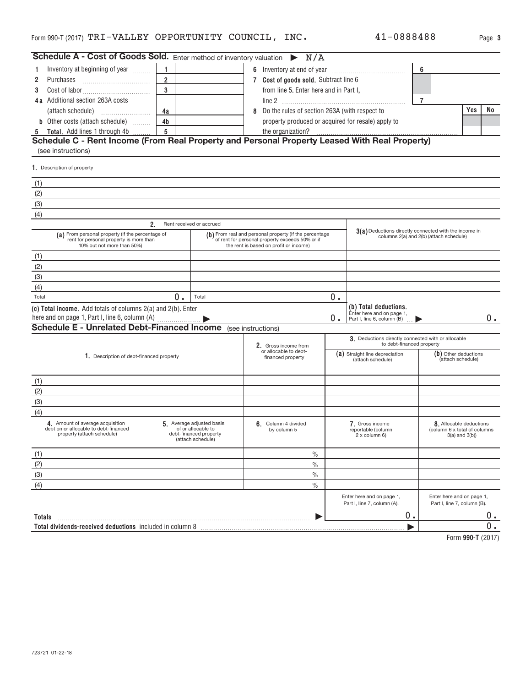| 0888488 |  | Page 3 |  |
|---------|--|--------|--|
|         |  |        |  |

| <b>Schedule A - Cost of Goods Sold.</b> Enter method of inventory valuation $\triangleright N/A$                          |                |                                                                                                |                                                                                                                                                     |    |                                                                                 |                |                                                                                |       |
|---------------------------------------------------------------------------------------------------------------------------|----------------|------------------------------------------------------------------------------------------------|-----------------------------------------------------------------------------------------------------------------------------------------------------|----|---------------------------------------------------------------------------------|----------------|--------------------------------------------------------------------------------|-------|
| Inventory at beginning of year                                                                                            | 1.             |                                                                                                | 6 Inventory at end of year                                                                                                                          |    |                                                                                 | 6              |                                                                                |       |
| 2<br>Purchases                                                                                                            | $\overline{2}$ |                                                                                                | 7 Cost of goods sold. Subtract line 6                                                                                                               |    |                                                                                 |                |                                                                                |       |
| 3                                                                                                                         | 3              |                                                                                                | from line 5. Enter here and in Part I,                                                                                                              |    |                                                                                 |                |                                                                                |       |
| 4a Additional section 263A costs                                                                                          |                |                                                                                                |                                                                                                                                                     |    |                                                                                 | $\overline{7}$ |                                                                                |       |
| (attach schedule)                                                                                                         | 4a             |                                                                                                | Do the rules of section 263A (with respect to<br>8                                                                                                  |    |                                                                                 |                | Yes                                                                            | No    |
| <b>b</b> Other costs (attach schedule)                                                                                    | 4 <sub>b</sub> |                                                                                                | property produced or acquired for resale) apply to                                                                                                  |    |                                                                                 |                |                                                                                |       |
| 5 Total. Add lines 1 through 4b                                                                                           | 5              |                                                                                                | the organization?                                                                                                                                   |    |                                                                                 |                |                                                                                |       |
| Schedule C - Rent Income (From Real Property and Personal Property Leased With Real Property)                             |                |                                                                                                |                                                                                                                                                     |    |                                                                                 |                |                                                                                |       |
| (see instructions)                                                                                                        |                |                                                                                                |                                                                                                                                                     |    |                                                                                 |                |                                                                                |       |
| 1. Description of property                                                                                                |                |                                                                                                |                                                                                                                                                     |    |                                                                                 |                |                                                                                |       |
| (1)                                                                                                                       |                |                                                                                                |                                                                                                                                                     |    |                                                                                 |                |                                                                                |       |
| (2)                                                                                                                       |                |                                                                                                |                                                                                                                                                     |    |                                                                                 |                |                                                                                |       |
| (3)                                                                                                                       |                |                                                                                                |                                                                                                                                                     |    |                                                                                 |                |                                                                                |       |
| (4)                                                                                                                       |                |                                                                                                |                                                                                                                                                     |    |                                                                                 |                |                                                                                |       |
|                                                                                                                           | 2 <sub>1</sub> | Rent received or accrued                                                                       |                                                                                                                                                     |    |                                                                                 |                |                                                                                |       |
| (a) From personal property (if the percentage of<br>rent for personal property is more than<br>10% but not more than 50%) |                |                                                                                                | (b) From real and personal property (if the percentage<br>of rent for personal property exceeds 50% or if<br>the rent is based on profit or income) |    | 3(a) Deductions directly connected with the income in                           |                | columns 2(a) and 2(b) (attach schedule)                                        |       |
| (1)                                                                                                                       |                |                                                                                                |                                                                                                                                                     |    |                                                                                 |                |                                                                                |       |
| (2)                                                                                                                       |                |                                                                                                |                                                                                                                                                     |    |                                                                                 |                |                                                                                |       |
| (3)                                                                                                                       |                |                                                                                                |                                                                                                                                                     |    |                                                                                 |                |                                                                                |       |
| (4)                                                                                                                       |                |                                                                                                |                                                                                                                                                     |    |                                                                                 |                |                                                                                |       |
| Total                                                                                                                     | 0.             | Total                                                                                          |                                                                                                                                                     | 0. |                                                                                 |                |                                                                                |       |
| (c) Total income. Add totals of columns 2(a) and 2(b). Enter                                                              |                |                                                                                                |                                                                                                                                                     |    | (b) Total deductions.                                                           |                |                                                                                |       |
| here and on page 1, Part I, line 6, column (A)                                                                            |                |                                                                                                |                                                                                                                                                     | 0. | Enter here and on page 1,<br>Part I, line 6, column (B)                         |                |                                                                                | О.    |
| <b>Schedule E - Unrelated Debt-Financed Income</b> (see instructions)                                                     |                |                                                                                                |                                                                                                                                                     |    |                                                                                 |                |                                                                                |       |
|                                                                                                                           |                |                                                                                                | 2. Gross income from                                                                                                                                |    | 3. Deductions directly connected with or allocable<br>to debt-financed property |                |                                                                                |       |
| 1. Description of debt-financed property                                                                                  |                |                                                                                                | or allocable to debt-<br>financed property                                                                                                          |    | (a) Straight line depreciation<br>(attach schedule)                             |                | (b) Other deductions<br>(attach schedule)                                      |       |
| (1)                                                                                                                       |                |                                                                                                |                                                                                                                                                     |    |                                                                                 |                |                                                                                |       |
| (2)                                                                                                                       |                |                                                                                                |                                                                                                                                                     |    |                                                                                 |                |                                                                                |       |
| (3)                                                                                                                       |                |                                                                                                |                                                                                                                                                     |    |                                                                                 |                |                                                                                |       |
| (4)                                                                                                                       |                |                                                                                                |                                                                                                                                                     |    |                                                                                 |                |                                                                                |       |
| 4. Amount of average acquisition<br>debt on or allocable to debt-financed<br>property (attach schedule)                   |                | 5. Average adjusted basis<br>of or allocable to<br>debt-financed property<br>(attach schedule) | 6. Column 4 divided<br>by column 5                                                                                                                  |    | 7. Gross income<br>reportable (column<br>2 x column 6)                          |                | 8. Allocable deductions<br>(column 6 x total of columns<br>$3(a)$ and $3(b)$ ) |       |
| (1)                                                                                                                       |                |                                                                                                | $\%$                                                                                                                                                |    |                                                                                 |                |                                                                                |       |
| (2)                                                                                                                       |                |                                                                                                | $\frac{0}{0}$                                                                                                                                       |    |                                                                                 |                |                                                                                |       |
| (3)                                                                                                                       |                |                                                                                                | $\frac{0}{0}$                                                                                                                                       |    |                                                                                 |                |                                                                                |       |
| (4)                                                                                                                       |                |                                                                                                | $\frac{0}{0}$                                                                                                                                       |    |                                                                                 |                |                                                                                |       |
|                                                                                                                           |                |                                                                                                |                                                                                                                                                     |    | Enter here and on page 1,<br>Part I, line 7, column (A).                        |                | Enter here and on page 1,<br>Part I, line 7, column (B).                       |       |
| Totals                                                                                                                    |                |                                                                                                |                                                                                                                                                     |    | $0$ .                                                                           |                |                                                                                | 0.    |
| Total dividends-received deductions included in column 8                                                                  |                |                                                                                                |                                                                                                                                                     |    |                                                                                 |                |                                                                                | $0$ . |
|                                                                                                                           |                |                                                                                                |                                                                                                                                                     |    |                                                                                 |                |                                                                                |       |

**990‐T**  Form (2017)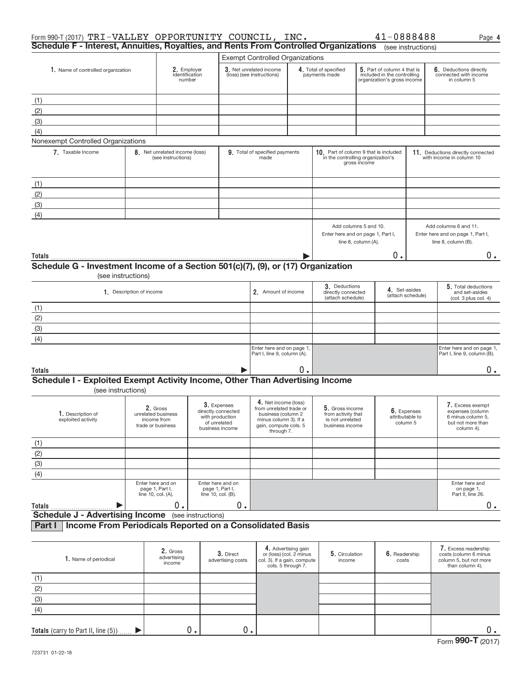| Form 990-T (2017) TRI-VALLEY OPPORTUNITY COUNCIL, INC. $41-0888488$<br>Schedule F - Interest, Annuities, Royalties, and Rents From Controlled Organizations (see instructions) |                                                                    |                                                      |                                                                                         |                                                                                                               |                                                                                                     |                                                                                            |                                                            |                                                   |                                                                                   | Page 4                                                                                       |
|--------------------------------------------------------------------------------------------------------------------------------------------------------------------------------|--------------------------------------------------------------------|------------------------------------------------------|-----------------------------------------------------------------------------------------|---------------------------------------------------------------------------------------------------------------|-----------------------------------------------------------------------------------------------------|--------------------------------------------------------------------------------------------|------------------------------------------------------------|---------------------------------------------------|-----------------------------------------------------------------------------------|----------------------------------------------------------------------------------------------|
|                                                                                                                                                                                |                                                                    |                                                      |                                                                                         |                                                                                                               |                                                                                                     |                                                                                            |                                                            |                                                   |                                                                                   |                                                                                              |
| 1. Name of controlled organization                                                                                                                                             |                                                                    | 2. Employer                                          |                                                                                         | <b>Exempt Controlled Organizations</b><br>3. Net unrelated income                                             |                                                                                                     |                                                                                            | 5. Part of column 4 that is<br>4. Total of specified       |                                                   |                                                                                   | 6. Deductions directly                                                                       |
|                                                                                                                                                                                |                                                                    | identification<br>number                             |                                                                                         | (loss) (see instructions)                                                                                     |                                                                                                     | payments made                                                                              | included in the controlling<br>organization's gross income |                                                   |                                                                                   | connected with income<br>in column 5                                                         |
|                                                                                                                                                                                |                                                                    |                                                      |                                                                                         |                                                                                                               |                                                                                                     |                                                                                            |                                                            |                                                   |                                                                                   |                                                                                              |
| (1)                                                                                                                                                                            |                                                                    |                                                      |                                                                                         |                                                                                                               |                                                                                                     |                                                                                            |                                                            |                                                   |                                                                                   |                                                                                              |
| (2)                                                                                                                                                                            |                                                                    |                                                      |                                                                                         |                                                                                                               |                                                                                                     |                                                                                            |                                                            |                                                   |                                                                                   |                                                                                              |
| (3)                                                                                                                                                                            |                                                                    |                                                      |                                                                                         |                                                                                                               |                                                                                                     |                                                                                            |                                                            |                                                   |                                                                                   |                                                                                              |
| (4)                                                                                                                                                                            |                                                                    |                                                      |                                                                                         |                                                                                                               |                                                                                                     |                                                                                            |                                                            |                                                   |                                                                                   |                                                                                              |
| Nonexempt Controlled Organizations                                                                                                                                             |                                                                    |                                                      |                                                                                         |                                                                                                               |                                                                                                     |                                                                                            |                                                            |                                                   |                                                                                   |                                                                                              |
| 7. Taxable Income                                                                                                                                                              |                                                                    | 8. Net unrelated income (loss)<br>(see instructions) |                                                                                         | 9. Total of specified payments<br>made                                                                        |                                                                                                     | 10. Part of column 9 that is included<br>in the controlling organization's<br>gross income |                                                            |                                                   |                                                                                   | 11. Deductions directly connected<br>with income in column 10                                |
| (1)                                                                                                                                                                            |                                                                    |                                                      |                                                                                         |                                                                                                               |                                                                                                     |                                                                                            |                                                            |                                                   |                                                                                   |                                                                                              |
| (2)                                                                                                                                                                            |                                                                    |                                                      |                                                                                         |                                                                                                               |                                                                                                     |                                                                                            |                                                            |                                                   |                                                                                   |                                                                                              |
| (3)                                                                                                                                                                            |                                                                    |                                                      |                                                                                         |                                                                                                               |                                                                                                     |                                                                                            |                                                            |                                                   |                                                                                   |                                                                                              |
| (4)                                                                                                                                                                            |                                                                    |                                                      |                                                                                         |                                                                                                               |                                                                                                     |                                                                                            |                                                            |                                                   |                                                                                   |                                                                                              |
|                                                                                                                                                                                |                                                                    |                                                      |                                                                                         |                                                                                                               |                                                                                                     | Add columns 5 and 10.<br>Enter here and on page 1, Part I,<br>line 8, column (A).          |                                                            |                                                   | Add columns 6 and 11.<br>Enter here and on page 1, Part I,<br>line 8, column (B). |                                                                                              |
| Totals                                                                                                                                                                         |                                                                    |                                                      |                                                                                         |                                                                                                               |                                                                                                     |                                                                                            |                                                            | 0.                                                |                                                                                   | 0.                                                                                           |
| Schedule G - Investment Income of a Section 501(c)(7), (9), or (17) Organization<br>(see instructions)                                                                         |                                                                    |                                                      |                                                                                         |                                                                                                               |                                                                                                     |                                                                                            |                                                            |                                                   |                                                                                   |                                                                                              |
|                                                                                                                                                                                |                                                                    |                                                      |                                                                                         |                                                                                                               |                                                                                                     | 3. Deductions                                                                              |                                                            |                                                   |                                                                                   | 5. Total deductions                                                                          |
|                                                                                                                                                                                | 1. Description of income                                           |                                                      |                                                                                         | 2. Amount of income                                                                                           |                                                                                                     | directly connected<br>(attach schedule)                                                    |                                                            | 4. Set-asides                                     | (attach schedule)                                                                 | and set-asides<br>(col. 3 plus col. 4)                                                       |
| (1)                                                                                                                                                                            |                                                                    |                                                      |                                                                                         |                                                                                                               |                                                                                                     |                                                                                            |                                                            |                                                   |                                                                                   |                                                                                              |
| $\frac{(2)}{(3)}$                                                                                                                                                              |                                                                    |                                                      |                                                                                         |                                                                                                               |                                                                                                     |                                                                                            |                                                            |                                                   |                                                                                   |                                                                                              |
|                                                                                                                                                                                |                                                                    |                                                      |                                                                                         |                                                                                                               |                                                                                                     |                                                                                            |                                                            |                                                   |                                                                                   |                                                                                              |
| $\overline{(4)}$                                                                                                                                                               |                                                                    |                                                      |                                                                                         |                                                                                                               |                                                                                                     |                                                                                            |                                                            |                                                   |                                                                                   |                                                                                              |
|                                                                                                                                                                                |                                                                    |                                                      |                                                                                         | Enter here and on page 1<br>Part I, line 9, column (A).                                                       |                                                                                                     |                                                                                            |                                                            |                                                   |                                                                                   | Enter here and on page 1,<br>Part I, line 9, column (B).                                     |
| Totals                                                                                                                                                                         |                                                                    |                                                      |                                                                                         |                                                                                                               | О.                                                                                                  |                                                                                            |                                                            |                                                   |                                                                                   | 0.                                                                                           |
| Schedule I - Exploited Exempt Activity Income, Other Than Advertising Income<br>(see instructions)                                                                             |                                                                    |                                                      |                                                                                         |                                                                                                               |                                                                                                     |                                                                                            |                                                            |                                                   |                                                                                   |                                                                                              |
|                                                                                                                                                                                |                                                                    |                                                      |                                                                                         | 4. Net income (loss)                                                                                          |                                                                                                     |                                                                                            |                                                            |                                                   |                                                                                   |                                                                                              |
| 1. Description of<br>exploited activity                                                                                                                                        | 2. Gross<br>unrelated business<br>income from<br>trade or business |                                                      | 3. Expenses<br>directly connected<br>with production<br>of unrelated<br>business income | from unrelated trade or<br>business (column 2<br>minus column 3). If a<br>gain, compute cols. 5<br>through 7. |                                                                                                     | 5. Gross income<br>from activity that<br>is not unrelated<br>business income               |                                                            | attributable to<br>column 5                       | 6. Expenses                                                                       | 7. Excess exempt<br>expenses (column<br>6 minus column 5,<br>but not more than<br>column 4). |
| $rac{(1)}{(2)}$<br>(3)                                                                                                                                                         |                                                                    |                                                      |                                                                                         |                                                                                                               |                                                                                                     |                                                                                            |                                                            |                                                   |                                                                                   |                                                                                              |
|                                                                                                                                                                                |                                                                    |                                                      |                                                                                         |                                                                                                               |                                                                                                     |                                                                                            |                                                            |                                                   |                                                                                   |                                                                                              |
|                                                                                                                                                                                |                                                                    |                                                      |                                                                                         |                                                                                                               |                                                                                                     |                                                                                            |                                                            |                                                   |                                                                                   |                                                                                              |
| $\overline{(4)}$                                                                                                                                                               |                                                                    |                                                      |                                                                                         |                                                                                                               |                                                                                                     |                                                                                            |                                                            |                                                   |                                                                                   |                                                                                              |
| Enter here and on<br>page 1, Part I,<br>line 10, col. (A).                                                                                                                     |                                                                    |                                                      | Enter here and on<br>page 1, Part I,<br>line 10, col. (B).                              |                                                                                                               |                                                                                                     |                                                                                            |                                                            | Enter here and<br>on page 1.<br>Part II, line 26. |                                                                                   |                                                                                              |
| Totals                                                                                                                                                                         |                                                                    | 0.                                                   | 0.                                                                                      |                                                                                                               |                                                                                                     |                                                                                            |                                                            |                                                   |                                                                                   | 0.                                                                                           |
| <b>Schedule J - Advertising Income</b> (see instructions)                                                                                                                      |                                                                    |                                                      |                                                                                         |                                                                                                               |                                                                                                     |                                                                                            |                                                            |                                                   |                                                                                   |                                                                                              |
| Income From Periodicals Reported on a Consolidated Basis<br>Part I                                                                                                             |                                                                    |                                                      |                                                                                         |                                                                                                               |                                                                                                     |                                                                                            |                                                            |                                                   |                                                                                   |                                                                                              |
| 1. Name of periodical                                                                                                                                                          |                                                                    | 2. Gross<br>advertising<br>income                    | 3. Direct<br>advertising costs                                                          |                                                                                                               | 4. Advertising gain<br>or (loss) (col. 2 minus<br>col. 3). If a gain, compute<br>cols. 5 through 7. |                                                                                            | 5. Circulation<br>income                                   |                                                   | 6. Readership<br>costs                                                            | 7. Excess readership<br>costs (column 6 minus<br>column 5, but not more<br>than column 4).   |
| (1)                                                                                                                                                                            |                                                                    |                                                      |                                                                                         |                                                                                                               |                                                                                                     |                                                                                            |                                                            |                                                   |                                                                                   |                                                                                              |

(2) (3) (4)

**Totals** (carry to Part II, line (5))

 $\blacktriangleright$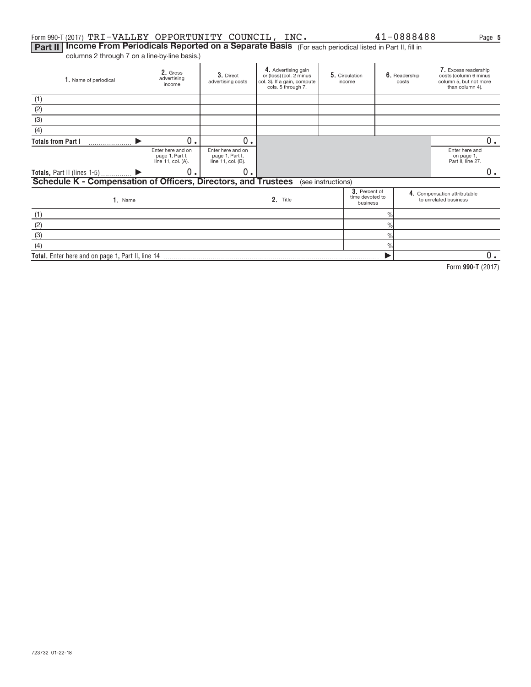#### Form 990-T (2017)  $\mathtt{TRI}-\mathtt{VALU}\mathtt{EY}$   $\mathtt{OPPORTUNITY}$   $\mathtt{COUNCIL}$  ,  $\mathtt{INC.}$   $\mathtt{41-0888488}$   $\mathtt{Page}$

 $\blacktriangleright$ 

Part II | Income From Periodicals Reported on a Separate Basis (For each periodical listed in Part II, fill in columns 2 through 7 on a line‐by‐line basis.)

**2.** Gross<br>advertising income 3. Direct advertising costs **2.** Gross **2. 3.** Direct **4.** Advertising gain **5.** Circulation **6.** Readership **7. 3.** Direct or (loss) (col. 2 minus **5.** Girculation **6.** Readership cos col. 3). If a gain, compute cols. 5 through 7. 5. Circulation income 6. Readership costs Excess readership costs (column 6 minus column 5, but not more than column 4). 1. Name of periodical Enter here and on page 1, Part I, line 11, col. (A). Enter here and on page 1, Part I, line 11, col. (B). Enter here and on page 1, Part II, line 27. **3.** Percent of time devoted to business Name **Name 19 and 19 and 19 and 19 and 19 and 19 and 19 and 19 and 19 and 19 and 19 and 19 and 19 and 19 and 19 and 19 and 19 and 19 and 19 and 19 and 19 and 19 and 19 and 19 and 19 and 19 and 19 and 19 and 19 and 19 and 1 Totals from Part I Totals,** Part II (lines 1-5) . . . . . . . . . . . .  $\frac{3}{2}$ . Percent of  $\begin{bmatrix} 4.1 \end{bmatrix}$ **1. Name 1. 2. Title** . . . . . . . . . . . . . . . . . . . .  $\frac{1}{\sqrt{2}}$  $\overline{\frac{9}{6}}$  $\frac{0}{0}$  $\frac{1}{2}$ (1) (2)  $\overline{3}$ (4) (see instructions) (1) (2) (3) (4) **Schedule K ‐ Compensation of Officers, Directors, and Trustees**  $\blacktriangleright$  $\blacktriangleright$  $0.$  0.  $\begin{array}{ccc} \hline \texttt{0.} & \texttt{0.} & \texttt{0.} \end{array}$ 0.

**Total.**  Enter here and on page 1, Part II, line 14

**990‐T**  Form (2017)

0.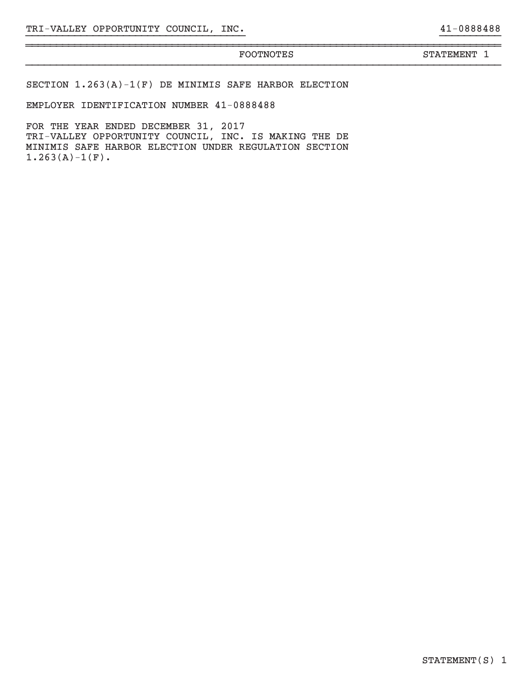# }}}}}}}}}}}}}}}}}}}}}}}}}}}}}}}}}}}}}}}}}}}}}}}}}}}}}}}}}}}}}}}}}}}}}}}}}}}}}}

~~~~~~~~~~~~~~~~~~~~~~~~~~~~~~~~~~~~~~~~~~~~~~~~~~~~~~~~~~~~~~~~~~~~~~~~~~~~~~

FOOTNOTES STATEMENT 1

SECTION 1.263(A)‐1(F) DE MINIMIS SAFE HARBOR ELECTION

EMPLOYER IDENTIFICATION NUMBER 41‐0888488

FOR THE YEAR ENDED DECEMBER 31, 2017 TRI‐VALLEY OPPORTUNITY COUNCIL, INC. IS MAKING THE DE MINIMIS SAFE HARBOR ELECTION UNDER REGULATION SECTION  $1.263(A)-1(F)$ .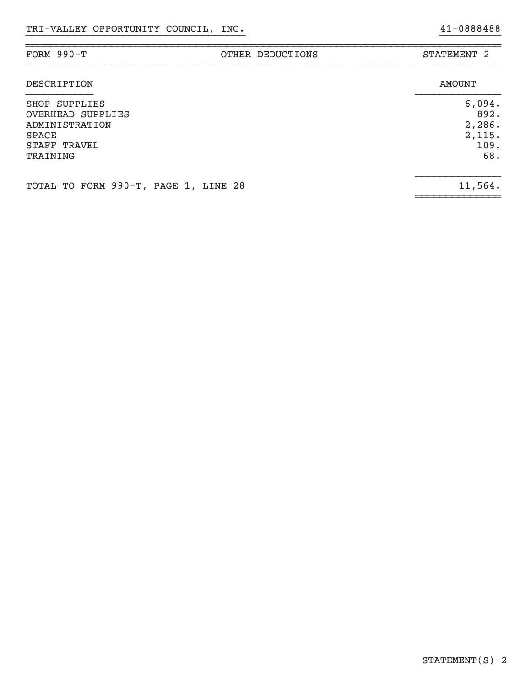| FORM $990-T$<br>OTHER DEDUCTIONS                                                                 | STATEMENT <sub>2</sub>                            |
|--------------------------------------------------------------------------------------------------|---------------------------------------------------|
| DESCRIPTION                                                                                      | <b>AMOUNT</b>                                     |
| SHOP SUPPLIES<br>OVERHEAD SUPPLIES<br>ADMINISTRATION<br><b>SPACE</b><br>STAFF TRAVEL<br>TRAINING | 6,094.<br>892.<br>2,286.<br>2,115.<br>109.<br>68. |
| TOTAL TO FORM 990-T, PAGE 1, LINE 28                                                             | 11,564.                                           |